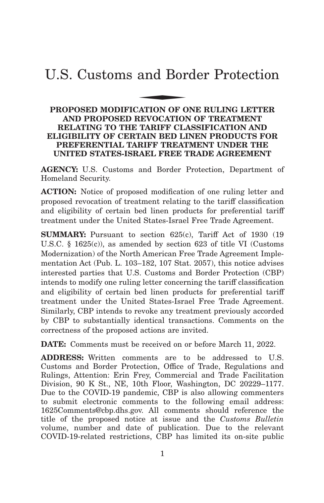# U.S. Customs and Border Protection and Bor

## **PROPOSED MODIFICATION OF ONE RULING LETTER AND PROPOSED REVOCATION OF TREATMENT RELATING TO THE TARIFF CLASSIFICATION AND ELIGIBILITY OF CERTAIN BED LINEN PRODUCTS FOR PREFERENTIAL TARIFF TREATMENT UNDER THE UNITED STATES-ISRAEL FREE TRADE AGREEMENT**

**AGENCY:** U.S. Customs and Border Protection, Department of Homeland Security.

**ACTION:** Notice of proposed modification of one ruling letter and proposed revocation of treatment relating to the tariff classification and eligibility of certain bed linen products for preferential tariff treatment under the United States-Israel Free Trade Agreement.

**SUMMARY:** Pursuant to section 625(c), Tariff Act of 1930 (19) U.S.C. § 1625(c)), as amended by section 623 of title VI (Customs Modernization) of the North American Free Trade Agreement Implementation Act (Pub. L. 103–182, 107 Stat. 2057), this notice advises interested parties that U.S. Customs and Border Protection (CBP) intends to modify one ruling letter concerning the tariff classification and eligibility of certain bed linen products for preferential tariff treatment under the United States-Israel Free Trade Agreement. Similarly, CBP intends to revoke any treatment previously accorded by CBP to substantially identical transactions. Comments on the correctness of the proposed actions are invited.

**DATE:** Comments must be received on or before March 11, 2022.

**ADDRESS:** Written comments are to be addressed to U.S. Customs and Border Protection, Office of Trade, Regulations and Rulings, Attention: Erin Frey, Commercial and Trade Facilitation Division, 90 K St., NE, 10th Floor, Washington, DC 20229–1177. Due to the COVID-19 pandemic, CBP is also allowing commenters to submit electronic comments to the following email address: 1625Comments@cbp.dhs.gov. All comments should reference the title of the proposed notice at issue and the *Customs Bulletin* volume, number and date of publication. Due to the relevant COVID-19-related restrictions, CBP has limited its on-site public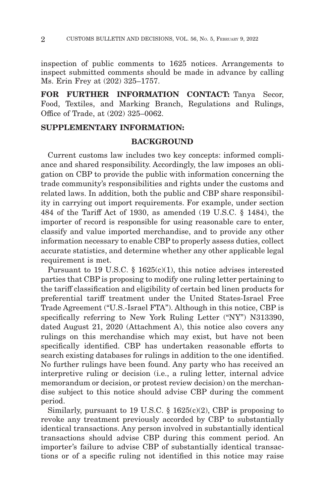inspection of public comments to 1625 notices. Arrangements to inspect submitted comments should be made in advance by calling Ms. Erin Frey at (202) 325–1757.

**FOR FURTHER INFORMATION CONTACT:** Tanya Secor, Food, Textiles, and Marking Branch, Regulations and Rulings, Office of Trade, at (202) 325–0062.

### **SUPPLEMENTARY INFORMATION:**

## **BACKGROUND**

Current customs law includes two key concepts: informed compliance and shared responsibility. Accordingly, the law imposes an obligation on CBP to provide the public with information concerning the trade community's responsibilities and rights under the customs and related laws. In addition, both the public and CBP share responsibility in carrying out import requirements. For example, under section 484 of the Tariff Act of 1930, as amended (19 U.S.C. § 1484), the importer of record is responsible for using reasonable care to enter, classify and value imported merchandise, and to provide any other information necessary to enable CBP to properly assess duties, collect accurate statistics, and determine whether any other applicable legal requirement is met.

Pursuant to 19 U.S.C. § 1625(c)(1), this notice advises interested parties that CBP is proposing to modify one ruling letter pertaining to the tariff classification and eligibility of certain bed linen products for preferential tariff treatment under the United States-Israel Free Trade Agreement ("U.S.-Israel FTA"). Although in this notice, CBP is specifically referring to New York Ruling Letter ("NY") N313390, dated August 21, 2020 (Attachment A), this notice also covers any rulings on this merchandise which may exist, but have not been specifically identified. CBP has undertaken reasonable efforts to search existing databases for rulings in addition to the one identified. No further rulings have been found. Any party who has received an interpretive ruling or decision (i.e., a ruling letter, internal advice memorandum or decision, or protest review decision) on the merchandise subject to this notice should advise CBP during the comment period.

Similarly, pursuant to 19 U.S.C.  $\S$  1625(c)(2), CBP is proposing to revoke any treatment previously accorded by CBP to substantially identical transactions. Any person involved in substantially identical transactions should advise CBP during this comment period. An importer's failure to advise CBP of substantially identical transactions or of a specific ruling not identified in this notice may raise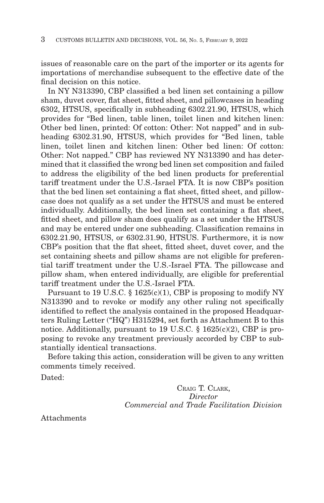issues of reasonable care on the part of the importer or its agents for importations of merchandise subsequent to the effective date of the final decision on this notice.

In NY N313390, CBP classified a bed linen set containing a pillow sham, duvet cover, flat sheet, fitted sheet, and pillowcases in heading 6302, HTSUS, specifically in subheading 6302.21.90, HTSUS, which provides for "Bed linen, table linen, toilet linen and kitchen linen: Other bed linen, printed: Of cotton: Other: Not napped" and in subheading 6302.31.90, HTSUS, which provides for "Bed linen, table linen, toilet linen and kitchen linen: Other bed linen: Of cotton: Other: Not napped." CBP has reviewed NY N313390 and has determined that it classified the wrong bed linen set composition and failed to address the eligibility of the bed linen products for preferential tariff treatment under the U.S.-Israel FTA. It is now CBP's position that the bed linen set containing a flat sheet, fitted sheet, and pillowcase does not qualify as a set under the HTSUS and must be entered individually. Additionally, the bed linen set containing a flat sheet, fitted sheet, and pillow sham does qualify as a set under the HTSUS and may be entered under one subheading. Classification remains in 6302.21.90, HTSUS, or 6302.31.90, HTSUS. Furthermore, it is now CBP's position that the flat sheet, fitted sheet, duvet cover, and the set containing sheets and pillow shams are not eligible for preferential tariff treatment under the U.S.-Israel FTA. The pillowcase and pillow sham, when entered individually, are eligible for preferential tariff treatment under the U.S.-Israel FTA.

Pursuant to 19 U.S.C.  $\S$  1625(c)(1), CBP is proposing to modify NY N313390 and to revoke or modify any other ruling not specifically identified to reflect the analysis contained in the proposed Headquarters Ruling Letter ("HQ") H315294, set forth as Attachment B to this notice. Additionally, pursuant to 19 U.S.C. § 1625(c)(2), CBP is proposing to revoke any treatment previously accorded by CBP to substantially identical transactions.

Before taking this action, consideration will be given to any written comments timely received.

Dated:

CRAIG T. CLARK, *Director Commercial and Trade Facilitation Division*

Attachments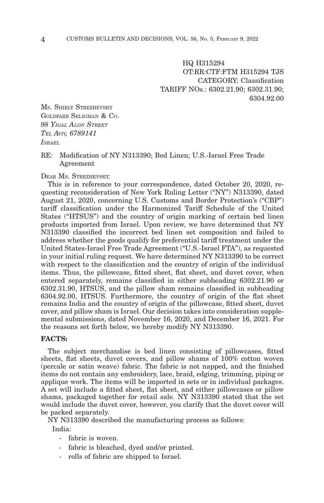HQ H315294 OT:RR:CTF:FTM H315294 TJS CATEGORY: Classification TARIFF NOs.: 6302.21.90; 6302.31.90; 6304.92.00

MS. SHIRLY STREZHEVSKY GOLDFARB SELIGMAN & CO. *98 YIGAL ALON STREET TEL AVIV, 6789141 ISRAEL*

RE: Modification of NY N313390; Bed Linen; U.S.-Israel Free Trade Agreement

DEAR MS. STREZHEVSKY:

This is in reference to your correspondence, dated October 20, 2020, requesting reconsideration of New York Ruling Letter ("NY") N313390, dated August 21, 2020, concerning U.S. Customs and Border Protection's ("CBP") tariff classification under the Harmonized Tariff Schedule of the United States ("HTSUS") and the country of origin marking of certain bed linen products imported from Israel. Upon review, we have determined that NY N313390 classified the incorrect bed linen set composition and failed to address whether the goods qualify for preferential tariff treatment under the United States-Israel Free Trade Agreement ("U.S.-Israel FTA"), as requested in your initial ruling request. We have determined NY N313390 to be correct with respect to the classification and the country of origin of the individual items. Thus, the pillowcase, fitted sheet, flat sheet, and duvet cover, when entered separately, remains classified in either subheading 6302.21.90 or 6302.31.90, HTSUS, and the pillow sham remains classified in subheading 6304.92.00, HTSUS. Furthermore, the country of origin of the flat sheet remains India and the country of origin of the pillowcase, fitted sheet, duvet cover, and pillow sham is Israel. Our decision takes into consideration supplemental submissions, dated November 16, 2020, and December 16, 2021. For the reasons set forth below, we hereby modify NY N313390.

#### **FACTS:**

The subject merchandise is bed linen consisting of pillowcases, fitted sheets, flat sheets, duvet covers, and pillow shams of 100% cotton woven (percale or satin weave) fabric. The fabric is not napped, and the finished items do not contain any embroidery, lace, braid, edging, trimming, piping or applique work. The items will be imported in sets or in individual packages. A set will include a fitted sheet, flat sheet, and either pillowcases or pillow shams, packaged together for retail sale. NY N313390 stated that the set would include the duvet cover, however, you clarify that the duvet cover will be packed separately.

NY N313390 described the manufacturing process as follows:

India:

- fabric is woven.
- fabric is bleached, dyed and/or printed.
- rolls of fabric are shipped to Israel.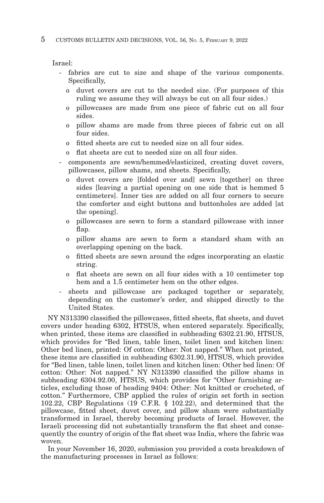Israel:

- fabrics are cut to size and shape of the various components. Specifically,
	- o duvet covers are cut to the needed size. (For purposes of this ruling we assume they will always be cut on all four sides.)
	- o pillowcases are made from one piece of fabric cut on all four sides.
	- o pillow shams are made from three pieces of fabric cut on all four sides.
	- o fitted sheets are cut to needed size on all four sides.
	- flat sheets are cut to needed size on all four sides.
- components are sewn/hemmed/elasticized, creating duvet covers, pillowcases, pillow shams, and sheets. Specifically,
	- o duvet covers are [folded over and] sewn [together] on three sides [leaving a partial opening on one side that is hemmed 5 centimeters]. Inner ties are added on all four corners to secure the comforter and eight buttons and buttonholes are added [at the opening].
	- o pillowcases are sewn to form a standard pillowcase with inner flap.
	- o pillow shams are sewn to form a standard sham with an overlapping opening on the back.
	- o fitted sheets are sewn around the edges incorporating an elastic string.
	- o flat sheets are sewn on all four sides with a 10 centimeter top hem and a 1.5 centimeter hem on the other edges.
- sheets and pillowcase are packaged together or separately, depending on the customer's order, and shipped directly to the United States.

NY N313390 classified the pillowcases, fitted sheets, flat sheets, and duvet covers under heading 6302, HTSUS, when entered separately. Specifically, when printed, these items are classified in subheading 6302.21.90, HTSUS, which provides for "Bed linen, table linen, toilet linen and kitchen linen: Other bed linen, printed: Of cotton: Other: Not napped." When not printed, these items are classified in subheading 6302.31.90, HTSUS, which provides for "Bed linen, table linen, toilet linen and kitchen linen: Other bed linen: Of cotton: Other: Not napped." NY N313390 classified the pillow shams in subheading 6304.92.00, HTSUS, which provides for "Other furnishing articles, excluding those of heading 9404: Other: Not knitted or crocheted, of cotton." Furthermore, CBP applied the rules of origin set forth in section 102.22, CBP Regulations (19 C.F.R. § 102.22), and determined that the pillowcase, fitted sheet, duvet cover, and pillow sham were substantially transformed in Israel, thereby becoming products of Israel. However, the Israeli processing did not substantially transform the flat sheet and consequently the country of origin of the flat sheet was India, where the fabric was woven.

In your November 16, 2020, submission you provided a costs breakdown of the manufacturing processes in Israel as follows: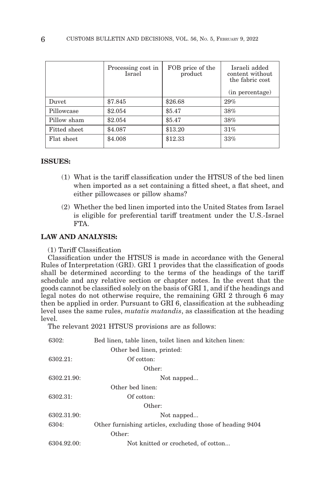|              | Processing cost in<br><b>Israel</b> | FOB price of the<br>product | Israeli added<br>content without<br>the fabric cost |
|--------------|-------------------------------------|-----------------------------|-----------------------------------------------------|
|              |                                     |                             | (in percentage)                                     |
| Duvet        | \$7.845                             | \$26.68                     | 29%                                                 |
| Pillowcase   | \$2.054                             | \$5.47                      | 38%                                                 |
| Pillow sham  | \$2.054                             | \$5.47                      | 38%                                                 |
| Fitted sheet | \$4.087                             | \$13.20                     | 31%                                                 |
| Flat sheet   | \$4.008                             | \$12.33                     | 33%                                                 |
|              |                                     |                             |                                                     |

#### **ISSUES:**

- (1) What is the tariff classification under the HTSUS of the bed linen when imported as a set containing a fitted sheet, a flat sheet, and either pillowcases or pillow shams?
- (2) Whether the bed linen imported into the United States from Israel is eligible for preferential tariff treatment under the U.S.-Israel FTA.

#### **LAW AND ANALYSIS:**

(1) Tariff Classification

Classification under the HTSUS is made in accordance with the General Rules of Interpretation (GRI). GRI 1 provides that the classification of goods shall be determined according to the terms of the headings of the tariff schedule and any relative section or chapter notes. In the event that the goods cannot be classified solely on the basis of GRI 1, and if the headings and legal notes do not otherwise require, the remaining GRI 2 through  $\ddot{6}$  may then be applied in order. Pursuant to GRI 6, classification at the subheading level uses the same rules, *mutatis mutandis*, as classification at the heading level.

The relevant 2021 HTSUS provisions are as follows:

| 6302:       | Bed linen, table linen, toilet linen and kitchen linen:    |
|-------------|------------------------------------------------------------|
|             | Other bed linen, printed:                                  |
| 6302.21:    | Of cotton:                                                 |
|             | Other:                                                     |
| 6302.21.90: | Not napped                                                 |
|             | Other bed linen:                                           |
| 6302.31:    | Of cotton:                                                 |
|             | Other:                                                     |
| 6302.31.90: | Not napped                                                 |
| 6304:       | Other furnishing articles, excluding those of heading 9404 |
|             | Other:                                                     |
| 6304.92.00: | Not knitted or crocheted, of cotton                        |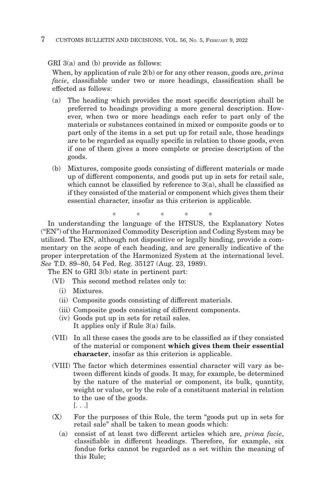#### 7 CUSTOMS BULLETIN AND DECISIONS, VOL. 56, NO. 5, FEBRUARY 9, 2022

GRI 3(a) and (b) provide as follows:

When, by application of rule 2(b) or for any other reason, goods are, *prima facie*, classifiable under two or more headings, classification shall be effected as follows:

- (a) The heading which provides the most specific description shall be preferred to headings providing a more general description. However, when two or more headings each refer to part only of the materials or substances contained in mixed or composite goods or to part only of the items in a set put up for retail sale, those headings are to be regarded as equally specific in relation to those goods, even if one of them gives a more complete or precise description of the goods.
- (b) Mixtures, composite goods consisting of different materials or made up of different components, and goods put up in sets for retail sale, which cannot be classified by reference to  $3(a)$ , shall be classified as if they consisted of the material or component which gives them their essential character, insofar as this criterion is applicable.

\* \* \* \* \*

In understanding the language of the HTSUS, the Explanatory Notes ("EN") of the Harmonized Commodity Description and Coding System may be utilized. The EN, although not dispositive or legally binding, provide a commentary on the scope of each heading, and are generally indicative of the proper interpretation of the Harmonized System at the international level. *See* T.D. 89–80, 54 Fed. Reg. 35127 (Aug. 23, 1989).

The EN to GRI 3(b) state in pertinent part:

- (VI) This second method relates only to:
	- (i) Mixtures.
	- (ii) Composite goods consisting of different materials.
	- (iii) Composite goods consisting of different components.
	- (iv) Goods put up in sets for retail sales. It applies only if Rule 3(a) fails.
- (VII) In all these cases the goods are to be classified as if they consisted of the material or component **which gives them their essential character**, insofar as this criterion is applicable.
- (VIII) The factor which determines essential character will vary as between different kinds of goods. It may, for example, be determined by the nature of the material or component, its bulk, quantity, weight or value, or by the role of a constituent material in relation to the use of the goods. [. . .]
- (X) For the purposes of this Rule, the term "goods put up in sets for retail sale" shall be taken to mean goods which:
	- (a) consist of at least two different articles which are, *prima facie*, classifiable in different headings. Therefore, for example, six fondue forks cannot be regarded as a set within the meaning of this Rule;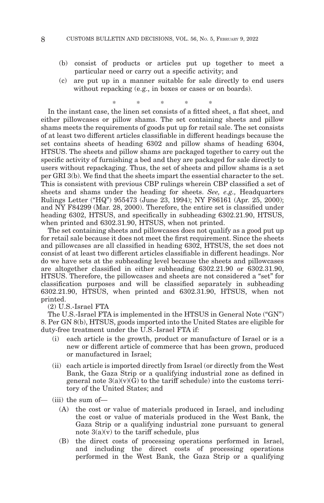- (b) consist of products or articles put up together to meet a particular need or carry out a specific activity; and
- (c) are put up in a manner suitable for sale directly to end users without repacking (e.g., in boxes or cases or on boards).

\* \* \* \* \* In the instant case, the linen set consists of a fitted sheet, a flat sheet, and either pillowcases or pillow shams. The set containing sheets and pillow shams meets the requirements of goods put up for retail sale. The set consists of at least two different articles classifiable in different headings because the set contains sheets of heading 6302 and pillow shams of heading 6304, HTSUS. The sheets and pillow shams are packaged together to carry out the specific activity of furnishing a bed and they are packaged for sale directly to users without repackaging. Thus, the set of sheets and pillow shams is a set per GRI 3(b). We find that the sheets impart the essential character to the set. This is consistent with previous CBP rulings wherein CBP classified a set of sheets and shams under the heading for sheets. *See, e.g.,* Headquarters Rulings Letter ("HQ") 955473 (June 23, 1994); NY F86161 (Apr. 25, 2000); and NY F84299 (Mar. 28, 2000). Therefore, the entire set is classified under heading 6302, HTSUS, and specifically in subheading 6302.21.90, HTSUS, when printed and 6302.31.90, HTSUS, when not printed.

The set containing sheets and pillowcases does not qualify as a good put up for retail sale because it does not meet the first requirement. Since the sheets and pillowcases are all classified in heading 6302, HTSUS, the set does not consist of at least two different articles classifiable in different headings. Nor do we have sets at the subheading level because the sheets and pillowcases are altogether classified in either subheading 6302.21.90 or 6302.31.90, HTSUS. Therefore, the pillowcases and sheets are not considered a "set" for classification purposes and will be classified separately in subheading  $6302.21.90$ , HTSUS, when printed and  $6302.31.90$ , HTSUS, when not printed.

(2) U.S.-Israel FTA

The U.S.-Israel FTA is implemented in the HTSUS in General Note ("GN") 8. Per GN 8(b), HTSUS, goods imported into the United States are eligible for duty-free treatment under the U.S.-Israel FTA if:

- (i) each article is the growth, product or manufacture of Israel or is a new or different article of commerce that has been grown, produced or manufactured in Israel;
- (ii) each article is imported directly from Israel (or directly from the West Bank, the Gaza Strip or a qualifying industrial zone as defined in general note  $3(a)(v)(\bar{G})$  to the tariff schedule) into the customs territory of the United States; and
- (iii) the sum of—
	- (A) the cost or value of materials produced in Israel, and including the cost or value of materials produced in the West Bank, the Gaza Strip or a qualifying industrial zone pursuant to general note  $3(a)(v)$  to the tariff schedule, plus
	- (B) the direct costs of processing operations performed in Israel, and including the direct costs of processing operations performed in the West Bank, the Gaza Strip or a qualifying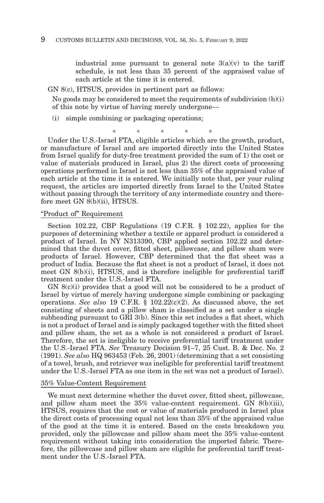industrial zone pursuant to general note  $3(a)(v)$  to the tariff schedule, is not less than 35 percent of the appraised value of each article at the time it is entered.

GN 8(c), HTSUS, provides in pertinent part as follows:

No goods may be considered to meet the requirements of subdivision  $(b)(i)$ of this note by virtue of having merely undergone—

(i) simple combining or packaging operations;

\*\*\*\* \*

Under the U.S.-Israel FTA, eligible articles which are the growth, product, or manufacture of Israel and are imported directly into the United States from Israel qualify for duty-free treatment provided the sum of 1) the cost or value of materials produced in Israel, plus 2) the direct costs of processing operations performed in Israel is not less than 35% of the appraised value of each article at the time it is entered. We initially note that, per your ruling request, the articles are imported directly from Israel to the United States without passing through the territory of any intermediate country and therefore meet GN 8(b)(ii), HTSUS.

#### "Product of" Requirement

Section 102.22, CBP Regulations (19 C.F.R. § 102.22), applies for the purposes of determining whether a textile or apparel product is considered a product of Israel. In NY N313390, CBP applied section 102.22 and determined that the duvet cover, fitted sheet, pillowcase, and pillow sham were products of Israel. However, CBP determined that the flat sheet was a product of India. Because the flat sheet is not a product of Israel, it does not meet GN 8(b)(i), HTSUS, and is therefore ineligible for preferential tariff treatment under the U.S.-Israel FTA.

GN 8(c)(i) provides that a good will not be considered to be a product of Israel by virtue of merely having undergone simple combining or packaging operations. *See also* 19 C.F.R. § 102.22(c)(2). As discussed above, the set consisting of sheets and a pillow sham is classified as a set under a single subheading pursuant to GRI 3(b). Since this set includes a flat sheet, which is not a product of Israel and is simply packaged together with the fitted sheet and pillow sham, the set as a whole is not considered a product of Israel. Therefore, the set is ineligible to receive preferential tariff treatment under the U.S.-Israel FTA. *See* Treasury Decision 91–7, 25 Cust. B. & Dec. No. 2 (1991). *See also* HQ 963453 (Feb. 26, 2001) (determining that a set consisting of a towel, brush, and retriever was ineligible for preferential tariff treatment under the U.S.-Israel FTA as one item in the set was not a product of Israel).

#### 35% Value-Content Requirement

We must next determine whether the duvet cover, fitted sheet, pillowcase, and pillow sham meet the 35% value-content requirement. GN 8(b)(iii), HTSUS, requires that the cost or value of materials produced in Israel plus the direct costs of processing equal not less than 35% of the appraised value of the good at the time it is entered. Based on the costs breakdown you provided, only the pillowcase and pillow sham meet the 35% value-content requirement without taking into consideration the imported fabric. Therefore, the pillowcase and pillow sham are eligible for preferential tariff treatment under the U.S.-Israel FTA.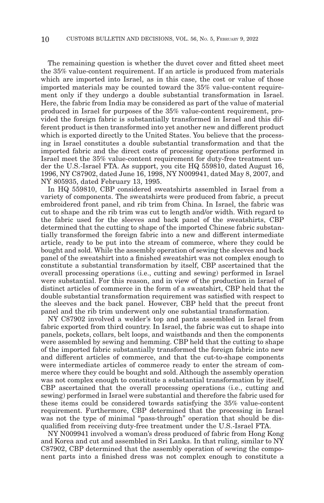The remaining question is whether the duvet cover and fitted sheet meet the 35% value-content requirement. If an article is produced from materials which are imported into Israel, as in this case, the cost or value of those imported materials may be counted toward the 35% value-content requirement only if they undergo a double substantial transformation in Israel. Here, the fabric from India may be considered as part of the value of material produced in Israel for purposes of the 35% value-content requirement, provided the foreign fabric is substantially transformed in Israel and this different product is then transformed into yet another new and different product which is exported directly to the United States. You believe that the processing in Israel constitutes a double substantial transformation and that the imported fabric and the direct costs of processing operations performed in Israel meet the 35% value-content requirement for duty-free treatment under the U.S.-Israel FTA. As support, you cite HQ 559810, dated August 16, 1996, NY C87902, dated June 16, 1998, NY N009941, dated May 8, 2007, and NY 805935, dated February 13, 1995.

In HQ 559810, CBP considered sweatshirts assembled in Israel from a variety of components. The sweatshirts were produced from fabric, a precut embroidered front panel, and rib trim from China. In Israel, the fabric was cut to shape and the rib trim was cut to length and/or width. With regard to the fabric used for the sleeves and back panel of the sweatshirts, CBP determined that the cutting to shape of the imported Chinese fabric substantially transformed the foreign fabric into a new and different intermediate article, ready to be put into the stream of commerce, where they could be bought and sold. While the assembly operation of sewing the sleeves and back panel of the sweatshirt into a finished sweatshirt was not complex enough to constitute a substantial transformation by itself, CBP ascertained that the overall processing operations (i.e., cutting and sewing) performed in Israel were substantial. For this reason, and in view of the production in Israel of distinct articles of commerce in the form of a sweatshirt, CBP held that the double substantial transformation requirement was satisfied with respect to the sleeves and the back panel. However, CBP held that the precut front panel and the rib trim underwent only one substantial transformation.

NY C87902 involved a welder's top and pants assembled in Israel from fabric exported from third country. In Israel, the fabric was cut to shape into panels, pockets, collars, belt loops, and waistbands and then the components were assembled by sewing and hemming. CBP held that the cutting to shape of the imported fabric substantially transformed the foreign fabric into new and different articles of commerce, and that the cut-to-shape components were intermediate articles of commerce ready to enter the stream of commerce where they could be bought and sold. Although the assembly operation was not complex enough to constitute a substantial transformation by itself, CBP ascertained that the overall processing operations (i.e., cutting and sewing) performed in Israel were substantial and therefore the fabric used for these items could be considered towards satisfying the 35% value-content requirement. Furthermore, CBP determined that the processing in Israel was not the type of minimal "pass-through" operation that should be disqualified from receiving duty-free treatment under the U.S.-Israel FTA.

NY N009941 involved a woman's dress produced of fabric from Hong Kong and Korea and cut and assembled in Sri Lanka. In that ruling, similar to NY C87902, CBP determined that the assembly operation of sewing the component parts into a finished dress was not complex enough to constitute a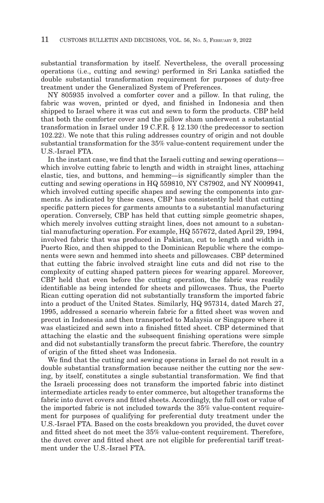substantial transformation by itself. Nevertheless, the overall processing operations (i.e., cutting and sewing) performed in Sri Lanka satisfied the double substantial transformation requirement for purposes of duty-free treatment under the Generalized System of Preferences.

NY 805935 involved a comforter cover and a pillow. In that ruling, the fabric was woven, printed or dyed, and finished in Indonesia and then shipped to Israel where it was cut and sewn to form the products. CBP held that both the comforter cover and the pillow sham underwent a substantial transformation in Israel under 19 C.F.R. § 12.130 (the predecessor to section 102.22). We note that this ruling addresses country of origin and not double substantial transformation for the 35% value-content requirement under the U.S.-Israel FTA.

In the instant case, we find that the Israeli cutting and sewing operations which involve cutting fabric to length and width in straight lines, attaching elastic, ties, and buttons, and hemming—is significantly simpler than the cutting and sewing operations in HQ 559810, NY C87902, and NY N009941, which involved cutting specific shapes and sewing the components into garments. As indicated by these cases, CBP has consistently held that cutting specific pattern pieces for garments amounts to a substantial manufacturing operation. Conversely, CBP has held that cutting simple geometric shapes, which merely involves cutting straight lines, does not amount to a substantial manufacturing operation. For example, HQ 557672, dated April 29, 1994, involved fabric that was produced in Pakistan, cut to length and width in Puerto Rico, and then shipped to the Dominican Republic where the components were sewn and hemmed into sheets and pillowcases. CBP determined that cutting the fabric involved straight line cuts and did not rise to the complexity of cutting shaped pattern pieces for wearing apparel. Moreover, CBP held that even before the cutting operation, the fabric was readily identifiable as being intended for sheets and pillowcases. Thus, the Puerto Rican cutting operation did not substantially transform the imported fabric into a product of the United States. Similarly, HQ 957314, dated March 27, 1995, addressed a scenario wherein fabric for a fitted sheet was woven and precut in Indonesia and then transported to Malaysia or Singapore where it was elasticized and sewn into a finished fitted sheet. CBP determined that attaching the elastic and the subsequent finishing operations were simple and did not substantially transform the precut fabric. Therefore, the country of origin of the fitted sheet was Indonesia.

We find that the cutting and sewing operations in Israel do not result in a double substantial transformation because neither the cutting nor the sewing, by itself, constitutes a single substantial transformation. We find that the Israeli processing does not transform the imported fabric into distinct intermediate articles ready to enter commerce, but altogether transforms the fabric into duvet covers and fitted sheets. Accordingly, the full cost or value of the imported fabric is not included towards the 35% value-content requirement for purposes of qualifying for preferential duty treatment under the U.S.-Israel FTA. Based on the costs breakdown you provided, the duvet cover and fitted sheet do not meet the 35% value-content requirement. Therefore, the duvet cover and fitted sheet are not eligible for preferential tariff treatment under the U.S.-Israel FTA.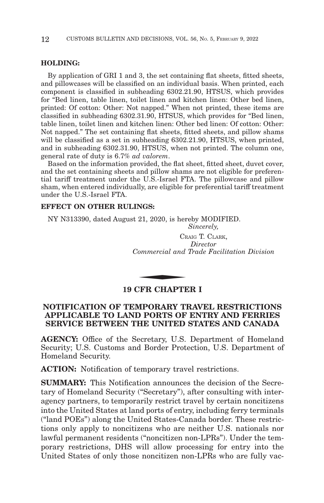#### **HOLDING:**

By application of GRI 1 and 3, the set containing flat sheets, fitted sheets, and pillowcases will be classified on an individual basis. When printed, each component is classified in subheading 6302.21.90, HTSUS, which provides for "Bed linen, table linen, toilet linen and kitchen linen: Other bed linen, printed: Of cotton: Other: Not napped." When not printed, these items are classified in subheading 6302.31.90, HTSUS, which provides for "Bed linen, table linen, toilet linen and kitchen linen: Other bed linen: Of cotton: Other: Not napped." The set containing flat sheets, fitted sheets, and pillow shams will be classified as a set in subheading 6302.21.90, HTSUS, when printed, and in subheading 6302.31.90, HTSUS, when not printed. The column one, general rate of duty is 6.7% *ad valorem*.

Based on the information provided, the flat sheet, fitted sheet, duvet cover, and the set containing sheets and pillow shams are not eligible for preferential tariff treatment under the U.S.-Israel FTA. The pillowcase and pillow sham, when entered individually, are eligible for preferential tariff treatment under the U.S.-Israel FTA.

#### **EFFECT ON OTHER RULINGS:**

NY N313390, dated August 21, 2020, is hereby MODIFIED.

*Sincerely,*

CRAIG T. CLARK, *Director Commercial and Trade Facilitation Division* CR<br>
Commercial and<br>
CHE CHAPTE

#### **19 CFR CHAPTER I**

## **NOTIFICATION OF TEMPORARY TRAVEL RESTRICTIONS APPLICABLE TO LAND PORTS OF ENTRY AND FERRIES SERVICE BETWEEN THE UNITED STATES AND CANADA**

**AGENCY:** Office of the Secretary, U.S. Department of Homeland Security; U.S. Customs and Border Protection, U.S. Department of Homeland Security.

**ACTION:** Notification of temporary travel restrictions.

**SUMMARY:** This Notification announces the decision of the Secretary of Homeland Security (''Secretary''), after consulting with interagency partners, to temporarily restrict travel by certain noncitizens into the United States at land ports of entry, including ferry terminals (''land POEs'') along the United States-Canada border. These restrictions only apply to noncitizens who are neither U.S. nationals nor lawful permanent residents ("noncitizen non-LPRs"). Under the temporary restrictions, DHS will allow processing for entry into the United States of only those noncitizen non-LPRs who are fully vac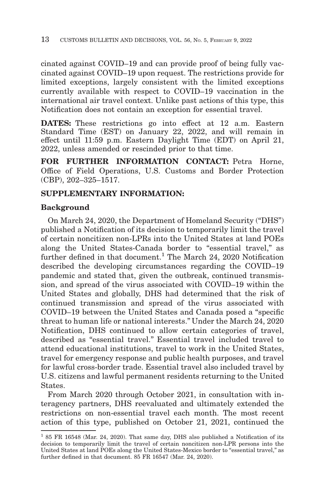cinated against COVID–19 and can provide proof of being fully vaccinated against COVID–19 upon request. The restrictions provide for limited exceptions, largely consistent with the limited exceptions currently available with respect to COVID–19 vaccination in the international air travel context. Unlike past actions of this type, this Notification does not contain an exception for essential travel.

**DATES:** These restrictions go into effect at 12 a.m. Eastern Standard Time (EST) on January 22, 2022, and will remain in effect until 11:59 p.m. Eastern Daylight Time (EDT) on April 21, 2022, unless amended or rescinded prior to that time.

**FOR FURTHER INFORMATION CONTACT:** Petra Horne, Office of Field Operations, U.S. Customs and Border Protection (CBP), 202–325–1517.

## **SUPPLEMENTARY INFORMATION:**

## **Background**

On March 24, 2020, the Department of Homeland Security (''DHS'') published a Notification of its decision to temporarily limit the travel of certain noncitizen non-LPRs into the United States at land POEs along the United States-Canada border to "essential travel," as further defined in that document.<sup>1</sup> The March 24, 2020 Notification described the developing circumstances regarding the COVID–19 pandemic and stated that, given the outbreak, continued transmission, and spread of the virus associated with COVID–19 within the United States and globally, DHS had determined that the risk of continued transmission and spread of the virus associated with COVID–19 between the United States and Canada posed a ''specific threat to human life or national interests.'' Under the March 24, 2020 Notification, DHS continued to allow certain categories of travel, described as "essential travel." Essential travel included travel to attend educational institutions, travel to work in the United States, travel for emergency response and public health purposes, and travel for lawful cross-border trade. Essential travel also included travel by U.S. citizens and lawful permanent residents returning to the United States.

From March 2020 through October 2021, in consultation with interagency partners, DHS reevaluated and ultimately extended the restrictions on non-essential travel each month. The most recent action of this type, published on October 21, 2021, continued the

<sup>&</sup>lt;sup>1</sup> 85 FR 16548 (Mar. 24, 2020). That same day, DHS also published a Notification of its decision to temporarily limit the travel of certain noncitizen non-LPR persons into the United States at land POEs along the United States-Mexico border to "essential travel," as further defined in that document. 85 FR 16547 (Mar. 24, 2020).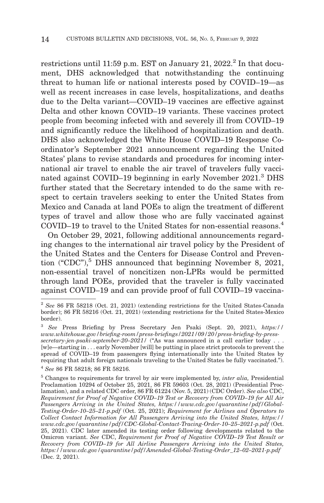restrictions until 11:59 p.m. EST on January 21,  $2022<sup>2</sup>$  In that document, DHS acknowledged that notwithstanding the continuing threat to human life or national interests posed by COVID–19—as well as recent increases in case levels, hospitalizations, and deaths due to the Delta variant—COVID–19 vaccines are effective against Delta and other known COVID–19 variants. These vaccines protect people from becoming infected with and severely ill from COVID–19 and significantly reduce the likelihood of hospitalization and death. DHS also acknowledged the White House COVID–19 Response Coordinator's September 2021 announcement regarding the United States' plans to revise standards and procedures for incoming international air travel to enable the air travel of travelers fully vaccinated against COVID–19 beginning in early November 2021.3 DHS further stated that the Secretary intended to do the same with respect to certain travelers seeking to enter the United States from Mexico and Canada at land POEs to align the treatment of different types of travel and allow those who are fully vaccinated against COVID–19 to travel to the United States for non-essential reasons.<sup>4</sup>

On October 29, 2021, following additional announcements regarding changes to the international air travel policy by the President of the United States and the Centers for Disease Control and Prevention ("CDC"), $5$  DHS announced that beginning November 8, 2021, non-essential travel of noncitizen non-LPRs would be permitted through land POEs, provided that the traveler is fully vaccinated against COVID–19 and can provide proof of full COVID–19 vaccina-

<sup>2</sup>*See* 86 FR 58218 (Oct. 21, 2021) (extending restrictions for the United States-Canada border); 86 FR 58216 (Oct. 21, 2021) (extending restrictions for the United States-Mexico border).

<sup>3</sup>*See* Press Briefing by Press Secretary Jen Psaki (Sept. 20, 2021), *https:// www.whitehouse.gov/briefing-room/press-briefings/2021/09/20/press-briefing-by-press*secretary-jen-psaki-september-20-2021/ <sup>("</sup>As was announced in a call earlier today . . . [w]e—starting in . . . early November [will] be putting in place strict protocols to prevent the spread of COVID–19 from passengers flying internationally into the United States by requiring that adult foreign nationals traveling to the United States be fully vaccinated.''). <sup>4</sup>*See* 86 FR 58218; 86 FR 58216.

<sup>5</sup> Changes to requirements for travel by air were implemented by, *inter alia,* Presidential Proclamation 10294 of October 25, 2021, 86 FR 59603 (Oct. 28, 2021) (Presidential Proclamation), and a related CDC order, 86 FR 61224 (Nov. 5, 2021) (CDC Order). *See also* CDC, *Requirement for Proof of Negative COVID–19 Test or Recovery from COVID–19 for All Air Passengers Arriving in the United States, https://www.cdc.gov/quarantine/pdf/Global-Testing-Order-10–25–21-p.pdf* (Oct. 25, 2021); *Requirement for Airlines and Operators to Collect Contact Information for All Passengers Arriving into the United States, https:// www.cdc.gov/quarantine/pdf/CDC-Global-Contact-Tracing-Order-10–25–2021-p.pdf* (Oct. 25, 2021). CDC later amended its testing order following developments related to the Omicron variant. *See* CDC, *Requirement for Proof of Negative COVID–19 Test Result or Recovery from COVID–19 for All Airline Passengers Arriving into the United States, https://www.cdc.gov/quarantine/pdf/Amended-Global-Testing-Order\_12–02–2021-p.pdf* (Dec. 2, 2021).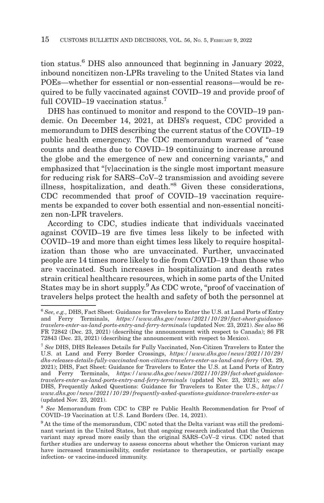tion status.<sup>6</sup> DHS also announced that beginning in January 2022, inbound noncitizen non-LPRs traveling to the United States via land POEs—whether for essential or non-essential reasons—would be required to be fully vaccinated against COVID–19 and provide proof of full COVID–19 vaccination status.<sup>7</sup>

DHS has continued to monitor and respond to the COVID–19 pandemic. On December 14, 2021, at DHS's request, CDC provided a memorandum to DHS describing the current status of the COVID–19 public health emergency. The CDC memorandum warned of ''case counts and deaths due to COVID–19 continuing to increase around the globe and the emergence of new and concerning variants,'' and emphasized that ''[v]accination is the single most important measure for reducing risk for SARS–CoV–2 transmission and avoiding severe illness, hospitalization, and death.''8 Given these considerations, CDC recommended that proof of COVID–19 vaccination requirements be expanded to cover both essential and non-essential noncitizen non-LPR travelers.

According to CDC, studies indicate that individuals vaccinated against COVID–19 are five times less likely to be infected with COVID–19 and more than eight times less likely to require hospitalization than those who are unvaccinated. Further, unvaccinated people are 14 times more likely to die from COVID–19 than those who are vaccinated. Such increases in hospitalization and death rates strain critical healthcare resources, which in some parts of the United States may be in short supply.<sup>9</sup> As CDC wrote, "proof of vaccination of travelers helps protect the health and safety of both the personnel at

<sup>6</sup>*See, e.g.,* DHS, Fact Sheet: Guidance for Travelers to Enter the U.S. at Land Ports of Entry and Ferry Terminals, *https://www.dhs.gov/news/2021/10/29/fact-sheet-guidancetravelers-enter-us-land-ports-entry-and-ferry-terminals* (updated Nov. 23, 2021). *See also* 86 FR 72842 (Dec. 23, 2021) (describing the announcement with respect to Canada); 86 FR 72843 (Dec. 23, 2021) (describing the announcement with respect to Mexico).

<sup>7</sup>*See* DHS, DHS Releases Details for Fully Vaccinated, Non-Citizen Travelers to Enter the U.S. at Land and Ferry Border Crossings, *https://www.dhs.gov/news/2021/10/29/ dhs-releases-details-fully-vaccinated-non-citizen-travelers-enter-us-land-and-ferry* (Oct. 29, 2021); DHS, Fact Sheet: Guidance for Travelers to Enter the U.S. at Land Ports of Entry and Ferry Terminals, *https://www.dhs.gov/news/2021/10/29/fact-sheet-guidancetravelers-enter-us-land-ports-entry-and-ferry-terminals* (updated Nov. 23, 2021); *see also* DHS, Frequently Asked Questions: Guidance for Travelers to Enter the U.S., *https:// www.dhs.gov/news/2021/10/29/frequently-asked-questions-guidance-travelers-enter-us* (updated Nov. 23, 2021).

<sup>8</sup>*See* Memorandum from CDC to CBP re Public Health Recommendation for Proof of COVID–19 Vaccination at U.S. Land Borders (Dec. 14, 2021).

<sup>&</sup>lt;sup>9</sup> At the time of the memorandum, CDC noted that the Delta variant was still the predominant variant in the United States, but that ongoing research indicated that the Omicron variant may spread more easily than the original SARS–CoV–2 virus. CDC noted that further studies are underway to assess concerns about whether the Omicron variant may have increased transmissibility, confer resistance to therapeutics, or partially escape infection- or vaccine-induced immunity.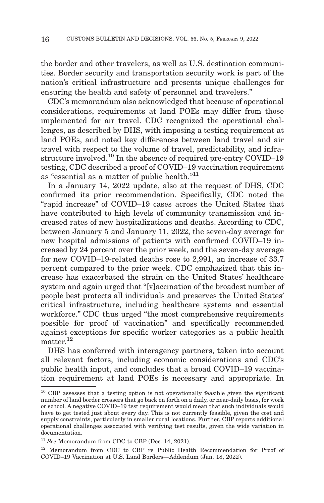the border and other travelers, as well as U.S. destination communities. Border security and transportation security work is part of the nation's critical infrastructure and presents unique challenges for ensuring the health and safety of personnel and travelers.''

CDC's memorandum also acknowledged that because of operational considerations, requirements at land POEs may differ from those implemented for air travel. CDC recognized the operational challenges, as described by DHS, with imposing a testing requirement at land POEs, and noted key differences between land travel and air travel with respect to the volume of travel, predictability, and infrastructure involved.<sup>10</sup> In the absence of required pre-entry COVID–19 testing, CDC described a proof of COVID–19 vaccination requirement as "essential as a matter of public health."<sup>11</sup>

In a January 14, 2022 update, also at the request of DHS, CDC confirmed its prior recommendation. Specifically, CDC noted the ''rapid increase'' of COVID–19 cases across the United States that have contributed to high levels of community transmission and increased rates of new hospitalizations and deaths. According to CDC, between January 5 and January 11, 2022, the seven-day average for new hospital admissions of patients with confirmed COVID–19 increased by 24 percent over the prior week, and the seven-day average for new COVID–19-related deaths rose to 2,991, an increase of 33.7 percent compared to the prior week. CDC emphasized that this increase has exacerbated the strain on the United States' healthcare system and again urged that ''[v]accination of the broadest number of people best protects all individuals and preserves the United States' critical infrastructure, including healthcare systems and essential workforce." CDC thus urged "the most comprehensive requirements" possible for proof of vaccination'' and specifically recommended against exceptions for specific worker categories as a public health matter.<sup>12</sup>

DHS has conferred with interagency partners, taken into account all relevant factors, including economic considerations and CDC's public health input, and concludes that a broad COVID–19 vaccination requirement at land POEs is necessary and appropriate. In

<sup>&</sup>lt;sup>10</sup> CBP assesses that a testing option is not operationally feasible given the significant number of land border crossers that go back on forth on a daily, or near-daily basis, for work or school. A negative COVID–19 test requirement would mean that such individuals would have to get tested just about every day. This is not currently feasible, given the cost and supply constraints, particularly in smaller rural locations. Further, CBP reports additional operational challenges associated with verifying test results, given the wide variation in documentation.

<sup>11</sup>*See* Memorandum from CDC to CBP (Dec. 14, 2021).

<sup>12</sup> Memorandum from CDC to CBP re Public Health Recommendation for Proof of COVID–19 Vaccination at U.S. Land Borders—Addendum (Jan. 18, 2022).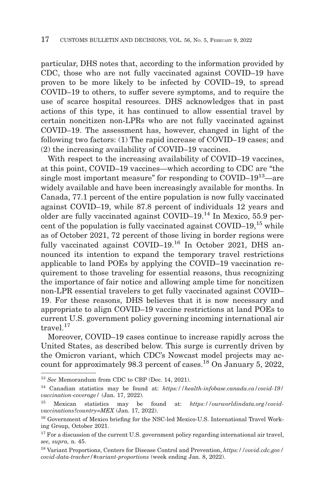particular, DHS notes that, according to the information provided by CDC, those who are not fully vaccinated against COVID–19 have proven to be more likely to be infected by COVID–19, to spread COVID–19 to others, to suffer severe symptoms, and to require the use of scarce hospital resources. DHS acknowledges that in past actions of this type, it has continued to allow essential travel by certain noncitizen non-LPRs who are not fully vaccinated against COVID–19. The assessment has, however, changed in light of the following two factors: (1) The rapid increase of COVID–19 cases; and (2) the increasing availability of COVID–19 vaccines.

With respect to the increasing availability of COVID–19 vaccines, at this point, COVID–19 vaccines—which according to CDC are ''the single most important measure" for responding to  $\text{COVID-19}^{13}$ —are widely available and have been increasingly available for months. In Canada, 77.1 percent of the entire population is now fully vaccinated against COVID–19, while 87.8 percent of individuals 12 years and older are fully vaccinated against COVID–19.14 In Mexico, 55.9 percent of the population is fully vaccinated against  $\text{COVID}-19$ ,  $^{15}$  while as of October 2021, 72 percent of those living in border regions were fully vaccinated against COVID–19.<sup>16</sup> In October 2021, DHS announced its intention to expand the temporary travel restrictions applicable to land POEs by applying the COVID–19 vaccination requirement to those traveling for essential reasons, thus recognizing the importance of fair notice and allowing ample time for noncitizen non-LPR essential travelers to get fully vaccinated against COVID– 19. For these reasons, DHS believes that it is now necessary and appropriate to align COVID–19 vaccine restrictions at land POEs to current U.S. government policy governing incoming international air travel.17

Moreover, COVID–19 cases continue to increase rapidly across the United States, as described below. This surge is currently driven by the Omicron variant, which CDC's Nowcast model projects may account for approximately 98.3 percent of cases.18 On January 5, 2022,

<sup>13</sup>*See* Memorandum from CDC to CBP (Dec. 14, 2021).

<sup>14</sup> Canadian statistics may be found at: *https://health-infobase.canada.ca/covid-19/ vaccination-coverage/* (Jan. 17, 2022).

<sup>15</sup> Mexican statistics may be found at: *https://ourworldindata.org/covidvaccinations?country=MEX* (Jan. 17, 2022).

<sup>16</sup> Government of Mexico briefing for the NSC-led Mexico-U.S. International Travel Working Group, October 2021.

 $^{17}$  For a discussion of the current U.S. government policy regarding international air travel, *see, supra,* n. 45.

<sup>18</sup> Variant Proportions, Centers for Disease Control and Prevention, *https://covid.cdc.gov/ covid-data-tracker/#variant-proportions* (week ending Jan. 8, 2022).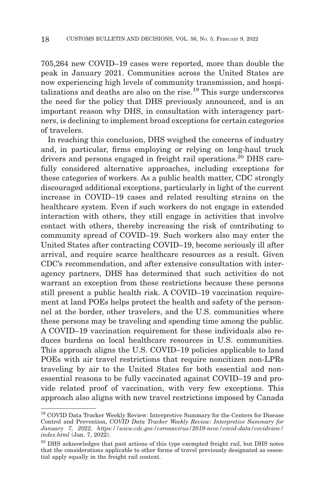705,264 new COVID–19 cases were reported, more than double the peak in January 2021. Communities across the United States are now experiencing high levels of community transmission, and hospitalizations and deaths are also on the rise.<sup>19</sup> This surge underscores the need for the policy that DHS previously announced, and is an important reason why DHS, in consultation with interagency partners, is declining to implement broad exceptions for certain categories of travelers.

In reaching this conclusion, DHS weighed the concerns of industry and, in particular, firms employing or relying on long-haul truck drivers and persons engaged in freight rail operations.<sup>20</sup> DHS carefully considered alternative approaches, including exceptions for these categories of workers. As a public health matter, CDC strongly discouraged additional exceptions, particularly in light of the current increase in COVID–19 cases and related resulting strains on the healthcare system. Even if such workers do not engage in extended interaction with others, they still engage in activities that involve contact with others, thereby increasing the risk of contributing to community spread of COVID–19. Such workers also may enter the United States after contracting COVID–19, become seriously ill after arrival, and require scarce healthcare resources as a result. Given CDC's recommendation, and after extensive consultation with interagency partners, DHS has determined that such activities do not warrant an exception from these restrictions because these persons still present a public health risk. A COVID–19 vaccination requirement at land POEs helps protect the health and safety of the personnel at the border, other travelers, and the U.S. communities where these persons may be traveling and spending time among the public. A COVID–19 vaccination requirement for these individuals also reduces burdens on local healthcare resources in U.S. communities. This approach aligns the U.S. COVID–19 policies applicable to land POEs with air travel restrictions that require noncitizen non-LPRs traveling by air to the United States for both essential and nonessential reasons to be fully vaccinated against COVID–19 and provide related proof of vaccination, with very few exceptions. This approach also aligns with new travel restrictions imposed by Canada

<sup>&</sup>lt;sup>19</sup> COVID Data Tracker Weekly Review: Interpretive Summary for the Centers for Disease Control and Prevention, *COVID Data Tracker Weekly Review: Interpretive Summary for January 7, 2022, https://www.cdc.gov/coronavirus/2019-ncov/covid-data/covidview/ index.html* (Jan. 7, 2022).

<sup>&</sup>lt;sup>20</sup> DHS acknowledges that past actions of this type exempted freight rail, but DHS notes that the considerations applicable to other forms of travel previously designated as essential apply equally in the freight rail context.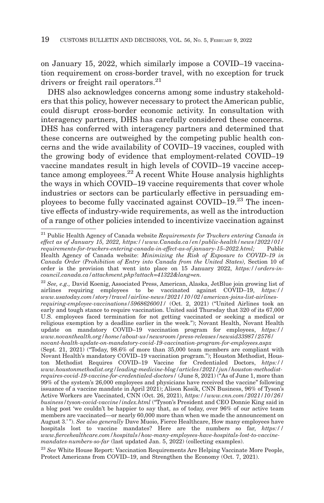on January 15, 2022, which similarly impose a COVID–19 vaccination requirement on cross-border travel, with no exception for truck drivers or freight rail operators.<sup>21</sup>

DHS also acknowledges concerns among some industry stakeholders that this policy, however necessary to protect the American public, could disrupt cross-border economic activity. In consultation with interagency partners, DHS has carefully considered these concerns. DHS has conferred with interagency partners and determined that these concerns are outweighed by the competing public health concerns and the wide availability of COVID–19 vaccines, coupled with the growing body of evidence that employment-related COVID–19 vaccine mandates result in high levels of COVID–19 vaccine acceptance among employees.<sup>22</sup> A recent White House analysis highlights the ways in which COVID–19 vaccine requirements that cover whole industries or sectors can be particularly effective in persuading employees to become fully vaccinated against COVID–19.23 The incentive effects of industry-wide requirements, as well as the introduction of a range of other policies intended to incentivize vaccination against

<sup>22</sup>*See, e.g.,* David Koenig, Associated Press, American, Alaska, JetBlue join growing list of airlines requiring employees to be vaccinated against COVID–19, *https:// www.usatoday.com/story/travel/airline-news/2021/10/02/american-joins-list-airlinesrequiring-employee-vaccinations/5968626001/* (Oct. 2, 2021) (''United Airlines took an early and tough stance to require vaccination. United said Thursday that 320 of its 67,000 U.S. employees faced termination for not getting vaccinated or seeking a medical or religious exemption by a deadline earlier in the week.''); Novant Health, Novant Health update on mandatory COVID–19 vaccination program for employees, *https:// www.novanthealth.org/home/about-us/newsroom/press-releases/newsid33987/2576/ novant-health-update-on-mandatory-covid-19-vaccination-program-for-employees.aspx* (Sept. 21, 2021) (''Today, 98.6% of more than 35,000 team members are compliant with Novant Health's mandatory COVID–19 vaccination program.''); Houston Methodist, Houston Methodist Requires COVID–19 Vaccine for Credentialed Doctors, *https:// www.houstonmethodist.org/leading-medicine-blog/articles/2021/jun/houston-methodistrequires-covid-19-vaccine-for-credentialed-doctors/* (June 8, 2021) (''As of June 1, more than 99% of the system's 26,000 employees and physicians have received the vaccine'' following issuance of a vaccine mandate in April 2021); Alison Kosik, CNN Business, 96% of Tyson's Active Workers are Vaccinated, CNN (Oct. 26, 2021), *https://www.cnn.com/2021/10/26/ business/tyson-covid-vaccine/index.html* (''Tyson's President and CEO Donnie King said in a blog post 'we couldn't be happier to say that, as of today, over 96% of our active team members are vaccinated—or nearly 60,000 more than when we made the announcement on August 3.' ''). *See also generally* Dave Muoio, Fierce Healthcare, How many employees have hospitals lost to vaccine mandates? Here are the numbers so far, *https:// www.fiercehealthcare.com/hospitals/how-many-employees-have-hospitals-lost-to-vaccinemandates-numbers-so-far* (last updated Jan. 5, 2022) (collecting examples).

<sup>23</sup>*See* White House Report: Vaccination Requirements Are Helping Vaccinate More People, Protect Americans from COVID–19, and Strengthen the Economy (Oct. 7, 2021).

<sup>21</sup> Public Health Agency of Canada website *Requirements for Truckers entering Canada in effect as of January 15, 2022, https://www.Canada.ca/en/public-health/news/2022/01/ requirements-for-truckers-entering-canada-in-effect-as-of-january-15–2022.html;* Public Health Agency of Canada website: *Minimizing the Risk of Exposure to COVID–19 in Canada Order (Prohibition of Entry into Canada from the United States),* Section 10 of order is the provision that went into place on 15 January 2022, *https://orders-incouncil.canada.ca/attachment.php?attach=41322&lang=en.*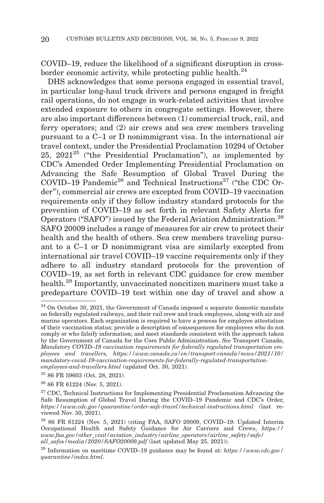COVID–19, reduce the likelihood of a significant disruption in crossborder economic activity, while protecting public health. $^{24}$ 

DHS acknowledges that some persons engaged in essential travel, in particular long-haul truck drivers and persons engaged in freight rail operations, do not engage in work-related activities that involve extended exposure to others in congregate settings. However, there are also important differences between (1) commercial truck, rail, and ferry operators; and (2) air crews and sea crew members traveling pursuant to a C–1 or D nonimmigrant visa. In the international air travel context, under the Presidential Proclamation 10294 of October 25,  $2021^{25}$  ("the Presidential Proclamation"), as implemented by CDC's Amended Order Implementing Presidential Proclamation on Advancing the Safe Resumption of Global Travel During the COVID–19 Pandemic<sup>26</sup> and Technical Instructions<sup>27</sup> ("the CDC Order''), commercial air crews are excepted from COVID–19 vaccination requirements only if they follow industry standard protocols for the prevention of COVID–19 as set forth in relevant Safety Alerts for Operators ("SAFO") issued by the Federal Aviation Administration.<sup>28</sup> SAFO 20009 includes a range of measures for air crew to protect their health and the health of others. Sea crew members traveling pursuant to a C–1 or D nonimmigrant visa are similarly excepted from international air travel COVID–19 vaccine requirements only if they adhere to all industry standard protocols for the prevention of COVID–19, as set forth in relevant CDC guidance for crew member health.<sup>29</sup> Importantly, unvaccinated noncitizen mariners must take a predeparture COVID–19 test within one day of travel and show a

25 86 FR 59603 (Oct. 28, 2021).

26 86 FR 61224 (Nov. 5, 2021).

<sup>&</sup>lt;sup>24</sup> On October 30, 2021, the Government of Canada imposed a separate domestic mandate on federally regulated railways, and their rail crew and track employees, along with air and marine operators. Each organization is required to have a process for employee attestation of their vaccination status; provide a description of consequences for employees who do not comply or who falsify information; and meet standards consistent with the approach taken by the Government of Canada for the Core Public Administration. *See* Transport Canada, *Mandatory COVID–19 vaccination requirements for federally regulated transportation employees and travellers, https://www.canada.ca/en/transport-canada/news/2021/10/ mandatory-covid-19-vaccination-requirements-for-federally-regulated-transportationemployees-and-travellers.html* (updated Oct. 30, 2021).

 $27$  CDC, Technical Instructions for Implementing Presidential Proclamation Advancing the Safe Resumption of Global Travel During the COVID–19 Pandemic and CDC's Order, *https://www.cdc.gov/quarantine/order-safe-travel/technical-instructions.html* (last reviewed Nov. 30, 2021).

<sup>28 86</sup> FR 61224 (Nov. 5, 2021) (citing FAA, SAFO 20009, COVID–19: Updated Interim Occupational Health and Safety Guidance for Air Carriers and Crews, *https:// www.faa.gov/other\_visit/aviation\_industry/airline\_operators/airline\_safety/safo/ all\_safos/media/2020/SAFO20009.pdf* (last updated May 25, 2021)).

<sup>29</sup> Information on maritime COVID–19 guidance may be found at: *https://www.cdc.gov/ quarantine/index.html.*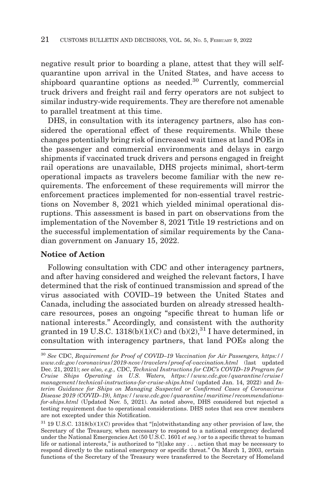negative result prior to boarding a plane, attest that they will selfquarantine upon arrival in the United States, and have access to shipboard quarantine options as needed.<sup>30</sup> Currently, commercial truck drivers and freight rail and ferry operators are not subject to similar industry-wide requirements. They are therefore not amenable to parallel treatment at this time.

DHS, in consultation with its interagency partners, also has considered the operational effect of these requirements. While these changes potentially bring risk of increased wait times at land POEs in the passenger and commercial environments and delays in cargo shipments if vaccinated truck drivers and persons engaged in freight rail operations are unavailable, DHS projects minimal, short-term operational impacts as travelers become familiar with the new requirements. The enforcement of these requirements will mirror the enforcement practices implemented for non-essential travel restrictions on November 8, 2021 which yielded minimal operational disruptions. This assessment is based in part on observations from the implementation of the November 8, 2021 Title 19 restrictions and on the successful implementation of similar requirements by the Canadian government on January 15, 2022.

## **Notice of Action**

Following consultation with CDC and other interagency partners, and after having considered and weighed the relevant factors, I have determined that the risk of continued transmission and spread of the virus associated with COVID–19 between the United States and Canada, including the associated burden on already stressed healthcare resources, poses an ongoing ''specific threat to human life or national interests.'' Accordingly, and consistent with the authority granted in 19 U.S.C. 1318(b)(1)(C) and (b)(2), $^{31}$  I have determined, in consultation with interagency partners, that land POEs along the

<sup>30</sup>*See* CDC, *Requirement for Proof of COVID–19 Vaccination for Air Passengers, https:// www.cdc.gov/coronavirus/2019-ncov/travelers/proof-of-vaccination.html* (last updated Dec. 21, 2021); *see also, e.g.,* CDC, *Technical Instructions for CDC's COVID–19 Program for Cruise Ships Operating in U.S. Waters, https://www.cdc.gov/quarantine/cruise/ management/technical-instructions-for-cruise-ships.html* (updated Jan. 14, 2022) and *Interim Guidance for Ships on Managing Suspected or Confirmed Cases of Coronavirus Disease 2019 (COVID–19), https://www.cdc.gov/quarantine/maritime/recommendationsfor-ships.html* (Updated Nov. 5, 2021). As noted above, DHS considered but rejected a testing requirement due to operational considerations. DHS notes that sea crew members are not excepted under this Notification.

 $^{31}$  19 U.S.C. 1318(b)(1)(C) provides that "[n]otwithstanding any other provision of law, the Secretary of the Treasury, when necessary to respond to a national emergency declared under the National Emergencies Act (50 U.S.C. 1601 *et seq.*) or to a specific threat to human life or national interests," is authorized to "[t]ake any . . . action that may be necessary to respond directly to the national emergency or specific threat.'' On March 1, 2003, certain functions of the Secretary of the Treasury were transferred to the Secretary of Homeland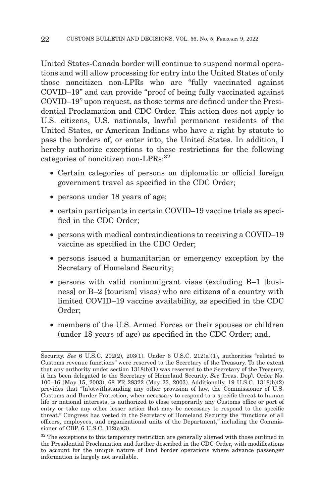United States-Canada border will continue to suspend normal operations and will allow processing for entry into the United States of only those noncitizen non-LPRs who are "fully vaccinated against COVID–19'' and can provide ''proof of being fully vaccinated against COVID–19'' upon request, as those terms are defined under the Presidential Proclamation and CDC Order. This action does not apply to U.S. citizens, U.S. nationals, lawful permanent residents of the United States, or American Indians who have a right by statute to pass the borders of, or enter into, the United States. In addition, I hereby authorize exceptions to these restrictions for the following categories of noncitizen non-LPRs:<sup>32</sup>

- Certain categories of persons on diplomatic or official foreign government travel as specified in the CDC Order;
- persons under 18 years of age;
- certain participants in certain COVID–19 vaccine trials as specified in the CDC Order;
- persons with medical contraindications to receiving a COVID–19 vaccine as specified in the CDC Order;
- persons issued a humanitarian or emergency exception by the Secretary of Homeland Security;
- persons with valid nonimmigrant visas (excluding B–1 [business] or B–2 [tourism] visas) who are citizens of a country with limited COVID–19 vaccine availability, as specified in the CDC Order;
- members of the U.S. Armed Forces or their spouses or children (under 18 years of age) as specified in the CDC Order; and,

Security. *See* 6 U.S.C. 202(2), 203(1). Under 6 U.S.C. 212(a)(1), authorities "related to Customs revenue functions'' were reserved to the Secretary of the Treasury. To the extent that any authority under section 1318(b)(1) was reserved to the Secretary of the Treasury, it has been delegated to the Secretary of Homeland Security. *See* Treas. Dep't Order No. 100–16 (May 15, 2003), 68 FR 28322 (May 23, 2003). Additionally, 19 U.S.C. 1318(b)(2) provides that ''[n]otwithstanding any other provision of law, the Commissioner of U.S. Customs and Border Protection, when necessary to respond to a specific threat to human life or national interests, is authorized to close temporarily any Customs office or port of entry or take any other lesser action that may be necessary to respond to the specific threat.'' Congress has vested in the Secretary of Homeland Security the ''functions of all officers, employees, and organizational units of the Department,'' including the Commissioner of CBP. 6 U.S.C. 112(a)(3).

 $32$  The exceptions to this temporary restriction are generally aligned with those outlined in the Presidential Proclamation and further described in the CDC Order, with modifications to account for the unique nature of land border operations where advance passenger information is largely not available.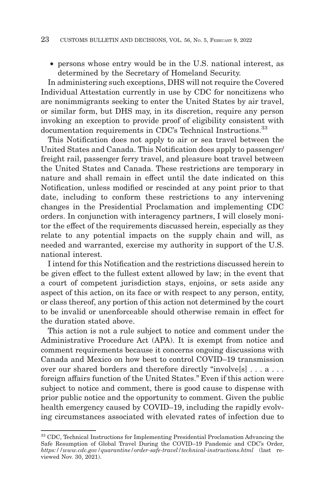• persons whose entry would be in the U.S. national interest, as determined by the Secretary of Homeland Security.

In administering such exceptions, DHS will not require the Covered Individual Attestation currently in use by CDC for noncitizens who are nonimmigrants seeking to enter the United States by air travel, or similar form, but DHS may, in its discretion, require any person invoking an exception to provide proof of eligibility consistent with documentation requirements in CDC's Technical Instructions.<sup>33</sup>

This Notification does not apply to air or sea travel between the United States and Canada. This Notification does apply to passenger/ freight rail, passenger ferry travel, and pleasure boat travel between the United States and Canada. These restrictions are temporary in nature and shall remain in effect until the date indicated on this Notification, unless modified or rescinded at any point prior to that date, including to conform these restrictions to any intervening changes in the Presidential Proclamation and implementing CDC orders. In conjunction with interagency partners, I will closely monitor the effect of the requirements discussed herein, especially as they relate to any potential impacts on the supply chain and will, as needed and warranted, exercise my authority in support of the U.S. national interest.

I intend for this Notification and the restrictions discussed herein to be given effect to the fullest extent allowed by law; in the event that a court of competent jurisdiction stays, enjoins, or sets aside any aspect of this action, on its face or with respect to any person, entity, or class thereof, any portion of this action not determined by the court to be invalid or unenforceable should otherwise remain in effect for the duration stated above.

This action is not a rule subject to notice and comment under the Administrative Procedure Act (APA). It is exempt from notice and comment requirements because it concerns ongoing discussions with Canada and Mexico on how best to control COVID–19 transmission over our shared borders and therefore directly "involve[s] . . . a . . . foreign affairs function of the United States.'' Even if this action were subject to notice and comment, there is good cause to dispense with prior public notice and the opportunity to comment. Given the public health emergency caused by COVID–19, including the rapidly evolving circumstances associated with elevated rates of infection due to

<sup>33</sup> CDC, Technical Instructions for Implementing Presidential Proclamation Advancing the Safe Resumption of Global Travel During the COVID–19 Pandemic and CDC's Order, *https://www.cdc.gov/quarantine/order-safe-travel/technical-instructions.html* (last reviewed Nov. 30, 2021).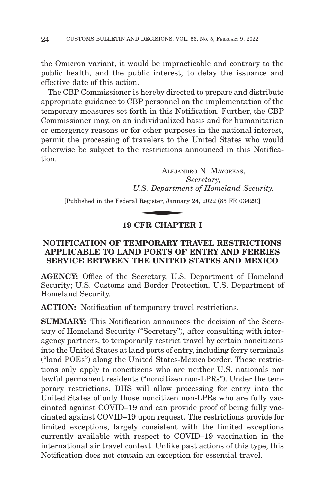the Omicron variant, it would be impracticable and contrary to the public health, and the public interest, to delay the issuance and effective date of this action.

The CBP Commissioner is hereby directed to prepare and distribute appropriate guidance to CBP personnel on the implementation of the temporary measures set forth in this Notification. Further, the CBP Commissioner may, on an individualized basis and for humanitarian or emergency reasons or for other purposes in the national interest, permit the processing of travelers to the United States who would otherwise be subject to the restrictions announced in this Notification.

ALEJANDRO N. MAYORKAS, *Secretary, U.S. Department of Homeland Security.* ALEJANI

[Published in the Federal Register, January 24, 2022 (85 FR 03429)]

## **19 CFR CHAPTER I**

## **NOTIFICATION OF TEMPORARY TRAVEL RESTRICTIONS APPLICABLE TO LAND PORTS OF ENTRY AND FERRIES SERVICE BETWEEN THE UNITED STATES AND MEXICO**

**AGENCY:** Office of the Secretary, U.S. Department of Homeland Security; U.S. Customs and Border Protection, U.S. Department of Homeland Security.

**ACTION:** Notification of temporary travel restrictions.

**SUMMARY:** This Notification announces the decision of the Secretary of Homeland Security ("Secretary"), after consulting with interagency partners, to temporarily restrict travel by certain noncitizens into the United States at land ports of entry, including ferry terminals (''land POEs'') along the United States-Mexico border. These restrictions only apply to noncitizens who are neither U.S. nationals nor lawful permanent residents ("noncitizen non-LPRs"). Under the temporary restrictions, DHS will allow processing for entry into the United States of only those noncitizen non-LPRs who are fully vaccinated against COVID–19 and can provide proof of being fully vaccinated against COVID–19 upon request. The restrictions provide for limited exceptions, largely consistent with the limited exceptions currently available with respect to COVID–19 vaccination in the international air travel context. Unlike past actions of this type, this Notification does not contain an exception for essential travel.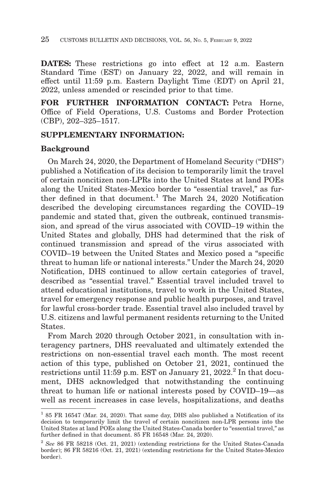**DATES:** These restrictions go into effect at 12 a.m. Eastern Standard Time (EST) on January 22, 2022, and will remain in effect until 11:59 p.m. Eastern Daylight Time (EDT) on April 21, 2022, unless amended or rescinded prior to that time.

**FOR FURTHER INFORMATION CONTACT:** Petra Horne, Office of Field Operations, U.S. Customs and Border Protection (CBP), 202–325–1517.

## **SUPPLEMENTARY INFORMATION:**

## **Background**

On March 24, 2020, the Department of Homeland Security (''DHS'') published a Notification of its decision to temporarily limit the travel of certain noncitizen non-LPRs into the United States at land POEs along the United States-Mexico border to "essential travel." as further defined in that document.<sup>1</sup> The March 24, 2020 Notification described the developing circumstances regarding the COVID–19 pandemic and stated that, given the outbreak, continued transmission, and spread of the virus associated with COVID–19 within the United States and globally, DHS had determined that the risk of continued transmission and spread of the virus associated with COVID–19 between the United States and Mexico posed a ''specific threat to human life or national interests.'' Under the March 24, 2020 Notification, DHS continued to allow certain categories of travel, described as ''essential travel.'' Essential travel included travel to attend educational institutions, travel to work in the United States, travel for emergency response and public health purposes, and travel for lawful cross-border trade. Essential travel also included travel by U.S. citizens and lawful permanent residents returning to the United States.

From March 2020 through October 2021, in consultation with interagency partners, DHS reevaluated and ultimately extended the restrictions on non-essential travel each month. The most recent action of this type, published on October 21, 2021, continued the restrictions until 11:59 p.m. EST on January 21, 2022.<sup>2</sup> In that document, DHS acknowledged that notwithstanding the continuing threat to human life or national interests posed by COVID–19—as well as recent increases in case levels, hospitalizations, and deaths

 $185$  FR 16547 (Mar. 24, 2020). That same day, DHS also published a Notification of its decision to temporarily limit the travel of certain noncitizen non-LPR persons into the United States at land POEs along the United States-Canada border to "essential travel," as further defined in that document. 85 FR 16548 (Mar. 24, 2020).

<sup>2</sup>*See* 86 FR 58218 (Oct. 21, 2021) (extending restrictions for the United States-Canada border); 86 FR 58216 (Oct. 21, 2021) (extending restrictions for the United States-Mexico border).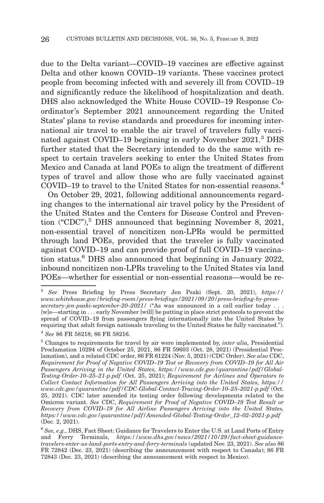due to the Delta variant—COVID–19 vaccines are effective against Delta and other known COVID–19 variants. These vaccines protect people from becoming infected with and severely ill from COVID–19 and significantly reduce the likelihood of hospitalization and death. DHS also acknowledged the White House COVID–19 Response Coordinator's September 2021 announcement regarding the United States' plans to revise standards and procedures for incoming international air travel to enable the air travel of travelers fully vaccinated against COVID–19 beginning in early November 2021.3 DHS further stated that the Secretary intended to do the same with respect to certain travelers seeking to enter the United States from Mexico and Canada at land POEs to align the treatment of different types of travel and allow those who are fully vaccinated against COVID–19 to travel to the United States for non-essential reasons.<sup>4</sup>

On October 29, 2021, following additional announcements regarding changes to the international air travel policy by the President of the United States and the Centers for Disease Control and Prevention ("CDC"), $5$  DHS announced that beginning November 8, 2021, non-essential travel of noncitizen non-LPRs would be permitted through land POEs, provided that the traveler is fully vaccinated against COVID–19 and can provide proof of full COVID–19 vaccination status.<sup>6</sup> DHS also announced that beginning in January 2022, inbound noncitizen non-LPRs traveling to the United States via land POEs—whether for essential or non-essential reasons—would be re-

<sup>3</sup>*See* Press Briefing by Press Secretary Jen Psaki (Sept. 20, 2021), *https:// www.whitehouse.gov/briefing-room/press-briefings/2021/09/20/press-briefing-by-press*secretary-jen-psaki-september-20-2021/ <sup>("</sup>As was announced in a call earlier today . . . [w]e—starting in . . . early November [will] be putting in place strict protocols to prevent the spread of COVID–19 from passengers flying internationally into the United States by requiring that adult foreign nationals traveling to the United States be fully vaccinated.''). <sup>4</sup>*See* 86 FR 58218; 86 FR 58216.

<sup>5</sup> Changes to requirements for travel by air were implemented by, *inter alia,* Presidential Proclamation 10294 of October 25, 2021, 86 FR 59603 (Oct. 28, 2021) (Presidential Proclamation), and a related CDC order, 86 FR 61224 (Nov. 5, 2021) (CDC Order). *See also* CDC, *Requirement for Proof of Negative COVID–19 Test or Recovery from COVID–19 for All Air Passengers Arriving in the United States, https://www.cdc.gov/quarantine/pdf/Global-Testing-Order-10–25–21-p.pdf* (Oct. 25, 2021); *Requirement for Airlines and Operators to Collect Contact Information for All Passengers Arriving into the United States, https:// www.cdc.gov/quarantine/pdf/CDC-Global-Contact-Tracing-Order-10–25–2021-p.pdf* (Oct. 25, 2021). CDC later amended its testing order following developments related to the Omicron variant. *See* CDC, *Requirement for Proof of Negative COVID–19 Test Result or Recovery from COVID–19 for All Airline Passengers Arriving into the United States, https://www.cdc.gov/quarantine/pdf/Amended-Global-Testing-Order\_12–02–2021-p.pdf* (Dec. 2, 2021).

<sup>6</sup>*See, e.g.,* DHS, Fact Sheet: Guidance for Travelers to Enter the U.S. at Land Ports of Entry and Ferry Terminals, *https://www.dhs.gov/news/2021/10/29/fact-sheet-guidancetravelers-enter-us-land-ports-entry-and-ferry-terminals* (updated Nov. 23, 2021). *See also* 86 FR 72842 (Dec. 23, 2021) (describing the announcement with respect to Canada); 86 FR 72843 (Dec. 23, 2021) (describing the announcement with respect to Mexico).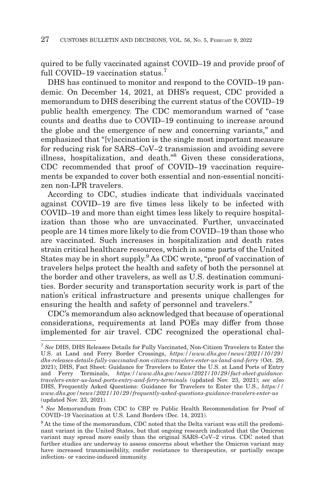quired to be fully vaccinated against COVID–19 and provide proof of full COVID–19 vaccination status.<sup>7</sup>

DHS has continued to monitor and respond to the COVID–19 pandemic. On December 14, 2021, at DHS's request, CDC provided a memorandum to DHS describing the current status of the COVID–19 public health emergency. The CDC memorandum warned of ''case counts and deaths due to COVID–19 continuing to increase around the globe and the emergence of new and concerning variants,'' and emphasized that ''[v]accination is the single most important measure for reducing risk for SARS–CoV–2 transmission and avoiding severe illness, hospitalization, and death.''8 Given these considerations, CDC recommended that proof of COVID–19 vaccination requirements be expanded to cover both essential and non-essential noncitizen non-LPR travelers.

According to CDC, studies indicate that individuals vaccinated against COVID–19 are five times less likely to be infected with COVID–19 and more than eight times less likely to require hospitalization than those who are unvaccinated. Further, unvaccinated people are 14 times more likely to die from COVID–19 than those who are vaccinated. Such increases in hospitalization and death rates strain critical healthcare resources, which in some parts of the United States may be in short supply.<sup>9</sup> As CDC wrote, "proof of vaccination of travelers helps protect the health and safety of both the personnel at the border and other travelers, as well as U.S. destination communities. Border security and transportation security work is part of the nation's critical infrastructure and presents unique challenges for ensuring the health and safety of personnel and travelers.''

CDC's memorandum also acknowledged that because of operational considerations, requirements at land POEs may differ from those implemented for air travel. CDC recognized the operational chal-

<sup>7</sup>*See* DHS, DHS Releases Details for Fully Vaccinated, Non-Citizen Travelers to Enter the U.S. at Land and Ferry Border Crossings, *https://www.dhs.gov/news/2021/10/29/ dhs-releases-details-fully-vaccinated-non-citizen-travelers-enter-us-land-and-ferry* (Oct. 29, 2021); DHS, Fact Sheet: Guidance for Travelers to Enter the U.S. at Land Ports of Entry and Ferry Terminals, *https://www.dhs.gov/news/2021/10/29/fact-sheet-guidancetravelers-enter-us-land-ports-entry-and-ferry-terminals* (updated Nov. 23, 2021); *see also* DHS, Frequently Asked Questions: Guidance for Travelers to Enter the U.S., *https:// www.dhs.gov/news/2021/10/29/frequently-asked-questions-guidance-travelers-enter-us* (updated Nov. 23, 2021).

<sup>8</sup>*See* Memorandum from CDC to CBP re Public Health Recommendation for Proof of COVID–19 Vaccination at U.S. Land Borders (Dec. 14, 2021).

<sup>&</sup>lt;sup>9</sup> At the time of the memorandum, CDC noted that the Delta variant was still the predominant variant in the United States, but that ongoing research indicated that the Omicron variant may spread more easily than the original SARS–CoV–2 virus. CDC noted that further studies are underway to assess concerns about whether the Omicron variant may have increased transmissibility, confer resistance to therapeutics, or partially escape infection- or vaccine-induced immunity.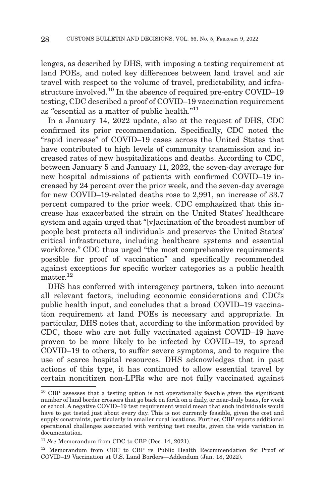lenges, as described by DHS, with imposing a testing requirement at land POEs, and noted key differences between land travel and air travel with respect to the volume of travel, predictability, and infrastructure involved.10 In the absence of required pre-entry COVID–19 testing, CDC described a proof of COVID–19 vaccination requirement as "essential as a matter of public health." $11$ 

In a January 14, 2022 update, also at the request of DHS, CDC confirmed its prior recommendation. Specifically, CDC noted the ''rapid increase'' of COVID–19 cases across the United States that have contributed to high levels of community transmission and increased rates of new hospitalizations and deaths. According to CDC, between January 5 and January 11, 2022, the seven-day average for new hospital admissions of patients with confirmed COVID–19 increased by 24 percent over the prior week, and the seven-day average for new COVID–19-related deaths rose to 2,991, an increase of 33.7 percent compared to the prior week. CDC emphasized that this increase has exacerbated the strain on the United States' healthcare system and again urged that ''[v]accination of the broadest number of people best protects all individuals and preserves the United States' critical infrastructure, including healthcare systems and essential workforce." CDC thus urged "the most comprehensive requirements" possible for proof of vaccination'' and specifically recommended against exceptions for specific worker categories as a public health matter.<sup>12</sup>

DHS has conferred with interagency partners, taken into account all relevant factors, including economic considerations and CDC's public health input, and concludes that a broad COVID–19 vaccination requirement at land POEs is necessary and appropriate. In particular, DHS notes that, according to the information provided by CDC, those who are not fully vaccinated against COVID–19 have proven to be more likely to be infected by COVID–19, to spread COVID–19 to others, to suffer severe symptoms, and to require the use of scarce hospital resources. DHS acknowledges that in past actions of this type, it has continued to allow essential travel by certain noncitizen non-LPRs who are not fully vaccinated against

<sup>&</sup>lt;sup>10</sup> CBP assesses that a testing option is not operationally feasible given the significant number of land border crossers that go back on forth on a daily, or near-daily basis, for work or school. A negative COVID–19 test requirement would mean that such individuals would have to get tested just about every day. This is not currently feasible, given the cost and supply constraints, particularly in smaller rural locations. Further, CBP reports additional operational challenges associated with verifying test results, given the wide variation in documentation.

<sup>11</sup>*See* Memorandum from CDC to CBP (Dec. 14, 2021).

<sup>12</sup> Memorandum from CDC to CBP re Public Health Recommendation for Proof of COVID–19 Vaccination at U.S. Land Borders—Addendum (Jan. 18, 2022).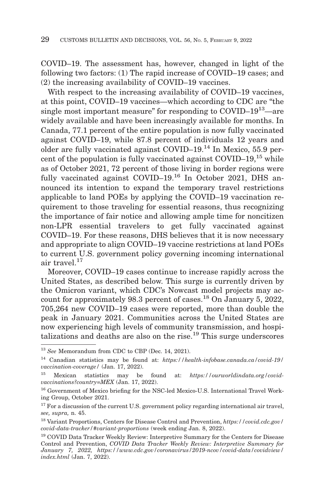COVID–19. The assessment has, however, changed in light of the following two factors: (1) The rapid increase of COVID–19 cases; and (2) the increasing availability of COVID–19 vaccines.

With respect to the increasing availability of COVID–19 vaccines, at this point, COVID–19 vaccines—which according to CDC are ''the single most important measure" for responding to  $\text{COVID}-19^{13}$ —are widely available and have been increasingly available for months. In Canada, 77.1 percent of the entire population is now fully vaccinated against COVID–19, while 87.8 percent of individuals 12 years and older are fully vaccinated against COVID–19.14 In Mexico, 55.9 percent of the population is fully vaccinated against COVID–19, $^{15}$  while as of October 2021, 72 percent of those living in border regions were fully vaccinated against COVID–19.<sup>16</sup> In October 2021, DHS announced its intention to expand the temporary travel restrictions applicable to land POEs by applying the COVID–19 vaccination requirement to those traveling for essential reasons, thus recognizing the importance of fair notice and allowing ample time for noncitizen non-LPR essential travelers to get fully vaccinated against COVID–19. For these reasons, DHS believes that it is now necessary and appropriate to align COVID–19 vaccine restrictions at land POEs to current U.S. government policy governing incoming international air travel.<sup>17</sup>

Moreover, COVID–19 cases continue to increase rapidly across the United States, as described below. This surge is currently driven by the Omicron variant, which CDC's Nowcast model projects may account for approximately 98.3 percent of cases.<sup>18</sup> On January 5, 2022, 705,264 new COVID–19 cases were reported, more than double the peak in January 2021. Communities across the United States are now experiencing high levels of community transmission, and hospitalizations and deaths are also on the rise.19 This surge underscores

<sup>13</sup>*See* Memorandum from CDC to CBP (Dec. 14, 2021).

<sup>14</sup> Canadian statistics may be found at: *https://health-infobase.canada.ca/covid-19/ vaccination-coverage/* (Jan. 17, 2022).

<sup>15</sup> Mexican statistics may be found at: *https://ourworldindata.org/covidvaccinations?country=MEX* (Jan. 17, 2022).

<sup>16</sup> Government of Mexico briefing for the NSC-led Mexico-U.S. International Travel Working Group, October 2021.

 $17$  For a discussion of the current U.S. government policy regarding international air travel, *see, supra,* n. 45.

<sup>18</sup> Variant Proportions, Centers for Disease Control and Prevention, *https://covid.cdc.gov/ covid-data-tracker/#variant-proportions* (week ending Jan. 8, 2022).

<sup>19</sup> COVID Data Tracker Weekly Review: Interpretive Summary for the Centers for Disease Control and Prevention, *COVID Data Tracker Weekly Review: Interpretive Summary for January 7, 2022, https://www.cdc.gov/coronavirus/2019-ncov/covid-data/covidview/ index.html* (Jan. 7, 2022).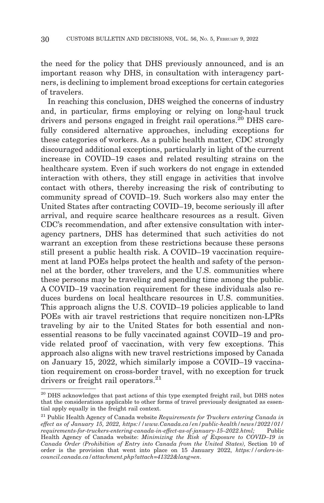the need for the policy that DHS previously announced, and is an important reason why DHS, in consultation with interagency partners, is declining to implement broad exceptions for certain categories of travelers.

In reaching this conclusion, DHS weighed the concerns of industry and, in particular, firms employing or relying on long-haul truck drivers and persons engaged in freight rail operations.<sup>20</sup> DHS carefully considered alternative approaches, including exceptions for these categories of workers. As a public health matter, CDC strongly discouraged additional exceptions, particularly in light of the current increase in COVID–19 cases and related resulting strains on the healthcare system. Even if such workers do not engage in extended interaction with others, they still engage in activities that involve contact with others, thereby increasing the risk of contributing to community spread of COVID–19. Such workers also may enter the United States after contracting COVID–19, become seriously ill after arrival, and require scarce healthcare resources as a result. Given CDC's recommendation, and after extensive consultation with interagency partners, DHS has determined that such activities do not warrant an exception from these restrictions because these persons still present a public health risk. A COVID–19 vaccination requirement at land POEs helps protect the health and safety of the personnel at the border, other travelers, and the U.S. communities where these persons may be traveling and spending time among the public. A COVID–19 vaccination requirement for these individuals also reduces burdens on local healthcare resources in U.S. communities. This approach aligns the U.S. COVID–19 policies applicable to land POEs with air travel restrictions that require noncitizen non-LPRs traveling by air to the United States for both essential and nonessential reasons to be fully vaccinated against COVID–19 and provide related proof of vaccination, with very few exceptions. This approach also aligns with new travel restrictions imposed by Canada on January 15, 2022, which similarly impose a COVID–19 vaccination requirement on cross-border travel, with no exception for truck drivers or freight rail operators.<sup>21</sup>

<sup>&</sup>lt;sup>20</sup> DHS acknowledges that past actions of this type exempted freight rail, but DHS notes that the considerations applicable to other forms of travel previously designated as essential apply equally in the freight rail context.

<sup>21</sup> Public Health Agency of Canada website *Requirements for Truckers entering Canada in effect as of January 15, 2022, https://www.Canada.ca/en/public-health/news/2022/01/ requirements-for-truckers-entering-canada-in-effect-as-of-january-15–2022.html;* Health Agency of Canada website: *Minimizing the Risk of Exposure to COVID–19 in Canada Order (Prohibition of Entry into Canada from the United States),* Section 10 of order is the provision that went into place on 15 January 2022, *https://orders-incouncil.canada.ca/attachment.php?attach=41322&lang=en*.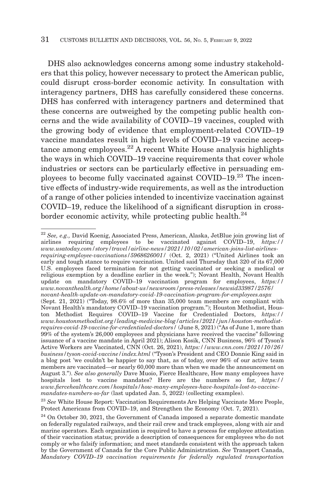DHS also acknowledges concerns among some industry stakeholders that this policy, however necessary to protect the American public, could disrupt cross-border economic activity. In consultation with interagency partners, DHS has carefully considered these concerns. DHS has conferred with interagency partners and determined that these concerns are outweighed by the competing public health concerns and the wide availability of COVID–19 vaccines, coupled with the growing body of evidence that employment-related COVID–19 vaccine mandates result in high levels of COVID–19 vaccine acceptance among employees. $^{22}$  A recent White House analysis highlights the ways in which COVID–19 vaccine requirements that cover whole industries or sectors can be particularly effective in persuading employees to become fully vaccinated against COVID–19.23 The incentive effects of industry-wide requirements, as well as the introduction of a range of other policies intended to incentivize vaccination against COVID–19, reduce the likelihood of a significant disruption in crossborder economic activity, while protecting public health. $^{24}$ 

<sup>22</sup>*See, e.g.,* David Koenig, Associated Press, American, Alaska, JetBlue join growing list of airlines requiring employees to be vaccinated against COVID–19, *https:// www.usatoday.com/story/travel/airline-news/2021/10/02/american-joins-list-airlinesrequiring-employee-vaccinations/5968626001/* (Oct. 2, 2021) (''United Airlines took an early and tough stance to require vaccination. United said Thursday that 320 of its 67,000 U.S. employees faced termination for not getting vaccinated or seeking a medical or religious exemption by a deadline earlier in the week.''); Novant Health, Novant Health update on mandatory COVID–19 vaccination program for employees, *https:// www.novanthealth.org/home/about-us/newsroom/press-releases/newsid33987/2576/ novant-health-update-on-mandatory-covid-19-vaccination-program-for-employees.aspx* (Sept. 21, 2021) (''Today, 98.6% of more than 35,000 team members are compliant with Novant Health's mandatory COVID–19 vaccination program.''); Houston Methodist, Houston Methodist Requires COVID–19 Vaccine for Credentialed Doctors, *https:// www.houstonmethodist.org/leading-medicine-blog/articles/2021/jun/houston-methodistrequires-covid-19-vaccine-for-credentialed-doctors/* (June 8, 2021) (''As of June 1, more than 99% of the system's 26,000 employees and physicians have received the vaccine'' following issuance of a vaccine mandate in April 2021); Alison Kosik, CNN Business, 96% of Tyson's Active Workers are Vaccinated, CNN (Oct. 26, 2021), *https://www.cnn.com/2021/10/26/ business/tyson-covid-vaccine/index.html* (''Tyson's President and CEO Donnie King said in a blog post 'we couldn't be happier to say that, as of today, over 96% of our active team members are vaccinated—or nearly 60,000 more than when we made the announcement on August 3.''). *See also generally* Dave Muoio, Fierce Healthcare, How many employees have hospitals lost to vaccine mandates? Here are the numbers so far, *https:// www.fiercehealthcare.com/hospitals/how-many-employees-have-hospitals-lost-to-vaccinemandates-numbers-so-far* (last updated Jan. 5, 2022) (collecting examples).

<sup>23</sup>*See* White House Report: Vaccination Requirements Are Helping Vaccinate More People, Protect Americans from COVID–19, and Strengthen the Economy (Oct. 7, 2021).

<sup>&</sup>lt;sup>24</sup> On October 30, 2021, the Government of Canada imposed a separate domestic mandate on federally regulated railways, and their rail crew and track employees, along with air and marine operators. Each organization is required to have a process for employee attestation of their vaccination status; provide a description of consequences for employees who do not comply or who falsify information; and meet standards consistent with the approach taken by the Government of Canada for the Core Public Administration. *See* Transport Canada, *Mandatory COVID–19 vaccination requirements for federally regulated transportation*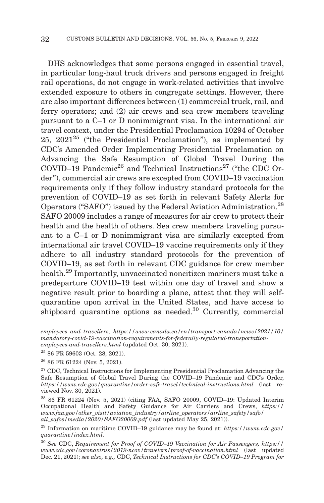DHS acknowledges that some persons engaged in essential travel, in particular long-haul truck drivers and persons engaged in freight rail operations, do not engage in work-related activities that involve extended exposure to others in congregate settings. However, there are also important differences between (1) commercial truck, rail, and ferry operators; and (2) air crews and sea crew members traveling pursuant to a C–1 or D nonimmigrant visa. In the international air travel context, under the Presidential Proclamation 10294 of October 25,  $2021^{25}$  ("the Presidential Proclamation"), as implemented by CDC's Amended Order Implementing Presidential Proclamation on Advancing the Safe Resumption of Global Travel During the COVID–19 Pandemic<sup>26</sup> and Technical Instructions<sup>27</sup> ("the CDC Order''), commercial air crews are excepted from COVID–19 vaccination requirements only if they follow industry standard protocols for the prevention of COVID–19 as set forth in relevant Safety Alerts for Operators ("SAFO") issued by the Federal Aviation Administration.<sup>28</sup> SAFO 20009 includes a range of measures for air crew to protect their health and the health of others. Sea crew members traveling pursuant to a C–1 or D nonimmigrant visa are similarly excepted from international air travel COVID–19 vaccine requirements only if they adhere to all industry standard protocols for the prevention of COVID–19, as set forth in relevant CDC guidance for crew member health.<sup>29</sup> Importantly, unvaccinated noncitizen mariners must take a predeparture COVID–19 test within one day of travel and show a negative result prior to boarding a plane, attest that they will selfquarantine upon arrival in the United States, and have access to shipboard quarantine options as needed.<sup>30</sup> Currently, commercial

*employees and travellers, https://www.canada.ca/en/transport-canada/news/2021/10/ mandatory-covid-19-vaccination-requirements-for-federally-regulated-transportationemployees-and-travellers.html* (updated Oct. 30, 2021).

 $2586$  FR 59603 (Oct. 28, 2021).

<sup>26 86</sup> FR 61224 (Nov. 5, 2021).

 $27$  CDC, Technical Instructions for Implementing Presidential Proclamation Advancing the Safe Resumption of Global Travel During the COVID–19 Pandemic and CDC's Order, *https://www.cdc.gov/quarantine/order-safe-travel/technical-instructions.html* (last reviewed Nov. 30, 2021).

 $2886$  FR 61224 (Nov. 5, 2021) (citing FAA, SAFO 20009, COVID–19: Updated Interim Occupational Health and Safety Guidance for Air Carriers and Crews, *https:// www.faa.gov/other\_visit/aviation\_industry/airline\_operators/airline\_safety/safo/ all\_safos/media/2020/SAFO20009.pdf* (last updated May 25, 2021)).

<sup>29</sup> Information on maritime COVID–19 guidance may be found at: *https://www.cdc.gov/ quarantine/index.html.*

<sup>30</sup>*See* CDC, *Requirement for Proof of COVID–19 Vaccination for Air Passengers, https:// www.cdc.gov/coronavirus/2019-ncov/travelers/proof-of-vaccination.html* (last updated Dec. 21, 2021); *see also, e.g.,* CDC, *Technical Instructions for CDC's COVID–19 Program for*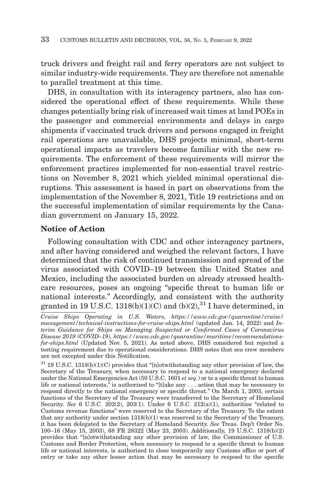truck drivers and freight rail and ferry operators are not subject to similar industry-wide requirements. They are therefore not amenable to parallel treatment at this time.

DHS, in consultation with its interagency partners, also has considered the operational effect of these requirements. While these changes potentially bring risk of increased wait times at land POEs in the passenger and commercial environments and delays in cargo shipments if vaccinated truck drivers and persons engaged in freight rail operations are unavailable, DHS projects minimal, short-term operational impacts as travelers become familiar with the new requirements. The enforcement of these requirements will mirror the enforcement practices implemented for non-essential travel restrictions on November 8, 2021 which yielded minimal operational disruptions. This assessment is based in part on observations from the implementation of the November 8, 2021, Title 19 restrictions and on the successful implementation of similar requirements by the Canadian government on January 15, 2022.

## **Notice of Action**

Following consultation with CDC and other interagency partners, and after having considered and weighed the relevant factors, I have determined that the risk of continued transmission and spread of the virus associated with COVID–19 between the United States and Mexico, including the associated burden on already stressed healthcare resources, poses an ongoing ''specific threat to human life or national interests.'' Accordingly, and consistent with the authority granted in 19 U.S.C. 1318(b)(1)(C) and (b)(2),  $^{31}$  I have determined, in

*Cruise Ships Operating in U.S. Waters, https://www.cdc.gov/quarantine/cruise/ management/technical-instructions-for-cruise-ships.html* (updated Jan. 14, 2022) and *Interim Guidance for Ships on Managing Suspected or Confirmed Cases of Coronavirus Disease 2019 (COVID–19), https://www.cdc.gov/quarantine/maritime/recommendationsfor-ships.html* (Updated Nov. 5, 2021). As noted above, DHS considered but rejected a testing requirement due to operational considerations. DHS notes that sea crew members are not excepted under this Notification.

 $31$  19 U.S.C. 1318(b)(1)(C) provides that "[n]otwithstanding any other provision of law, the Secretary of the Treasury, when necessary to respond to a national emergency declared under the National Emergencies Act (50 U.S.C. 1601 *et seq.*) or to a specific threat to human life or national interests," is authorized to "[t]ake any . . . action that may be necessary to respond directly to the national emergency or specific threat.'' On March 1, 2003, certain functions of the Secretary of the Treasury were transferred to the Secretary of Homeland Security. *See* 6 U.S.C. 202(2), 203(1). Under 6 U.S.C. 212(a)(1), authorities "related to Customs revenue functions'' were reserved to the Secretary of the Treasury. To the extent that any authority under section 1318(b)(1) was reserved to the Secretary of the Treasury, it has been delegated to the Secretary of Homeland Security. *See* Treas. Dep't Order No. 100–16 (May 15, 2003), 68 FR 28322 (May 23, 2003). Additionally, 19 U.S.C. 1318(b)(2) provides that ''[n]otwithstanding any other provision of law, the Commissioner of U.S. Customs and Border Protection, when necessary to respond to a specific threat to human life or national interests, is authorized to close temporarily any Customs office or port of entry or take any other lesser action that may be necessary to respond to the specific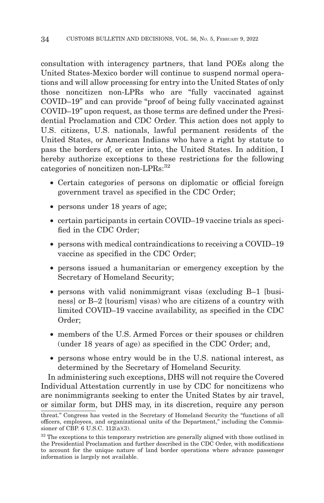consultation with interagency partners, that land POEs along the United States-Mexico border will continue to suspend normal operations and will allow processing for entry into the United States of only those noncitizen non-LPRs who are ''fully vaccinated against COVID–19'' and can provide ''proof of being fully vaccinated against COVID–19'' upon request, as those terms are defined under the Presidential Proclamation and CDC Order. This action does not apply to U.S. citizens, U.S. nationals, lawful permanent residents of the United States, or American Indians who have a right by statute to pass the borders of, or enter into, the United States. In addition, I hereby authorize exceptions to these restrictions for the following categories of noncitizen non-LPRs: 32

- Certain categories of persons on diplomatic or official foreign government travel as specified in the CDC Order;
- persons under 18 years of age;
- certain participants in certain COVID–19 vaccine trials as specified in the CDC Order;
- persons with medical contraindications to receiving a COVID–19 vaccine as specified in the CDC Order;
- persons issued a humanitarian or emergency exception by the Secretary of Homeland Security;
- persons with valid nonimmigrant visas (excluding B–1 [business] or B–2 [tourism] visas) who are citizens of a country with limited COVID–19 vaccine availability, as specified in the CDC Order;
- members of the U.S. Armed Forces or their spouses or children (under 18 years of age) as specified in the CDC Order; and,
- persons whose entry would be in the U.S. national interest, as determined by the Secretary of Homeland Security.

In administering such exceptions, DHS will not require the Covered Individual Attestation currently in use by CDC for noncitizens who are nonimmigrants seeking to enter the United States by air travel, or similar form, but DHS may, in its discretion, require any person

threat.'' Congress has vested in the Secretary of Homeland Security the ''functions of all officers, employees, and organizational units of the Department,'' including the Commissioner of CBP. 6 U.S.C. 112(a)(3).

<sup>&</sup>lt;sup>32</sup> The exceptions to this temporary restriction are generally aligned with those outlined in the Presidential Proclamation and further described in the CDC Order, with modifications to account for the unique nature of land border operations where advance passenger information is largely not available.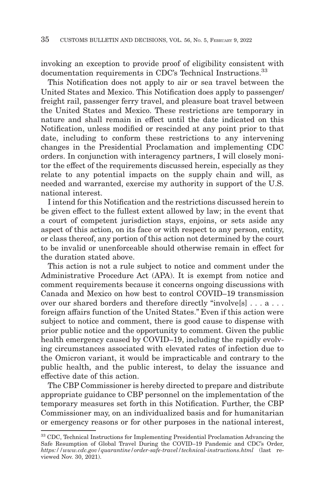invoking an exception to provide proof of eligibility consistent with documentation requirements in CDC's Technical Instructions.<sup>33</sup>

This Notification does not apply to air or sea travel between the United States and Mexico. This Notification does apply to passenger/ freight rail, passenger ferry travel, and pleasure boat travel between the United States and Mexico. These restrictions are temporary in nature and shall remain in effect until the date indicated on this Notification, unless modified or rescinded at any point prior to that date, including to conform these restrictions to any intervening changes in the Presidential Proclamation and implementing CDC orders. In conjunction with interagency partners, I will closely monitor the effect of the requirements discussed herein, especially as they relate to any potential impacts on the supply chain and will, as needed and warranted, exercise my authority in support of the U.S. national interest.

I intend for this Notification and the restrictions discussed herein to be given effect to the fullest extent allowed by law; in the event that a court of competent jurisdiction stays, enjoins, or sets aside any aspect of this action, on its face or with respect to any person, entity, or class thereof, any portion of this action not determined by the court to be invalid or unenforceable should otherwise remain in effect for the duration stated above.

This action is not a rule subject to notice and comment under the Administrative Procedure Act (APA). It is exempt from notice and comment requirements because it concerns ongoing discussions with Canada and Mexico on how best to control COVID–19 transmission over our shared borders and therefore directly "involve[s] . . . a . . . foreign affairs function of the United States.'' Even if this action were subject to notice and comment, there is good cause to dispense with prior public notice and the opportunity to comment. Given the public health emergency caused by COVID–19, including the rapidly evolving circumstances associated with elevated rates of infection due to the Omicron variant, it would be impracticable and contrary to the public health, and the public interest, to delay the issuance and effective date of this action.

The CBP Commissioner is hereby directed to prepare and distribute appropriate guidance to CBP personnel on the implementation of the temporary measures set forth in this Notification. Further, the CBP Commissioner may, on an individualized basis and for humanitarian or emergency reasons or for other purposes in the national interest,

<sup>33</sup> CDC, Technical Instructions for Implementing Presidential Proclamation Advancing the Safe Resumption of Global Travel During the COVID–19 Pandemic and CDC's Order, *https://www.cdc.gov/quarantine/order-safe-travel/technical-instructions.html* (last reviewed Nov. 30, 2021).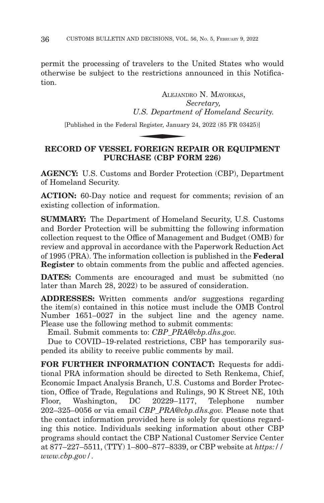permit the processing of travelers to the United States who would otherwise be subject to the restrictions announced in this Notification.

ALEJANDRO N. MAYORKAS, *Secretary, U.S. Department of Homeland Security.* ALEJANI

[Published in the Federal Register, January 24, 2022 (85 FR 03425)]

## **RECORD OF VESSEL FOREIGN REPAIR OR EQUIPMENT PURCHASE (CBP FORM 226)**

**AGENCY:** U.S. Customs and Border Protection (CBP), Department of Homeland Security.

**ACTION:** 60-Day notice and request for comments; revision of an existing collection of information.

**SUMMARY:** The Department of Homeland Security, U.S. Customs and Border Protection will be submitting the following information collection request to the Office of Management and Budget (OMB) for review and approval in accordance with the Paperwork Reduction Act of 1995 (PRA). The information collection is published in the **Federal Register** to obtain comments from the public and affected agencies.

**DATES:** Comments are encouraged and must be submitted (no later than March 28, 2022) to be assured of consideration.

**ADDRESSES:** Written comments and/or suggestions regarding the item(s) contained in this notice must include the OMB Control Number 1651–0027 in the subject line and the agency name. Please use the following method to submit comments:

Email. Submit comments to: *CBP\_PRA@cbp.dhs.gov.*

Due to COVID–19-related restrictions, CBP has temporarily suspended its ability to receive public comments by mail.

**FOR FURTHER INFORMATION CONTACT:** Requests for additional PRA information should be directed to Seth Renkema, Chief, Economic Impact Analysis Branch, U.S. Customs and Border Protection, Office of Trade, Regulations and Rulings, 90 K Street NE, 10th Floor, Washington, DC 20229–1177, Telephone number 202–325–0056 or via email *CBP\_PRA@cbp.dhs.gov.* Please note that the contact information provided here is solely for questions regarding this notice. Individuals seeking information about other CBP programs should contact the CBP National Customer Service Center at 877–227–5511, (TTY) 1–800–877–8339, or CBP website at *https:// www.cbp.gov/*.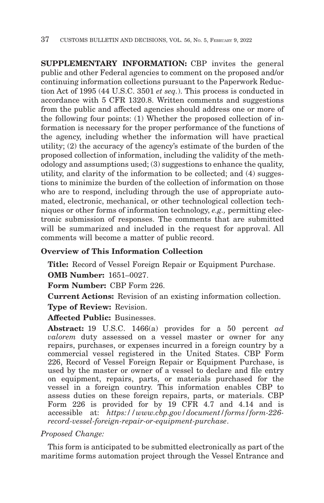**SUPPLEMENTARY INFORMATION:** CBP invites the general public and other Federal agencies to comment on the proposed and/or continuing information collections pursuant to the Paperwork Reduction Act of 1995 (44 U.S.C. 3501 *et seq.*). This process is conducted in accordance with 5 CFR 1320.8. Written comments and suggestions from the public and affected agencies should address one or more of the following four points: (1) Whether the proposed collection of information is necessary for the proper performance of the functions of the agency, including whether the information will have practical utility; (2) the accuracy of the agency's estimate of the burden of the proposed collection of information, including the validity of the methodology and assumptions used; (3) suggestions to enhance the quality, utility, and clarity of the information to be collected; and (4) suggestions to minimize the burden of the collection of information on those who are to respond, including through the use of appropriate automated, electronic, mechanical, or other technological collection techniques or other forms of information technology, *e.g.,* permitting electronic submission of responses. The comments that are submitted will be summarized and included in the request for approval. All comments will become a matter of public record.

# **Overview of This Information Collection**

**Title:** Record of Vessel Foreign Repair or Equipment Purchase.

**OMB Number:** 1651–0027.

**Form Number:** CBP Form 226.

**Current Actions:** Revision of an existing information collection.

**Type of Review:** Revision.

## **Affected Public:** Businesses.

**Abstract:** 19 U.S.C. 1466(a) provides for a 50 percent *ad valorem* duty assessed on a vessel master or owner for any repairs, purchases, or expenses incurred in a foreign country by a commercial vessel registered in the United States. CBP Form 226, Record of Vessel Foreign Repair or Equipment Purchase, is used by the master or owner of a vessel to declare and file entry on equipment, repairs, parts, or materials purchased for the vessel in a foreign country. This information enables CBP to assess duties on these foreign repairs, parts, or materials. CBP Form 226 is provided for by 19 CFR 4.7 and 4.14 and is accessible at: *https://www.cbp.gov/document/forms/form-226 record-vessel-foreign-repair-or-equipment-purchase*.

*Proposed Change:*

This form is anticipated to be submitted electronically as part of the maritime forms automation project through the Vessel Entrance and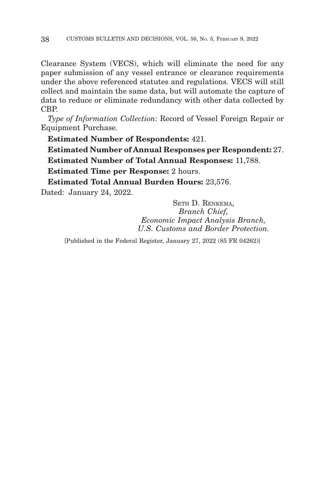Clearance System (VECS), which will eliminate the need for any paper submission of any vessel entrance or clearance requirements under the above referenced statutes and regulations. VECS will still collect and maintain the same data, but will automate the capture of data to reduce or eliminate redundancy with other data collected by CBP.

*Type of Information Collection:* Record of Vessel Foreign Repair or Equipment Purchase.

**Estimated Number of Respondents:** 421.

**Estimated Number of Annual Responses per Respondent:** 27. **Estimated Number of Total Annual Responses:** 11,788.

**Estimated Time per Response:** 2 hours.

**Estimated Total Annual Burden Hours:** 23,576.

Dated: January 24, 2022.

SETH D. RENKEMA, *Branch Chief, Economic Impact Analysis Branch, U.S. Customs and Border Protection.*

[Published in the Federal Register, January 27, 2022 (85 FR 04262)]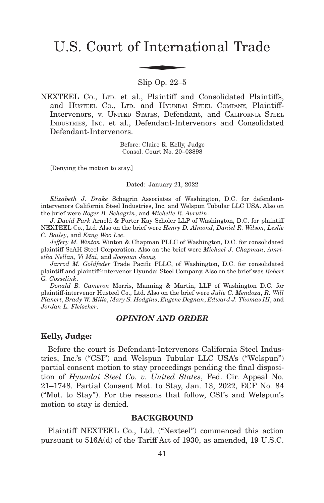# U.S. Court of International Trade f Interna

Slip Op. 22–5

NEXTEEL Co., LTD. et al., Plaintiff and Consolidated Plaintiffs, and HUSTEEL CO., LTD. and HYUNDAI STEEL COMPANY, Plaintiff-Intervenors, v. UNITED STATES, Defendant, and CALIFORNIA STEEL INDUSTRIES, INC. et al., Defendant-Intervenors and Consolidated Defendant-Intervenors.

> Before: Claire R. Kelly, Judge Consol. Court No. 20–03898

[Denying the motion to stay.]

Dated: January 21, 2022

*Elizabeth J. Drake* Schagrin Associates of Washington, D.C. for defendantintervenors California Steel Industries, Inc. and Welspun Tubular LLC USA. Also on the brief were *Roger B. Schagrin*, and *Michelle R. Avrutin*.

*J. David Park* Arnold & Porter Kay Scholer LLP of Washington, D.C. for plaintiff NEXTEEL Co., Ltd. Also on the brief were *Henry D. Almond*, *Daniel R. Wilson*, *Leslie C. Bailey*, and *Kang Woo Lee*.

*Jeffery M. Winton* Winton & Chapman PLLC of Washington, D.C. for consolidated plaintiff SeAH Steel Corporation. Also on the brief were *Michael J. Chapman*, *Amrietha Nellan*, *Vi Mai*, and *Jooyoun Jeong.*

*Jarrod M. Goldfeder* Trade Pacific PLLC, of Washington, D.C. for consolidated plaintiff and plaintiff-intervenor Hyundai Steel Company. Also on the brief was *Robert G. Gosselink*.

*Donald B. Cameron* Morris, Manning & Martin, LLP of Washington D.C. for plaintiff-intervenor Husteel Co., Ltd. Also on the brief were *Julie C. Mendoza*, *R. Will Planert*, *Brady W. Mills*, *Mary S. Hodgins*, *Eugene Degnan*, *Edward J. Thomas III*, and *Jordan L. Fleischer*.

## *OPINION AND ORDER*

## **Kelly, Judge:**

Before the court is Defendant-Intervenors California Steel Industries, Inc.'s ("CSI") and Welspun Tubular LLC USA's ("Welspun") partial consent motion to stay proceedings pending the final disposition of *Hyundai Steel Co. v. United States*, Fed. Cir. Appeal No. 21–1748. Partial Consent Mot. to Stay, Jan. 13, 2022, ECF No. 84 ("Mot. to Stay"). For the reasons that follow, CSI's and Welspun's motion to stay is denied.

# **BACKGROUND**

Plaintiff NEXTEEL Co., Ltd. ("Nexteel") commenced this action pursuant to 516A(d) of the Tariff Act of 1930, as amended, 19 U.S.C.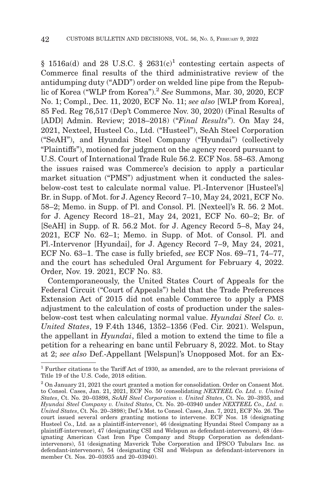$$1516a(d)$  and 28 U.S.C.  $$2631(c)<sup>1</sup>$  contesting certain aspects of Commerce final results of the third administrative review of the antidumping duty ("ADD") order on welded line pipe from the Republic of Korea ("WLP from Korea").<sup>2</sup> *See* Summons, Mar. 30, 2020, ECF No. 1; Compl., Dec. 11, 2020, ECF No. 11; *see also* [WLP from Korea], 85 Fed. Reg 76,517 (Dep't Commerce Nov. 30, 2020) (Final Results of [ADD] Admin. Review; 2018–2018) ("*Final Results*"). On May 24, 2021, Nexteel, Husteel Co., Ltd. ("Husteel"), SeAh Steel Corporation ("SeAH"), and Hyundai Steel Company ("Hyundai") (collectively "Plaintiffs"), motioned for judgment on the agency record pursuant to U.S. Court of International Trade Rule 56.2. ECF Nos. 58–63. Among the issues raised was Commerce's decision to apply a particular market situation ("PMS") adjustment when it conducted the salesbelow-cost test to calculate normal value. Pl.-Intervenor [Husteel's] Br. in Supp. of Mot. for J. Agency Record 7–10, May 24, 2021, ECF No. 58–2; Memo. in Supp. of Pl. and Consol. Pl. [Nexteel]'s R. 56. 2 Mot. for J. Agency Record 18–21, May 24, 2021, ECF No. 60–2; Br. of [SeAH] in Supp. of R. 56.2 Mot. for J. Agency Record 5–8, May 24, 2021, ECF No. 62–1; Memo. in Supp. of Mot. of Consol. Pl. and Pl.-Intervenor [Hyundai], for J. Agency Record 7–9, May 24, 2021, ECF No. 63–1. The case is fully briefed, *see* ECF Nos. 69–71, 74–77, and the court has scheduled Oral Argument for February 4, 2022. Order, Nov. 19. 2021, ECF No. 83.

Contemporaneously, the United States Court of Appeals for the Federal Circuit ("Court of Appeals") held that the Trade Preferences Extension Act of 2015 did not enable Commerce to apply a PMS adjustment to the calculation of costs of production under the salesbelow-cost test when calculating normal value. *Hyundai Steel Co. v. United States*, 19 F.4th 1346, 1352–1356 (Fed. Cir. 2021). Welspun, the appellant in *Hyundai*, filed a motion to extend the time to file a petition for a rehearing en banc until February 8, 2022. Mot. to Stay at 2; *see also* Def.-Appellant [Welspun]'s Unopposed Mot. for an Ex-

<sup>1</sup> Further citations to the Tariff Act of 1930, as amended, are to the relevant provisions of Title 19 of the U.S. Code, 2018 edition.

<sup>2</sup> On January 21, 2021 the court granted a motion for consolidation. Order on Consent Mot. to Consol. Cases, Jan. 21, 2021, ECF No. 50 (consolidating *NEXTEEL Co. Ltd. v. United States*, Ct. No. 20–03898, *SeAH Steel Corporation v. United States*, Ct. No. 20–3935, and *Hyundai Steel Company v. United States*, Ct. No. 20–03940 under *NEXTEEL Co., Ltd. v. United States*, Ct. No. 20–3898); Def.'s Mot. to Consol. Cases, Jan. 7, 2021, ECF No. 26. The court issued several orders granting motions to intervene. ECF Nos. 18 (designating Husteel Co., Ltd. as a plaintiff-intervenor), 46 (designating Hyundai Steel Company as a plaintiff-intervenor), 47 (designating CSI and Welspun as defendant-intervenors), 48 (designating American Cast Iron Pipe Company and Stupp Corporation as defendantintervenors), 51 (designating Maverick Tube Corporation and IPSCO Tubulars Inc. as defendant-intervenors), 54 (designating CSI and Welspun as defendant-intervenors in member Ct. Nos. 20–03935 and 20–03940).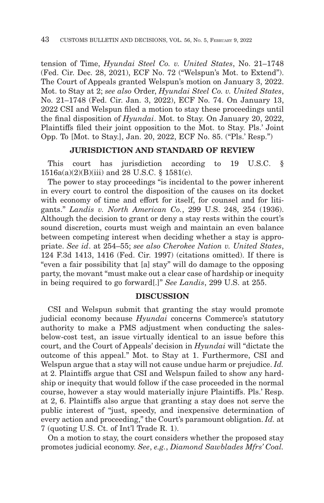tension of Time, *Hyundai Steel Co. v. United States*, No. 21–1748 (Fed. Cir. Dec. 28, 2021), ECF No. 72 ("Welspun's Mot. to Extend"). The Court of Appeals granted Welspun's motion on January 3, 2022. Mot. to Stay at 2; *see also* Order, *Hyundai Steel Co. v. United States*, No. 21–1748 (Fed. Cir. Jan. 3, 2022), ECF No. 74. On January 13, 2022 CSI and Welspun filed a motion to stay these proceedings until the final disposition of *Hyundai*. Mot. to Stay. On January 20, 2022, Plaintiffs filed their joint opposition to the Mot. to Stay. Pls.' Joint Opp. To [Mot. to Stay.], Jan. 20, 2022, ECF No. 85. ("Pls.' Resp.")

## **JURISDICTION AND STANDARD OF REVIEW**

This court has jurisdiction according to 19 U.S.C. §  $1516a(a)(2)(B)(iii)$  and 28 U.S.C. § 1581(c).

The power to stay proceedings "is incidental to the power inherent in every court to control the disposition of the causes on its docket with economy of time and effort for itself, for counsel and for litigants." *Landis v. North American Co.*, 299 U.S. 248, 254 (1936). Although the decision to grant or deny a stay rests within the court's sound discretion, courts must weigh and maintain an even balance between competing interest when deciding whether a stay is appropriate. *See id*. at 254–55; *see also Cherokee Nation v. United States*, 124 F.3d 1413, 1416 (Fed. Cir. 1997) (citations omitted). If there is "even a fair possibility that [a] stay" will do damage to the opposing party, the movant "must make out a clear case of hardship or inequity in being required to go forward[.]" *See Landis*, 299 U.S. at 255.

#### **DISCUSSION**

CSI and Welspun submit that granting the stay would promote judicial economy because *Hyundai* concerns Commerce's statutory authority to make a PMS adjustment when conducting the salesbelow-cost test, an issue virtually identical to an issue before this court, and the Court of Appeals' decision in *Hyundai* will "dictate the outcome of this appeal." Mot. to Stay at 1. Furthermore, CSI and Welspun argue that a stay will not cause undue harm or prejudice. *Id.* at 2. Plaintiffs argue that CSI and Welspun failed to show any hardship or inequity that would follow if the case proceeded in the normal course, however a stay would materially injure Plaintiffs. Pls.' Resp. at 2, 6. Plaintiffs also argue that granting a stay does not serve the public interest of "just, speedy, and inexpensive determination of every action and proceeding," the Court's paramount obligation. *Id.* at 7 (quoting U.S. Ct. of Int'l Trade R. 1).

On a motion to stay, the court considers whether the proposed stay promotes judicial economy. *See*, *e.g.*, *Diamond Sawblades Mfrs' Coal.*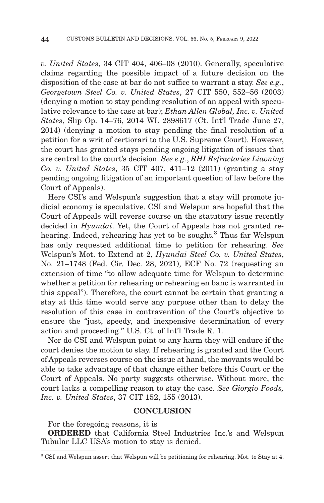*v. United States*, 34 CIT 404, 406–08 (2010). Generally, speculative claims regarding the possible impact of a future decision on the disposition of the case at bar do not suffice to warrant a stay. *See e.g.*, *Georgetown Steel Co. v. United States*, 27 CIT 550, 552–56 (2003) (denying a motion to stay pending resolution of an appeal with speculative relevance to the case at bar); *Ethan Allen Global, Inc. v. United States*, Slip Op. 14–76, 2014 WL 2898617 (Ct. Int'l Trade June 27, 2014) (denying a motion to stay pending the final resolution of a petition for a writ of certiorari to the U.S. Supreme Court). However, the court has granted stays pending ongoing litigation of issues that are central to the court's decision. *See e.g.*, *RHI Refractories Liaoning Co. v. United States*, 35 CIT 407, 411–12 (2011) (granting a stay pending ongoing litigation of an important question of law before the Court of Appeals).

Here CSI's and Welspun's suggestion that a stay will promote judicial economy is speculative. CSI and Welspun are hopeful that the Court of Appeals will reverse course on the statutory issue recently decided in *Hyundai*. Yet, the Court of Appeals has not granted rehearing. Indeed, rehearing has yet to be sought.<sup>3</sup> Thus far Welspun has only requested additional time to petition for rehearing. *See* Welspun's Mot. to Extend at 2, *Hyundai Steel Co. v. United States*, No. 21–1748 (Fed. Cir. Dec. 28, 2021), ECF No. 72 (requesting an extension of time "to allow adequate time for Welspun to determine whether a petition for rehearing or rehearing en banc is warranted in this appeal"). Therefore, the court cannot be certain that granting a stay at this time would serve any purpose other than to delay the resolution of this case in contravention of the Court's objective to ensure the "just, speedy, and inexpensive determination of every action and proceeding." U.S. Ct. of Int'l Trade R. 1.

Nor do CSI and Welspun point to any harm they will endure if the court denies the motion to stay. If rehearing is granted and the Court of Appeals reverses course on the issue at hand, the movants would be able to take advantage of that change either before this Court or the Court of Appeals. No party suggests otherwise. Without more, the court lacks a compelling reason to stay the case. *See Giorgio Foods, Inc. v. United States*, 37 CIT 152, 155 (2013).

#### **CONCLUSION**

For the foregoing reasons, it is

**ORDERED** that California Steel Industries Inc.'s and Welspun Tubular LLC USA's motion to stay is denied.

<sup>3</sup> CSI and Welspun assert that Welspun will be petitioning for rehearing. Mot. to Stay at 4.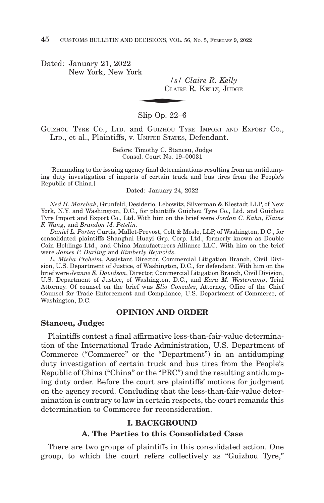Dated: January 21, 2022 New York, New York

*/s/ Claire R. Kelly*  $\frac{|s|}{\text{Clarree}}$ CLAIRE R. KELLY, JUDGE

Slip Op. 22–6

GUIZHOU TYRE CO., LTD. and GUIZHOU TYRE IMPORT AND EXPORT CO., LTD., et al., Plaintiffs, v. UNITED STATES, Defendant.

> Before: Timothy C. Stanceu, Judge Consol. Court No. 19–00031

[Remanding to the issuing agency final determinations resulting from an antidumping duty investigation of imports of certain truck and bus tires from the People's Republic of China.]

Dated: January 24, 2022

*Ned H. Marshak*, Grunfeld, Desiderio, Lebowitz, Silverman & Klestadt LLP, of New York, N.Y. and Washington, D.C., for plaintiffs Guizhou Tyre Co., Ltd. and Guizhou Tyre Import and Export Co., Ltd. With him on the brief were *Jordan C. Kahn*, *Elaine F. Wang*, and *Brandon M. Petelin*.

*Daniel L. Porter,* Curtis, Mallet-Prevost, Colt & Mosle, LLP, of Washington, D.C., for consolidated plaintiffs Shanghai Huayi Grp. Corp. Ltd., formerly known as Double Coin Holdings Ltd., and China Manufacturers Alliance LLC. With him on the brief were *James P. Durling* and *Kimberly Reynolds*.

*L. Misha Preheim*, Assistant Director, Commercial Litigation Branch, Civil Division, U.S. Department of Justice, of Washington, D.C., for defendant. With him on the brief were *Jeanne E. Davidson*, Director, Commercial Litigation Branch, Civil Division, U.S. Department of Justice, of Washington, D.C., and *Kara M. Westercamp*, Trial Attorney. Of counsel on the brief was *Elio Gonzalez*, Attorney, Office of the Chief Counsel for Trade Enforcement and Compliance, U.S. Department of Commerce, of Washington, D.C.

#### **OPINION AND ORDER**

## **Stanceu, Judge:**

Plaintiffs contest a final affirmative less-than-fair-value determination of the International Trade Administration, U.S. Department of Commerce ("Commerce" or the "Department") in an antidumping duty investigation of certain truck and bus tires from the People's Republic of China ("China" or the "PRC") and the resulting antidumping duty order. Before the court are plaintiffs' motions for judgment on the agency record. Concluding that the less-than-fair-value determination is contrary to law in certain respects, the court remands this determination to Commerce for reconsideration.

# **I. BACKGROUND**

#### **A. The Parties to this Consolidated Case**

There are two groups of plaintiffs in this consolidated action. One group, to which the court refers collectively as "Guizhou Tyre,"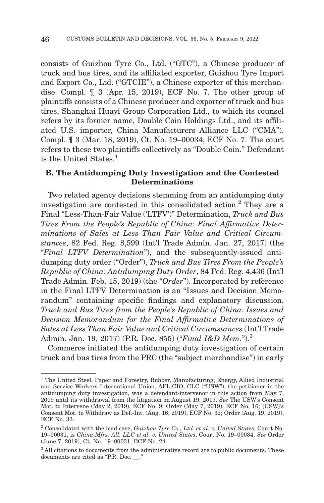consists of Guizhou Tyre Co., Ltd. ("GTC"), a Chinese producer of truck and bus tires, and its affiliated exporter, Guizhou Tyre Import and Export Co., Ltd. ("GTCIE"), a Chinese exporter of this merchandise. Compl. ¶ 3 (Apr. 15, 2019), ECF No. 7. The other group of plaintiffs consists of a Chinese producer and exporter of truck and bus tires, Shanghai Huayi Group Corporation Ltd., to which its counsel refers by its former name, Double Coin Holdings Ltd., and its affiliated U.S. importer, China Manufacturers Alliance LLC ("CMA"). Compl. ¶ 3 (Mar. 18, 2019), Ct. No. 19–00034, ECF No. 7. The court refers to these two plaintiffs collectively as "Double Coin." Defendant is the United States.<sup>1</sup>

# **B. The Antidumping Duty Investigation and the Contested Determinations**

Two related agency decisions stemming from an antidumping duty investigation are contested in this consolidated action.2 They are a Final "Less-Than-Fair Value ('LTFV')" Determination, *Truck and Bus Tires From the People's Republic of China: Final Affirmative Determinations of Sales at Less Than Fair Value and Critical Circumstances*, 82 Fed. Reg. 8,599 (Int'l Trade Admin. Jan. 27, 2017) (the "*Final LTFV Determination*"), and the subsequently-issued antidumping duty order ("Order"), *Truck and Bus Tires From the People's Republic of China: Antidumping Duty Order*, 84 Fed. Reg. 4,436 (Int'l Trade Admin. Feb. 15, 2019) (the "*Order*"). Incorporated by reference in the Final LTFV Determination is an "Issues and Decision Memorandum" containing specific findings and explanatory discussion. *Truck and Bus Tires from the People's Republic of China: Issues and Decision Memorandum for the Final Affirmative Determinations of Sales at Less Than Fair Value and Critical Circumstances* (Int'l Trade Admin. Jan. 19, 2017) (P.R. Doc. 855) ("*Final I&D Mem.*").<sup>3</sup>

Commerce initiated the antidumping duty investigation of certain truck and bus tires from the PRC (the "subject merchandise") in early

<sup>&</sup>lt;sup>1</sup> The United Steel, Paper and Forestry, Rubber, Manufacturing, Energy, Allied Industrial and Service Workers International Union, AFL-CIO, CLC ("USW"), the petitioner in the antidumping duty investigation, was a defendant-intervenor in this action from May 7, 2019 until its withdrawal from the litigation on August 19, 2019. *See* The USW's Consent Mot. to Intervene (May 2, 2019), ECF No. 9; Order (May 7, 2019), ECF No. 16; [USW]'s Consent Mot. to Withdraw as Def.-Int. (Aug. 16, 2019), ECF No. 32; Order (Aug. 19, 2019), ECF No. 33.

<sup>2</sup> Consolidated with the lead case, *Guizhou Tyre Co., Ltd. et al. v. United States*, Court No. 19–00031, is *China Mfrs. All. LLC et al. v. United States*, Court No. 19–00034. *See* Order (June 7, 2019), Ct. No. 19–00031, ECF No. 24.

<sup>&</sup>lt;sup>3</sup> All citations to documents from the administrative record are to public documents. These documents are cited as "P.R. Doc. \_\_."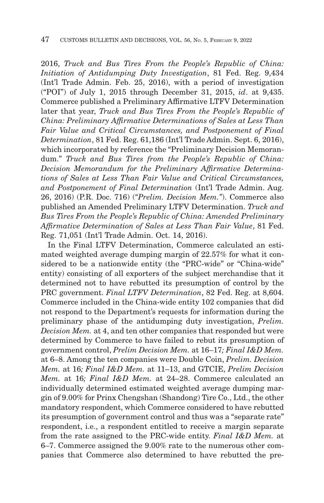2016, *Truck and Bus Tires From the People's Republic of China: Initiation of Antidumping Duty Investigation*, 81 Fed. Reg. 9,434 (Int'l Trade Admin. Feb. 25, 2016), with a period of investigation ("POI") of July 1, 2015 through December 31, 2015, *id*. at 9,435. Commerce published a Preliminary Affirmative LTFV Determination later that year, *Truck and Bus Tires From the People's Republic of China: Preliminary Affirmative Determinations of Sales at Less Than Fair Value and Critical Circumstances, and Postponement of Final Determination*, 81 Fed. Reg. 61,186 (Int'l Trade Admin. Sept. 6, 2016), which incorporated by reference the "Preliminary Decision Memorandum." *Truck and Bus Tires from the People's Republic of China: Decision Memorandum for the Preliminary Affirmative Determinations of Sales at Less Than Fair Value and Critical Circumstances, and Postponement of Final Determination* (Int'l Trade Admin. Aug. 26, 2016) (P.R. Doc. 716) (*"Prelim. Decision Mem."*). Commerce also published an Amended Preliminary LTFV Determination. *Truck and Bus Tires From the People's Republic of China: Amended Preliminary Affirmative Determination of Sales at Less Than Fair Value*, 81 Fed. Reg. 71,051 (Int'l Trade Admin. Oct. 14, 2016).

In the Final LTFV Determination, Commerce calculated an estimated weighted average dumping margin of 22.57% for what it considered to be a nationwide entity (the "PRC-wide" or "China-wide" entity) consisting of all exporters of the subject merchandise that it determined not to have rebutted its presumption of control by the PRC government. *Final LTFV Determination*, 82 Fed. Reg. at 8,604. Commerce included in the China-wide entity 102 companies that did not respond to the Department's requests for information during the preliminary phase of the antidumping duty investigation, *Prelim. Decision Mem.* at 4, and ten other companies that responded but were determined by Commerce to have failed to rebut its presumption of government control, *Prelim Decision Mem.* at 16–17*; Final I&D Mem.* at 6–8. Among the ten companies were Double Coin, *Prelim. Decision Mem.* at 16*; Final I&D Mem.* at 11–13, and GTCIE, *Prelim Decision Mem.* at 16*; Final I&D Mem.* at 24–28. Commerce calculated an individually determined estimated weighted average dumping margin of 9.00% for Prinx Chengshan (Shandong) Tire Co., Ltd., the other mandatory respondent, which Commerce considered to have rebutted its presumption of government control and thus was a "separate rate" respondent, i.e., a respondent entitled to receive a margin separate from the rate assigned to the PRC-wide entity. *Final I&D Mem.* at 6–7. Commerce assigned the 9.00% rate to the numerous other companies that Commerce also determined to have rebutted the pre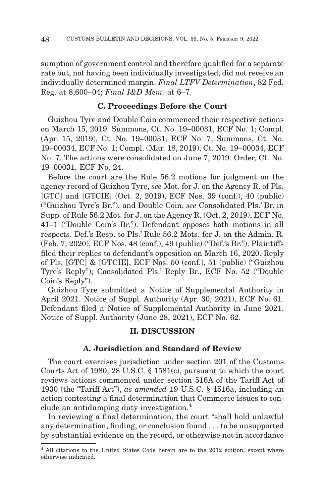sumption of government control and therefore qualified for a separate rate but, not having been individually investigated, did not receive an individually determined margin. *Final LTFV Determination*, 82 Fed. Reg. at 8,600–04; *Final I&D Mem.* at 6–7.

## **C. Proceedings Before the Court**

Guizhou Tyre and Double Coin commenced their respective actions on March 15, 2019. Summons, Ct. No. 19–00031, ECF No. 1; Compl. (Apr. 15, 2019), Ct. No. 19–00031, ECF No. 7; Summons, Ct. No. 19–00034, ECF No. 1; Compl. (Mar. 18, 2019), Ct. No. 19–00034, ECF No. 7. The actions were consolidated on June 7, 2019. Order, Ct. No. 19–00031, ECF No. 24.

Before the court are the Rule 56.2 motions for judgment on the agency record of Guizhou Tyre, *see* Mot. for J. on the Agency R. of Pls. [GTC] and [GTCIE] (Oct. 2, 2019), ECF Nos. 39 (conf.), 40 (public) ("Guizhou Tyre's Br."), and Double Coin, *see* Consolidated Pls.' Br. in Supp. of Rule 56.2 Mot. for J. on the Agency R. (Oct. 2, 2019), ECF No. 41–1 ("Double Coin's Br."). Defendant opposes both motions in all respects. Def.'s Resp. to Pls.' Rule 56.2 Mots. for J. on the Admin. R. (Feb. 7, 2020), ECF Nos. 48 (conf.), 49 (public) ("Def.'s Br."). Plaintiffs filed their replies to defendant's opposition on March 16, 2020. Reply of Pls. [GTC] & [GTCIE], ECF Nos. 50 (conf.), 51 (public) ("Guizhou Tyre's Reply"); Consolidated Pls.' Reply Br., ECF No. 52 ("Double Coin's Reply").

Guizhou Tyre submitted a Notice of Supplemental Authority in April 2021. Notice of Suppl. Authority (Apr. 30, 2021), ECF No. 61. Defendant filed a Notice of Supplemental Authority in June 2021. Notice of Suppl. Authority (June 28, 2021), ECF No. 62.

## **II. DISCUSSION**

## **A. Jurisdiction and Standard of Review**

The court exercises jurisdiction under section 201 of the Customs Courts Act of 1980, 28 U.S.C. § 1581(c), pursuant to which the court reviews actions commenced under section 516A of the Tariff Act of 1930 (the "Tariff Act"), *as amended* 19 U.S.C. § 1516a, including an action contesting a final determination that Commerce issues to conclude an antidumping duty investigation.<sup>4</sup>

In reviewing a final determination, the court "shall hold unlawful any determination, finding, or conclusion found . . . to be unsupported by substantial evidence on the record, or otherwise not in accordance

<sup>4</sup> All citations to the United States Code herein are to the 2012 edition, except where otherwise indicated.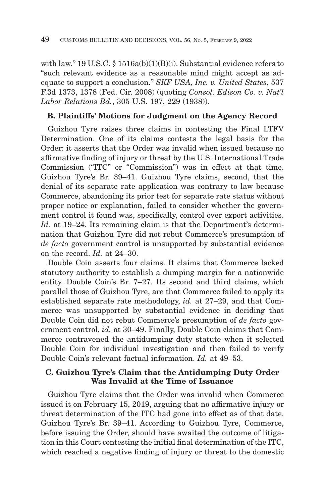with law." 19 U.S.C. § 1516a(b)(1)(B)(i). Substantial evidence refers to "such relevant evidence as a reasonable mind might accept as adequate to support a conclusion." *SKF USA, Inc. v. United States*, 537 F.3d 1373, 1378 (Fed. Cir. 2008) (quoting *Consol. Edison Co. v. Nat'l Labor Relations Bd.*, 305 U.S. 197, 229 (1938)).

## **B. Plaintiffs' Motions for Judgment on the Agency Record**

Guizhou Tyre raises three claims in contesting the Final LTFV Determination. One of its claims contests the legal basis for the Order: it asserts that the Order was invalid when issued because no affirmative finding of injury or threat by the U.S. International Trade Commission ("ITC" or "Commission") was in effect at that time. Guizhou Tyre's Br. 39–41. Guizhou Tyre claims, second, that the denial of its separate rate application was contrary to law because Commerce, abandoning its prior test for separate rate status without proper notice or explanation, failed to consider whether the government control it found was, specifically, control over export activities. *Id.* at 19–24. Its remaining claim is that the Department's determination that Guizhou Tyre did not rebut Commerce's presumption of *de facto* government control is unsupported by substantial evidence on the record. *Id.* at 24–30.

Double Coin asserts four claims. It claims that Commerce lacked statutory authority to establish a dumping margin for a nationwide entity. Double Coin's Br. 7–27. Its second and third claims, which parallel those of Guizhou Tyre, are that Commerce failed to apply its established separate rate methodology, *id.* at 27–29, and that Commerce was unsupported by substantial evidence in deciding that Double Coin did not rebut Commerce's presumption of *de facto* government control, *id.* at 30–49. Finally, Double Coin claims that Commerce contravened the antidumping duty statute when it selected Double Coin for individual investigation and then failed to verify Double Coin's relevant factual information. *Id.* at 49–53.

## **C. Guizhou Tyre's Claim that the Antidumping Duty Order Was Invalid at the Time of Issuance**

Guizhou Tyre claims that the Order was invalid when Commerce issued it on February 15, 2019, arguing that no affirmative injury or threat determination of the ITC had gone into effect as of that date. Guizhou Tyre's Br. 39–41. According to Guizhou Tyre, Commerce, before issuing the Order, should have awaited the outcome of litigation in this Court contesting the initial final determination of the ITC, which reached a negative finding of injury or threat to the domestic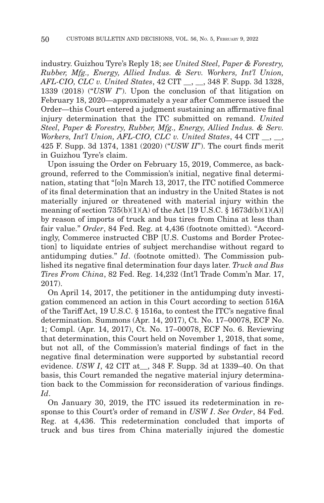industry. Guizhou Tyre's Reply 18; *see United Steel, Paper & Forestry, Rubber, Mfg., Energy, Allied Indus. & Serv. Workers, Int'l Union, AFL-CIO, CLC v. United States*, 42 CIT \_\_, \_\_, 348 F. Supp. 3d 1328, 1339 (2018) ("*USW I*"). Upon the conclusion of that litigation on February 18, 2020—approximately a year after Commerce issued the Order—this Court entered a judgment sustaining an affirmative final injury determination that the ITC submitted on remand. *United Steel, Paper & Forestry, Rubber, Mfg., Energy, Allied Indus. & Serv. Workers, Int'l Union, AFL-CIO, CLC v. United States*, 44 CIT \_\_, \_\_, 425 F. Supp. 3d 1374, 1381 (2020) ("*USW II*"). The court finds merit in Guizhou Tyre's claim.

Upon issuing the Order on February 15, 2019, Commerce, as background, referred to the Commission's initial, negative final determination, stating that "[o]n March 13, 2017, the ITC notified Commerce of its final determination that an industry in the United States is not materially injured or threatened with material injury within the meaning of section  $735(b)(1)(A)$  of the Act [19 U.S.C. § 1673d(b)(1)(A)] by reason of imports of truck and bus tires from China at less than fair value." *Order*, 84 Fed. Reg. at 4,436 (footnote omitted). "Accordingly, Commerce instructed CBP [U.S. Customs and Border Protection] to liquidate entries of subject merchandise without regard to antidumping duties." *Id*. (footnote omitted). The Commission published its negative final determination four days later. *Truck and Bus Tires From China*, 82 Fed. Reg. 14,232 (Int'l Trade Comm'n Mar. 17, 2017).

On April 14, 2017, the petitioner in the antidumping duty investigation commenced an action in this Court according to section 516A of the Tariff Act, 19 U.S.C. § 1516a, to contest the ITC's negative final determination. Summons (Apr. 14, 2017), Ct. No. 17–00078, ECF No. 1; Compl. (Apr. 14, 2017), Ct. No. 17–00078, ECF No. 6. Reviewing that determination, this Court held on November 1, 2018, that some, but not all, of the Commission's material findings of fact in the negative final determination were supported by substantial record evidence. *USW I*, 42 CIT at\_\_, 348 F. Supp. 3d at 1339–40. On that basis, this Court remanded the negative material injury determination back to the Commission for reconsideration of various findings. *Id*.

On January 30, 2019, the ITC issued its redetermination in response to this Court's order of remand in *USW I*. *See Order*, 84 Fed. Reg. at 4,436. This redetermination concluded that imports of truck and bus tires from China materially injured the domestic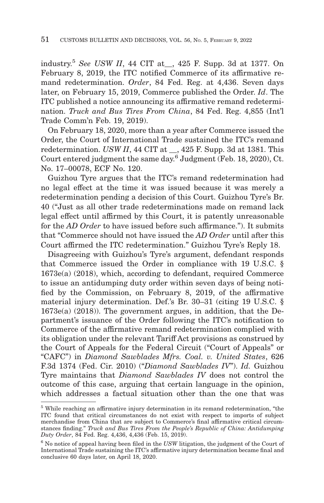industry.5 *See USW II*, 44 CIT at\_\_, 425 F. Supp. 3d at 1377. On February 8, 2019, the ITC notified Commerce of its affirmative remand redetermination. *Order*, 84 Fed. Reg. at 4,436. Seven days later, on February 15, 2019, Commerce published the Order. *Id*. The ITC published a notice announcing its affirmative remand redetermination. *Truck and Bus Tires From China*, 84 Fed. Reg. 4,855 (Int'l Trade Comm'n Feb. 19, 2019).

On February 18, 2020, more than a year after Commerce issued the Order, the Court of International Trade sustained the ITC's remand redetermination. *USW II*, 44 CIT at \_\_, 425 F. Supp. 3d at 1381. This Court entered judgment the same day.<sup>6</sup> Judgment (Feb. 18, 2020), Ct. No. 17–00078, ECF No. 120.

Guizhou Tyre argues that the ITC's remand redetermination had no legal effect at the time it was issued because it was merely a redetermination pending a decision of this Court. Guizhou Tyre's Br. 40 ("Just as all other trade redeterminations made on remand lack legal effect until affirmed by this Court, it is patently unreasonable for the *AD Order* to have issued before such affirmance."). It submits that "Commerce should not have issued the *AD Order* until after this Court affirmed the ITC redetermination." Guizhou Tyre's Reply 18.

Disagreeing with Guizhou's Tyre's argument, defendant responds that Commerce issued the Order in compliance with 19 U.S.C. § 1673e(a) (2018), which, according to defendant, required Commerce to issue an antidumping duty order within seven days of being notified by the Commission, on February 8, 2019, of the affirmative material injury determination. Def.'s Br. 30–31 (citing 19 U.S.C. § 1673e(a) (2018)). The government argues, in addition, that the Department's issuance of the Order following the ITC's notification to Commerce of the affirmative remand redetermination complied with its obligation under the relevant Tariff Act provisions as construed by the Court of Appeals for the Federal Circuit ("Court of Appeals" or "CAFC") in *Diamond Sawblades Mfrs. Coal. v. United States*, 626 F.3d 1374 (Fed. Cir. 2010) ("*Diamond Sawblades IV*"). *Id.* Guizhou Tyre maintains that *Diamond Sawblades IV* does not control the outcome of this case, arguing that certain language in the opinion, which addresses a factual situation other than the one that was

<sup>&</sup>lt;sup>5</sup> While reaching an affirmative injury determination in its remand redetermination, "the ITC found that critical circumstances do not exist with respect to imports of subject merchandise from China that are subject to Commerce's final affirmative critical circumstances finding." *Truck and Bus Tires From the People's Republic of China: Antidumping Duty Order*, 84 Fed. Reg. 4,436, 4,436 (Feb. 15, 2019).

<sup>6</sup> No notice of appeal having been filed in the *USW* litigation, the judgment of the Court of International Trade sustaining the ITC's affirmative injury determination became final and conclusive 60 days later, on April 18, 2020.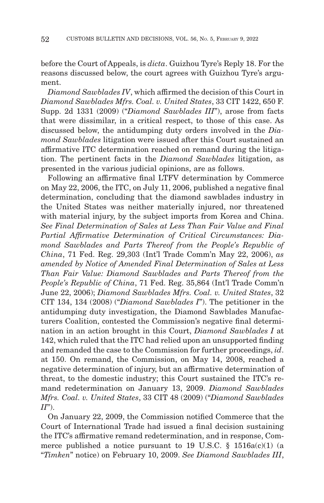before the Court of Appeals, is *dicta*. Guizhou Tyre's Reply 18. For the reasons discussed below, the court agrees with Guizhou Tyre's argument.

*Diamond Sawblades IV*, which affirmed the decision of this Court in *Diamond Sawblades Mfrs. Coal. v. United States*, 33 CIT 1422, 650 F. Supp. 2d 1331 (2009) ("*Diamond Sawblades III*"), arose from facts that were dissimilar, in a critical respect, to those of this case. As discussed below, the antidumping duty orders involved in the *Diamond Sawblades* litigation were issued after this Court sustained an affirmative ITC determination reached on remand during the litigation. The pertinent facts in the *Diamond Sawblades* litigation, as presented in the various judicial opinions, are as follows.

Following an affirmative final LTFV determination by Commerce on May 22, 2006, the ITC, on July 11, 2006, published a negative final determination, concluding that the diamond sawblades industry in the United States was neither materially injured, nor threatened with material injury, by the subject imports from Korea and China. *See Final Determination of Sales at Less Than Fair Value and Final Partial Affirmative Determination of Critical Circumstances: Diamond Sawblades and Parts Thereof from the People's Republic of China*, 71 Fed. Reg. 29,303 (Int'l Trade Comm'n May 22, 2006), *as amended by Notice of Amended Final Determination of Sales at Less Than Fair Value: Diamond Sawblades and Parts Thereof from the People's Republic of China*, 71 Fed. Reg. 35,864 (Int'l Trade Comm'n June 22, 2006); *Diamond Sawblades Mfrs. Coal. v. United States*, 32 CIT 134, 134 (2008) ("*Diamond Sawblades I*"). The petitioner in the antidumping duty investigation, the Diamond Sawblades Manufacturers Coalition, contested the Commission's negative final determination in an action brought in this Court, *Diamond Sawblades I* at 142, which ruled that the ITC had relied upon an unsupported finding and remanded the case to the Commission for further proceedings, *id*. at 150. On remand, the Commission, on May 14, 2008, reached a negative determination of injury, but an affirmative determination of threat, to the domestic industry; this Court sustained the ITC's remand redetermination on January 13, 2009. *Diamond Sawblades Mfrs. Coal. v. United States*, 33 CIT 48 (2009) ("*Diamond Sawblades II*").

On January 22, 2009, the Commission notified Commerce that the Court of International Trade had issued a final decision sustaining the ITC's affirmative remand redetermination, and in response, Commerce published a notice pursuant to 19 U.S.C.  $\S$  1516a(c)(1) (a "*Timken*" notice) on February 10, 2009. *See Diamond Sawblades III*,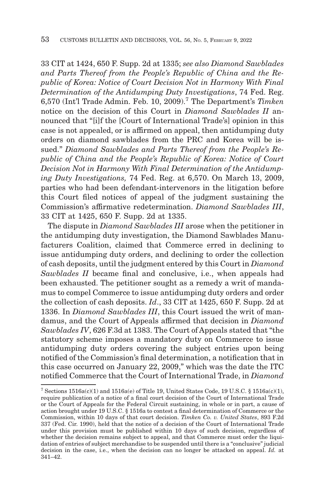33 CIT at 1424, 650 F. Supp. 2d at 1335; *see also Diamond Sawblades and Parts Thereof from the People's Republic of China and the Republic of Korea: Notice of Court Decision Not in Harmony With Final Determination of the Antidumping Duty Investigations*, 74 Fed. Reg. 6,570 (Int'l Trade Admin. Feb. 10, 2009).7 The Department's *Timken* notice on the decision of this Court in *Diamond Sawblades II* announced that "[i]f the [Court of International Trade's] opinion in this case is not appealed, or is affirmed on appeal, then antidumping duty orders on diamond sawblades from the PRC and Korea will be issued." *Diamond Sawblades and Parts Thereof from the People's Republic of China and the People's Republic of Korea: Notice of Court Decision Not in Harmony With Final Determination of the Antidumping Duty Investigations,* 74 Fed. Reg. at 6,570. On March 13, 2009, parties who had been defendant-intervenors in the litigation before this Court filed notices of appeal of the judgment sustaining the Commission's affirmative redetermination. *Diamond Sawblades III*, 33 CIT at 1425, 650 F. Supp. 2d at 1335.

The dispute in *Diamond Sawblades III* arose when the petitioner in the antidumping duty investigation, the Diamond Sawblades Manufacturers Coalition, claimed that Commerce erred in declining to issue antidumping duty orders, and declining to order the collection of cash deposits, until the judgment entered by this Court in *Diamond Sawblades II* became final and conclusive, i.e., when appeals had been exhausted. The petitioner sought as a remedy a writ of mandamus to compel Commerce to issue antidumping duty orders and order the collection of cash deposits. *Id*., 33 CIT at 1425, 650 F. Supp. 2d at 1336. In *Diamond Sawblades III*, this Court issued the writ of mandamus, and the Court of Appeals affirmed that decision in *Diamond Sawblades IV*, 626 F.3d at 1383. The Court of Appeals stated that "the statutory scheme imposes a mandatory duty on Commerce to issue antidumping duty orders covering the subject entries upon being notified of the Commission's final determination, a notification that in this case occurred on January 22, 2009," which was the date the ITC notified Commerce that the Court of International Trade, in *Diamond*

 $^7$  Sections 1516a(c)(1) and 1516a(e) of Title 19, United States Code, 19 U.S.C. § 1516a(c)(1), require publication of a notice of a final court decision of the Court of International Trade or the Court of Appeals for the Federal Circuit sustaining, in whole or in part, a cause of action brought under 19 U.S.C. § 1516a to contest a final determination of Commerce or the Commission, within 10 days of that court decision. *Timken Co. v. United States*, 893 F.2d 337 (Fed. Cir. 1990), held that the notice of a decision of the Court of International Trade under this provision must be published within 10 days of such decision, regardless of whether the decision remains subject to appeal, and that Commerce must order the liquidation of entries of subject merchandise to be suspended until there is a "conclusive" judicial decision in the case, i.e., when the decision can no longer be attacked on appeal. *Id.* at 341–42.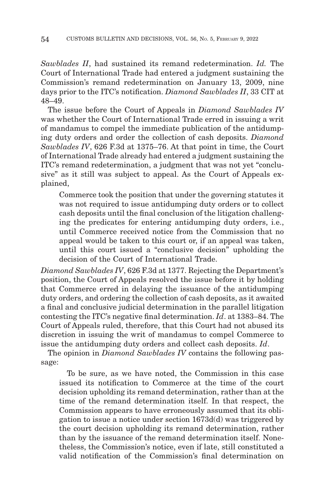*Sawblades II*, had sustained its remand redetermination. *Id.* The Court of International Trade had entered a judgment sustaining the Commission's remand redetermination on January 13, 2009, nine days prior to the ITC's notification. *Diamond Sawblades II*, 33 CIT at 48–49.

The issue before the Court of Appeals in *Diamond Sawblades IV* was whether the Court of International Trade erred in issuing a writ of mandamus to compel the immediate publication of the antidumping duty orders and order the collection of cash deposits. *Diamond Sawblades IV*, 626 F.3d at 1375–76. At that point in time, the Court of International Trade already had entered a judgment sustaining the ITC's remand redetermination, a judgment that was not yet "conclusive" as it still was subject to appeal. As the Court of Appeals explained,

Commerce took the position that under the governing statutes it was not required to issue antidumping duty orders or to collect cash deposits until the final conclusion of the litigation challenging the predicates for entering antidumping duty orders, i.e., until Commerce received notice from the Commission that no appeal would be taken to this court or, if an appeal was taken, until this court issued a "conclusive decision" upholding the decision of the Court of International Trade.

*Diamond Sawblades IV*, 626 F.3d at 1377. Rejecting the Department's position, the Court of Appeals resolved the issue before it by holding that Commerce erred in delaying the issuance of the antidumping duty orders, and ordering the collection of cash deposits, as it awaited a final and conclusive judicial determination in the parallel litigation contesting the ITC's negative final determination. *Id*. at 1383–84. The Court of Appeals ruled, therefore, that this Court had not abused its discretion in issuing the writ of mandamus to compel Commerce to issue the antidumping duty orders and collect cash deposits. *Id*.

The opinion in *Diamond Sawblades IV* contains the following passage:

 To be sure, as we have noted, the Commission in this case issued its notification to Commerce at the time of the court decision upholding its remand determination, rather than at the time of the remand determination itself. In that respect, the Commission appears to have erroneously assumed that its obligation to issue a notice under section 1673d(d) was triggered by the court decision upholding its remand determination, rather than by the issuance of the remand determination itself. Nonetheless, the Commission's notice, even if late, still constituted a valid notification of the Commission's final determination on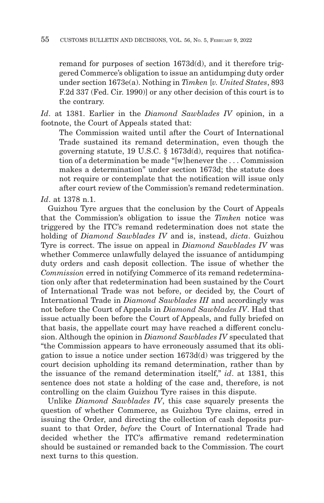remand for purposes of section 1673d(d), and it therefore triggered Commerce's obligation to issue an antidumping duty order under section 1673e(a). Nothing in *Timken* [*v. United States*, 893 F.2d 337 (Fed. Cir. 1990)] or any other decision of this court is to the contrary.

*Id*. at 1381. Earlier in the *Diamond Sawblades IV* opinion, in a footnote, the Court of Appeals stated that:

The Commission waited until after the Court of International Trade sustained its remand determination, even though the governing statute, 19 U.S.C. § 1673d(d), requires that notification of a determination be made "[w]henever the . . . Commission makes a determination" under section 1673d; the statute does not require or contemplate that the notification will issue only after court review of the Commission's remand redetermination.

*Id*. at 1378 n.1.

Guizhou Tyre argues that the conclusion by the Court of Appeals that the Commission's obligation to issue the *Timken* notice was triggered by the ITC's remand redetermination does not state the holding of *Diamond Sawblades IV* and is, instead, *dicta*. Guizhou Tyre is correct. The issue on appeal in *Diamond Sawblades IV* was whether Commerce unlawfully delayed the issuance of antidumping duty orders and cash deposit collection. The issue of whether the *Commission* erred in notifying Commerce of its remand redetermination only after that redetermination had been sustained by the Court of International Trade was not before, or decided by, the Court of International Trade in *Diamond Sawblades III* and accordingly was not before the Court of Appeals in *Diamond Sawblades IV*. Had that issue actually been before the Court of Appeals, and fully briefed on that basis, the appellate court may have reached a different conclusion. Although the opinion in *Diamond Sawblades IV* speculated that "the Commission appears to have erroneously assumed that its obligation to issue a notice under section 1673d(d) was triggered by the court decision upholding its remand determination, rather than by the issuance of the remand determination itself," *id*. at 1381, this sentence does not state a holding of the case and, therefore, is not controlling on the claim Guizhou Tyre raises in this dispute.

Unlike *Diamond Sawblades IV*, this case squarely presents the question of whether Commerce, as Guizhou Tyre claims, erred in issuing the Order, and directing the collection of cash deposits pursuant to that Order, *before* the Court of International Trade had decided whether the ITC's affirmative remand redetermination should be sustained or remanded back to the Commission. The court next turns to this question.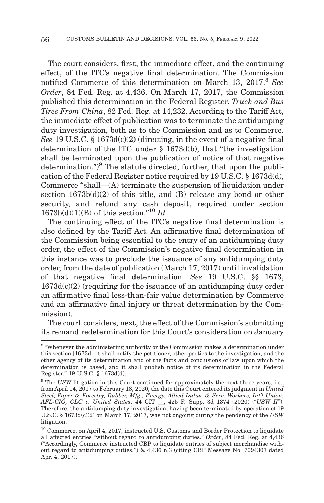The court considers, first, the immediate effect, and the continuing effect, of the ITC's negative final determination. The Commission notified Commerce of this determination on March 13, 2017.<sup>8</sup> See *Order*, 84 Fed. Reg. at 4,436. On March 17, 2017, the Commission published this determination in the Federal Register. *Truck and Bus Tires From China*, 82 Fed. Reg. at 14,232. According to the Tariff Act, the immediate effect of publication was to terminate the antidumping duty investigation, both as to the Commission and as to Commerce. *See* 19 U.S.C. § 1673d(c)(2) (directing, in the event of a negative final determination of the ITC under § 1673d(b), that "the investigation shall be terminated upon the publication of notice of that negative determination.")<sup>9</sup> The statute directed, further, that upon the publication of the Federal Register notice required by 19 U.S.C. § 1673d(d), Commerce "shall—(A) terminate the suspension of liquidation under section  $1673b(d)(2)$  of this title, and (B) release any bond or other security, and refund any cash deposit, required under section  $1673b(d)(1)(B)$  of this section."<sup>10</sup> *Id.* 

The continuing effect of the ITC's negative final determination is also defined by the Tariff Act. An affirmative final determination of the Commission being essential to the entry of an antidumping duty order, the effect of the Commission's negative final determination in this instance was to preclude the issuance of any antidumping duty order, from the date of publication (March 17, 2017) until invalidation of that negative final determination. *See* 19 U.S.C. §§ 1673,  $1673d(c)(2)$  (requiring for the issuance of an antidumping duty order an affirmative final less-than-fair value determination by Commerce and an affirmative final injury or threat determination by the Commission).

The court considers, next, the effect of the Commission's submitting its remand redetermination for this Court's consideration on January

<sup>8 &</sup>quot;Whenever the administering authority or the Commission makes a determination under this section [1673d], it shall notify the petitioner, other parties to the investigation, and the other agency of its determination and of the facts and conclusions of law upon which the determination is based, and it shall publish notice of its determination in the Federal Register." 19 U.S.C. § 1673d(d).

<sup>&</sup>lt;sup>9</sup> The *USW* litigation in this Court continued for approximately the next three years, i.e., from April 14, 2017 to February 18, 2020, the date this Court entered its judgment in *United Steel, Paper & Forestry, Rubber, Mfg., Energy, Allied Indus. & Serv. Workers, Int'l Union, AFL-CIO, CLC v. United States*, 44 CIT \_\_, 425 F. Supp. 3d 1374 (2020) ("*USW II*"). Therefore, the antidumping duty investigation, having been terminated by operation of 19 U.S.C. § 1673d(c)(2) on March 17, 2017, was not ongoing during the pendency of the *USW* litigation.

<sup>&</sup>lt;sup>10</sup> Commerce, on April 4, 2017, instructed U.S. Customs and Border Protection to liquidate all affected entries "without regard to antidumping duties." *Order*, 84 Fed. Reg. at 4,436 ("Accordingly, Commerce instructed CBP to liquidate entries of subject merchandise without regard to antidumping duties.") & 4,436 n.3 (citing CBP Message No. 7094307 dated Apr. 4, 2017).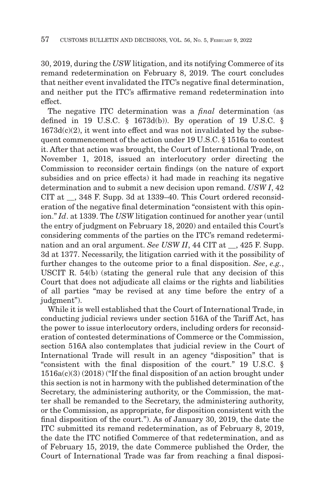30, 2019, during the *USW* litigation, and its notifying Commerce of its remand redetermination on February 8, 2019. The court concludes that neither event invalidated the ITC's negative final determination, and neither put the ITC's affirmative remand redetermination into effect.

The negative ITC determination was a *final* determination (as defined in 19 U.S.C.  $\S$  1673d(b)). By operation of 19 U.S.C.  $\S$  $1673d(c)(2)$ , it went into effect and was not invalidated by the subsequent commencement of the action under 19 U.S.C. § 1516a to contest it. After that action was brought, the Court of International Trade, on November 1, 2018, issued an interlocutory order directing the Commission to reconsider certain findings (on the nature of export subsidies and on price effects) it had made in reaching its negative determination and to submit a new decision upon remand. *USW I*, 42 CIT at \_\_, 348 F. Supp. 3d at 1339–40. This Court ordered reconsideration of the negative final determination "consistent with this opinion." *Id*. at 1339. The *USW* litigation continued for another year (until the entry of judgment on February 18, 2020) and entailed this Court's considering comments of the parties on the ITC's remand redetermination and an oral argument. *See USW II*, 44 CIT at \_\_, 425 F. Supp. 3d at 1377. Necessarily, the litigation carried with it the possibility of further changes to the outcome prior to a final disposition. *See*, *e.g.*, USCIT R. 54(b) (stating the general rule that any decision of this Court that does not adjudicate all claims or the rights and liabilities of all parties "may be revised at any time before the entry of a judgment").

While it is well established that the Court of International Trade, in conducting judicial reviews under section 516A of the Tariff Act, has the power to issue interlocutory orders, including orders for reconsideration of contested determinations of Commerce or the Commission, section 516A also contemplates that judicial review in the Court of International Trade will result in an agency "disposition" that is "consistent with the final disposition of the court." 19 U.S.C. § 1516a(c)(3) (2018) ("If the final disposition of an action brought under this section is not in harmony with the published determination of the Secretary, the administering authority, or the Commission, the matter shall be remanded to the Secretary, the administering authority, or the Commission, as appropriate, for disposition consistent with the final disposition of the court."). As of January 30, 2019, the date the ITC submitted its remand redetermination, as of February 8, 2019, the date the ITC notified Commerce of that redetermination, and as of February 15, 2019, the date Commerce published the Order, the Court of International Trade was far from reaching a final disposi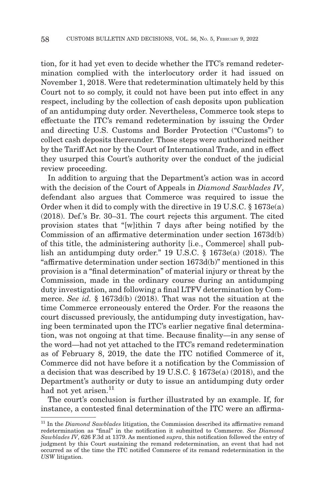tion, for it had yet even to decide whether the ITC's remand redetermination complied with the interlocutory order it had issued on November 1, 2018. Were that redetermination ultimately held by this Court not to so comply, it could not have been put into effect in any respect, including by the collection of cash deposits upon publication of an antidumping duty order. Nevertheless, Commerce took steps to effectuate the ITC's remand redetermination by issuing the Order and directing U.S. Customs and Border Protection ("Customs") to collect cash deposits thereunder. Those steps were authorized neither by the Tariff Act nor by the Court of International Trade, and in effect they usurped this Court's authority over the conduct of the judicial review proceeding.

In addition to arguing that the Department's action was in accord with the decision of the Court of Appeals in *Diamond Sawblades IV*, defendant also argues that Commerce was required to issue the Order when it did to comply with the directive in 19 U.S.C. § 1673e(a) (2018). Def.'s Br. 30–31. The court rejects this argument. The cited provision states that "[w]ithin 7 days after being notified by the Commission of an affirmative determination under section 1673d(b) of this title, the administering authority [i.e., Commerce] shall publish an antidumping duty order." 19 U.S.C. § 1673e(a) (2018). The "affirmative determination under section 1673d(b)" mentioned in this provision is a "final determination" of material injury or threat by the Commission, made in the ordinary course during an antidumping duty investigation, and following a final LTFV determination by Commerce. *See id.* § 1673d(b) (2018). That was not the situation at the time Commerce erroneously entered the Order. For the reasons the court discussed previously, the antidumping duty investigation, having been terminated upon the ITC's earlier negative final determination, was not ongoing at that time. Because finality—in any sense of the word—had not yet attached to the ITC's remand redetermination as of February 8, 2019, the date the ITC notified Commerce of it, Commerce did not have before it a notification by the Commission of a decision that was described by 19 U.S.C. § 1673e(a) (2018), and the Department's authority or duty to issue an antidumping duty order had not yet arisen.<sup>11</sup>

The court's conclusion is further illustrated by an example. If, for instance, a contested final determination of the ITC were an affirma-

<sup>&</sup>lt;sup>11</sup> In the *Diamond Sawblades* litigation, the Commission described its affirmative remand redetermination as "final" in the notification it submitted to Commerce. *See Diamond Sawblades IV*, 626 F.3d at 1379. As mentioned *supra*, this notification followed the entry of judgment by this Court sustaining the remand redetermination, an event that had not occurred as of the time the ITC notified Commerce of its remand redetermination in the *USW* litigation.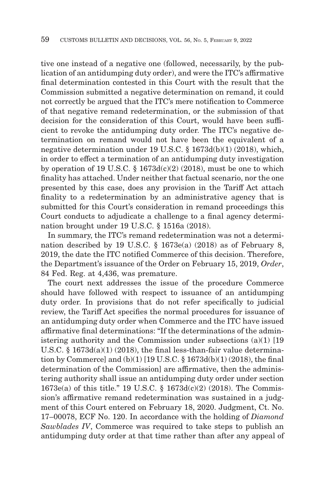tive one instead of a negative one (followed, necessarily, by the publication of an antidumping duty order), and were the ITC's affirmative final determination contested in this Court with the result that the Commission submitted a negative determination on remand, it could not correctly be argued that the ITC's mere notification to Commerce of that negative remand redetermination, or the submission of that decision for the consideration of this Court, would have been sufficient to revoke the antidumping duty order. The ITC's negative determination on remand would not have been the equivalent of a negative determination under 19 U.S.C. § 1673d(b)(1) (2018), which, in order to effect a termination of an antidumping duty investigation by operation of 19 U.S.C.  $\S$  1673d(c)(2) (2018), must be one to which finality has attached. Under neither that factual scenario, nor the one presented by this case, does any provision in the Tariff Act attach finality to a redetermination by an administrative agency that is submitted for this Court's consideration in remand proceedings this Court conducts to adjudicate a challenge to a final agency determination brought under 19 U.S.C. § 1516a (2018).

In summary, the ITC's remand redetermination was not a determination described by 19 U.S.C. § 1673e(a) (2018) as of February 8, 2019, the date the ITC notified Commerce of this decision. Therefore, the Department's issuance of the Order on February 15, 2019, *Order*, 84 Fed. Reg. at 4,436, was premature.

The court next addresses the issue of the procedure Commerce should have followed with respect to issuance of an antidumping duty order. In provisions that do not refer specifically to judicial review, the Tariff Act specifies the normal procedures for issuance of an antidumping duty order when Commerce and the ITC have issued affirmative final determinations: "If the determinations of the administering authority and the Commission under subsections (a)(1) [19 U.S.C.  $\S$  1673d(a)(1) (2018), the final less-than-fair value determination by Commerce] and (b)(1) [19 U.S.C. § 1673d(b)(1) (2018), the final determination of the Commission] are affirmative, then the administering authority shall issue an antidumping duty order under section 1673e(a) of this title." 19 U.S.C. § 1673d(c)(2) (2018). The Commission's affirmative remand redetermination was sustained in a judgment of this Court entered on February 18, 2020. Judgment, Ct. No. 17–00078, ECF No. 120. In accordance with the holding of *Diamond Sawblades IV*, Commerce was required to take steps to publish an antidumping duty order at that time rather than after any appeal of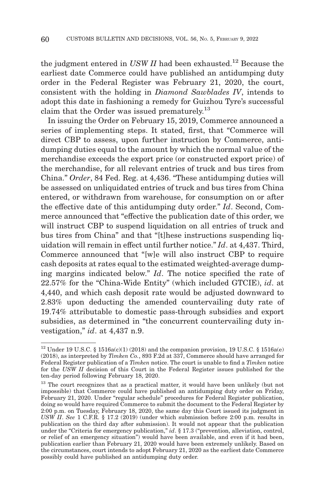the judgment entered in *USW II* had been exhausted.<sup>12</sup> Because the earliest date Commerce could have published an antidumping duty order in the Federal Register was February 21, 2020, the court, consistent with the holding in *Diamond Sawblades IV*, intends to adopt this date in fashioning a remedy for Guizhou Tyre's successful claim that the Order was issued prematurely.<sup>13</sup>

In issuing the Order on February 15, 2019, Commerce announced a series of implementing steps. It stated, first, that "Commerce will direct CBP to assess, upon further instruction by Commerce, antidumping duties equal to the amount by which the normal value of the merchandise exceeds the export price (or constructed export price) of the merchandise, for all relevant entries of truck and bus tires from China." *Order*, 84 Fed. Reg. at 4,436. "These antidumping duties will be assessed on unliquidated entries of truck and bus tires from China entered, or withdrawn from warehouse, for consumption on or after the effective date of this antidumping duty order." *Id*. Second, Commerce announced that "effective the publication date of this order, we will instruct CBP to suspend liquidation on all entries of truck and bus tires from China" and that "[t]hese instructions suspending liquidation will remain in effect until further notice." *Id*. at 4,437. Third, Commerce announced that "[w]e will also instruct CBP to require cash deposits at rates equal to the estimated weighted-average dumping margins indicated below." *Id*. The notice specified the rate of 22.57% for the "China-Wide Entity" (which included GTCIE), *id*. at 4,440, and which cash deposit rate would be adjusted downward to 2.83% upon deducting the amended countervailing duty rate of 19.74% attributable to domestic pass-through subsidies and export subsidies, as determined in "the concurrent countervailing duty investigation," *id*. at 4,437 n.9.

<sup>&</sup>lt;sup>12</sup> Under 19 U.S.C. § 1516a(c)(1) (2018) and the companion provision, 19 U.S.C. § 1516a(e) (2018), as interpreted by *Timken Co.*, 893 F.2d at 337, Commerce should have arranged for Federal Register publication of a *Timken* notice. The court is unable to find a *Timken* notice for the *USW II* decision of this Court in the Federal Register issues published for the ten-day period following February 18, 2020.

<sup>&</sup>lt;sup>13</sup> The court recognizes that as a practical matter, it would have been unlikely (but not impossible) that Commerce could have published an antidumping duty order on Friday, February 21, 2020. Under "regular schedule" procedures for Federal Register publication, doing so would have required Commerce to submit the document to the Federal Register by 2:00 p.m. on Tuesday, February 18, 2020, the same day this Court issued its judgment in *USW II. See* 1 C.F.R. § 17.2 (2019) (under which submission before 2:00 p.m. results in publication on the third day after submission). It would not appear that the publication under the "Criteria for emergency publication," *id*. § 17.3 ("prevention, alleviation, control, or relief of an emergency situation") would have been available, and even if it had been, publication earlier than February 21, 2020 would have been extremely unlikely. Based on the circumstances, court intends to adopt February 21, 2020 as the earliest date Commerce possibly could have published an antidumping duty order.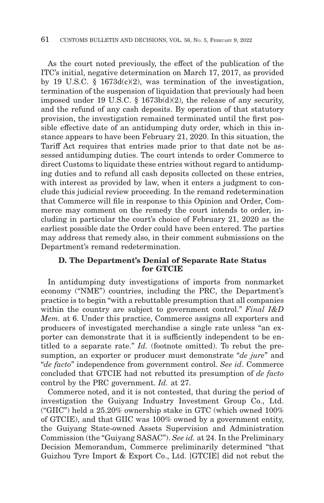As the court noted previously, the effect of the publication of the ITC's initial, negative determination on March 17, 2017, as provided by 19 U.S.C. §  $1673d(c)(2)$ , was termination of the investigation, termination of the suspension of liquidation that previously had been imposed under 19 U.S.C. § 1673b(d)(2), the release of any security, and the refund of any cash deposits. By operation of that statutory provision, the investigation remained terminated until the first possible effective date of an antidumping duty order, which in this instance appears to have been February 21, 2020. In this situation, the Tariff Act requires that entries made prior to that date not be assessed antidumping duties. The court intends to order Commerce to direct Customs to liquidate these entries without regard to antidumping duties and to refund all cash deposits collected on these entries, with interest as provided by law, when it enters a judgment to conclude this judicial review proceeding. In the remand redetermination that Commerce will file in response to this Opinion and Order, Commerce may comment on the remedy the court intends to order, including in particular the court's choice of February 21, 2020 as the earliest possible date the Order could have been entered. The parties may address that remedy also, in their comment submissions on the Department's remand redetermination.

## **D. The Department's Denial of Separate Rate Status for GTCIE**

In antidumping duty investigations of imports from nonmarket economy ("NME") countries, including the PRC, the Department's practice is to begin "with a rebuttable presumption that all companies within the country are subject to government control." *Final I&D Mem.* at 6. Under this practice, Commerce assigns all exporters and producers of investigated merchandise a single rate unless "an exporter can demonstrate that it is sufficiently independent to be entitled to a separate rate." *Id.* (footnote omitted). To rebut the presumption, an exporter or producer must demonstrate "*de jure*" and "*de facto*" independence from government control. *See id*. Commerce concluded that GTCIE had not rebutted its presumption of *de facto* control by the PRC government. *Id.* at 27.

Commerce noted, and it is not contested, that during the period of investigation the Guiyang Industry Investment Group Co., Ltd. ("GIIC") held a 25.20% ownership stake in GTC (which owned 100% of GTCIE), and that GIIC was 100% owned by a government entity, the Guiyang State-owned Assets Supervision and Administration Commission (the "Guiyang SASAC"). *See id.* at 24. In the Preliminary Decision Memorandum, Commerce preliminarily determined "that Guizhou Tyre Import & Export Co., Ltd. [GTCIE] did not rebut the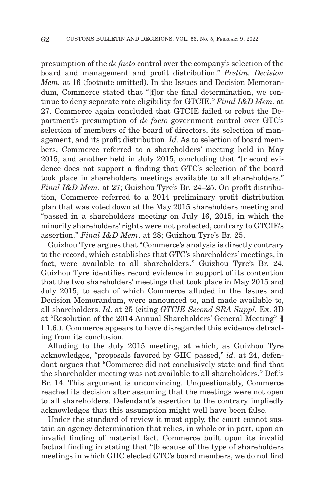presumption of the *de facto* control over the company's selection of the board and management and profit distribution." *Prelim. Decision Mem.* at 16 (footnote omitted). In the Issues and Decision Memorandum, Commerce stated that "[flor the final determination, we continue to deny separate rate eligibility for GTCIE." *Final I&D Mem.* at 27. Commerce again concluded that GTCIE failed to rebut the Department's presumption of *de facto* government control over GTC's selection of members of the board of directors, its selection of management, and its profit distribution. *Id*. As to selection of board members, Commerce referred to a shareholders' meeting held in May 2015, and another held in July 2015, concluding that "[r]ecord evidence does not support a finding that GTC's selection of the board took place in shareholders meetings available to all shareholders." *Final I&D Mem*. at 27; Guizhou Tyre's Br. 24–25. On profit distribution, Commerce referred to a 2014 preliminary profit distribution plan that was voted down at the May 2015 shareholders meeting and "passed in a shareholders meeting on July 16, 2015, in which the minority shareholders' rights were not protected, contrary to GTCIE's assertion." *Final I&D Mem*. at 28; Guizhou Tyre's Br. 25.

Guizhou Tyre argues that "Commerce's analysis is directly contrary to the record, which establishes that GTC's shareholders' meetings, in fact, were available to all shareholders." Guizhou Tyre's Br. 24. Guizhou Tyre identifies record evidence in support of its contention that the two shareholders' meetings that took place in May 2015 and July 2015, to each of which Commerce alluded in the Issues and Decision Memorandum, were announced to, and made available to, all shareholders. *Id*. at 25 (citing *GTCIE Second SRA Suppl.* Ex. 3D at "Resolution of the 2014 Annual Shareholders' General Meeting" ¶ I.1.6.). Commerce appears to have disregarded this evidence detracting from its conclusion.

Alluding to the July 2015 meeting, at which, as Guizhou Tyre acknowledges, "proposals favored by GIIC passed," *id.* at 24, defendant argues that "Commerce did not conclusively state and find that the shareholder meeting was not available to all shareholders." Def.'s Br. 14. This argument is unconvincing. Unquestionably, Commerce reached its decision after assuming that the meetings were not open to all shareholders. Defendant's assertion to the contrary impliedly acknowledges that this assumption might well have been false.

Under the standard of review it must apply, the court cannot sustain an agency determination that relies, in whole or in part, upon an invalid finding of material fact. Commerce built upon its invalid factual finding in stating that "[b]ecause of the type of shareholders meetings in which GIIC elected GTC's board members, we do not find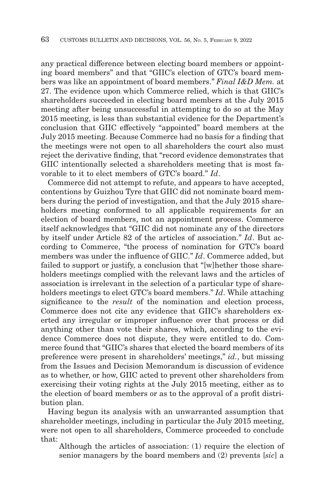any practical difference between electing board members or appointing board members" and that "GIIC's election of GTC's board members was like an appointment of board members." *Final I&D Mem.* at 27. The evidence upon which Commerce relied, which is that GIIC's shareholders succeeded in electing board members at the July 2015 meeting after being unsuccessful in attempting to do so at the May 2015 meeting, is less than substantial evidence for the Department's conclusion that GIIC effectively "appointed" board members at the July 2015 meeting. Because Commerce had no basis for a finding that the meetings were not open to all shareholders the court also must reject the derivative finding, that "record evidence demonstrates that GIIC intentionally selected a shareholders meeting that is most favorable to it to elect members of GTC's board." *Id*.

Commerce did not attempt to refute, and appears to have accepted, contentions by Guizhou Tyre that GIIC did not nominate board members during the period of investigation, and that the July 2015 shareholders meeting conformed to all applicable requirements for an election of board members, not an appointment process. Commerce itself acknowledges that "GIIC did not nominate any of the directors by itself under Article 82 of the articles of association." *Id*. But according to Commerce, "the process of nomination for GTC's board members was under the influence of GIIC." *Id*. Commerce added, but failed to support or justify, a conclusion that "[w]hether those shareholders meetings complied with the relevant laws and the articles of association is irrelevant in the selection of a particular type of shareholders meetings to elect GTC's board members." *Id*. While attaching significance to the *result* of the nomination and election process, Commerce does not cite any evidence that GIIC's shareholders exerted any irregular or improper influence over that process or did anything other than vote their shares, which, according to the evidence Commerce does not dispute, they were entitled to do. Commerce found that "GIIC's shares that elected the board members of its preference were present in shareholders' meetings," *id.*, but missing from the Issues and Decision Memorandum is discussion of evidence as to whether, or how, GIIC acted to prevent other shareholders from exercising their voting rights at the July 2015 meeting, either as to the election of board members or as to the approval of a profit distribution plan.

Having begun its analysis with an unwarranted assumption that shareholder meetings, including in particular the July 2015 meeting, were not open to all shareholders, Commerce proceeded to conclude that:

Although the articles of association: (1) require the election of senior managers by the board members and (2) prevents [*sic*] a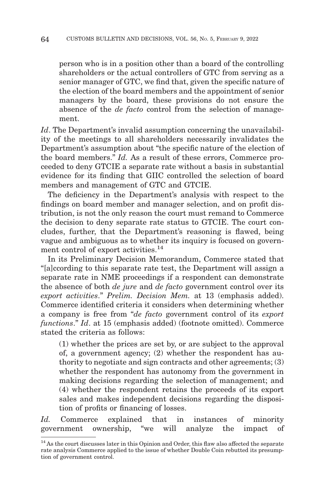person who is in a position other than a board of the controlling shareholders or the actual controllers of GTC from serving as a senior manager of GTC, we find that, given the specific nature of the election of the board members and the appointment of senior managers by the board, these provisions do not ensure the absence of the *de facto* control from the selection of management.

*Id*. The Department's invalid assumption concerning the unavailability of the meetings to all shareholders necessarily invalidates the Department's assumption about "the specific nature of the election of the board members." *Id.* As a result of these errors, Commerce proceeded to deny GTCIE a separate rate without a basis in substantial evidence for its finding that GIIC controlled the selection of board members and management of GTC and GTCIE.

The deficiency in the Department's analysis with respect to the findings on board member and manager selection, and on profit distribution, is not the only reason the court must remand to Commerce the decision to deny separate rate status to GTCIE. The court concludes, further, that the Department's reasoning is flawed, being vague and ambiguous as to whether its inquiry is focused on government control of export activities.<sup>14</sup>

In its Preliminary Decision Memorandum, Commerce stated that "[a]ccording to this separate rate test, the Department will assign a separate rate in NME proceedings if a respondent can demonstrate the absence of both *de jure* and *de facto* government control over its *export activities*." *Prelim. Decision Mem.* at 13 (emphasis added). Commerce identified criteria it considers when determining whether a company is free from "*de facto* government control of its *export functions*." *Id*. at 15 (emphasis added) (footnote omitted). Commerce stated the criteria as follows:

(1) whether the prices are set by, or are subject to the approval of, a government agency; (2) whether the respondent has authority to negotiate and sign contracts and other agreements; (3) whether the respondent has autonomy from the government in making decisions regarding the selection of management; and (4) whether the respondent retains the proceeds of its export sales and makes independent decisions regarding the disposition of profits or financing of losses.

Id. Commerce explained that in instances of minority government ownership, "we will analyze the impact of

<sup>&</sup>lt;sup>14</sup> As the court discusses later in this Opinion and Order, this flaw also affected the separate rate analysis Commerce applied to the issue of whether Double Coin rebutted its presumption of government control.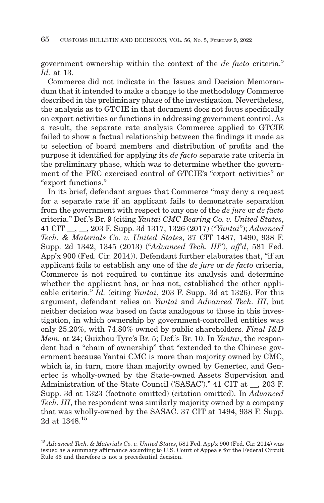government ownership within the context of the *de facto* criteria." *Id.* at 13.

Commerce did not indicate in the Issues and Decision Memorandum that it intended to make a change to the methodology Commerce described in the preliminary phase of the investigation. Nevertheless, the analysis as to GTCIE in that document does not focus specifically on export activities or functions in addressing government control. As a result, the separate rate analysis Commerce applied to GTCIE failed to show a factual relationship between the findings it made as to selection of board members and distribution of profits and the purpose it identified for applying its *de facto* separate rate criteria in the preliminary phase, which was to determine whether the government of the PRC exercised control of GTCIE's "export activities" or "export functions."

In its brief, defendant argues that Commerce "may deny a request for a separate rate if an applicant fails to demonstrate separation from the government with respect to any one of the *de jure* or *de facto* criteria." Def.'s Br. 9 (citing *Yantai CMC Bearing Co. v. United States*, 41 CIT \_\_, \_\_, 203 F. Supp. 3d 1317, 1326 (2017) ("*Yantai*"); *Advanced Tech. & Materials Co. v. United States*, 37 CIT 1487, 1490, 938 F. Supp. 2d 1342, 1345 (2013) ("*Advanced Tech. III*"), *aff'd*, 581 Fed. App'x 900 (Fed. Cir. 2014)). Defendant further elaborates that, "if an applicant fails to establish any one of the *de jure* or *de facto* criteria, Commerce is not required to continue its analysis and determine whether the applicant has, or has not, established the other applicable criteria." *Id.* (citing *Yantai*, 203 F. Supp. 3d at 1326). For this argument, defendant relies on *Yantai* and *Advanced Tech. III*, but neither decision was based on facts analogous to those in this investigation, in which ownership by government-controlled entities was only 25.20%, with 74.80% owned by public shareholders. *Final I&D Mem.* at 24; Guizhou Tyre's Br. 5; Def.'s Br. 10. In *Yantai*, the respondent had a "chain of ownership" that "extended to the Chinese government because Yantai CMC is more than majority owned by CMC, which is, in turn, more than majority owned by Genertec, and Genertec is wholly-owned by the State-owned Assets Supervision and Administration of the State Council ('SASAC')." 41 CIT at \_\_, 203 F. Supp. 3d at 1323 (footnote omitted) (citation omitted). In *Advanced Tech. III*, the respondent was similarly majority owned by a company that was wholly-owned by the SASAC. 37 CIT at 1494, 938 F. Supp. 2d at 1348.<sup>15</sup>

<sup>15</sup>*Advanced Tech. & Materials Co. v. United States*, 581 Fed. App'x 900 (Fed. Cir. 2014) was issued as a summary affirmance according to U.S. Court of Appeals for the Federal Circuit Rule 36 and therefore is not a precedential decision.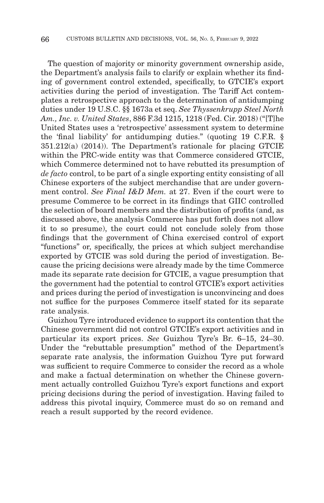The question of majority or minority government ownership aside, the Department's analysis fails to clarify or explain whether its finding of government control extended, specifically, to GTCIE's export activities during the period of investigation. The Tariff Act contemplates a retrospective approach to the determination of antidumping duties under 19 U.S.C. §§ 1673a et seq. *See Thyssenkrupp Steel North Am., Inc. v. United States*, 886 F.3d 1215, 1218 (Fed. Cir. 2018) ("[T]he United States uses a 'retrospective' assessment system to determine the 'final liability' for antidumping duties." (quoting 19 C.F.R. § 351.212(a) (2014)). The Department's rationale for placing GTCIE within the PRC-wide entity was that Commerce considered GTCIE, which Commerce determined not to have rebutted its presumption of *de facto* control, to be part of a single exporting entity consisting of all Chinese exporters of the subject merchandise that are under government control. *See Final I&D Mem.* at 27. Even if the court were to presume Commerce to be correct in its findings that GIIC controlled the selection of board members and the distribution of profits (and, as discussed above, the analysis Commerce has put forth does not allow it to so presume), the court could not conclude solely from those findings that the government of China exercised control of export "functions" or, specifically, the prices at which subject merchandise exported by GTCIE was sold during the period of investigation. Because the pricing decisions were already made by the time Commerce made its separate rate decision for GTCIE, a vague presumption that the government had the potential to control GTCIE's export activities and prices during the period of investigation is unconvincing and does not suffice for the purposes Commerce itself stated for its separate rate analysis.

Guizhou Tyre introduced evidence to support its contention that the Chinese government did not control GTCIE's export activities and in particular its export prices. *See* Guizhou Tyre's Br. 6–15, 24–30. Under the "rebuttable presumption" method of the Department's separate rate analysis, the information Guizhou Tyre put forward was sufficient to require Commerce to consider the record as a whole and make a factual determination on whether the Chinese government actually controlled Guizhou Tyre's export functions and export pricing decisions during the period of investigation. Having failed to address this pivotal inquiry, Commerce must do so on remand and reach a result supported by the record evidence.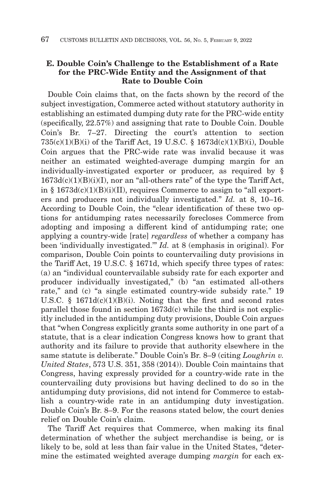# **E. Double Coin's Challenge to the Establishment of a Rate for the PRC-Wide Entity and the Assignment of that Rate to Double Coin**

Double Coin claims that, on the facts shown by the record of the subject investigation, Commerce acted without statutory authority in establishing an estimated dumping duty rate for the PRC-wide entity (specifically, 22.57%) and assigning that rate to Double Coin. Double Coin's Br. 7–27. Directing the court's attention to section  $735(c)(1)(B)(i)$  of the Tariff Act, 19 U.S.C. § 1673d $(c)(1)(B)(i)$ , Double Coin argues that the PRC-wide rate was invalid because it was neither an estimated weighted-average dumping margin for an individually-investigated exporter or producer, as required by §  $1673d(c)(1)(B)(i)(I)$ , nor an "all-others rate" of the type the Tariff Act, in §  $1673d(c)(1)(B)(i)(II)$ , requires Commerce to assign to "all exporters and producers not individually investigated." *Id.* at 8, 10–16. According to Double Coin, the "clear identification of these two options for antidumping rates necessarily forecloses Commerce from adopting and imposing a different kind of antidumping rate; one applying a country-wide [rate] *regardless* of whether a company has been 'individually investigated.'" *Id.* at 8 (emphasis in original). For comparison, Double Coin points to countervailing duty provisions in the Tariff Act, 19 U.S.C. § 1671d, which specify three types of rates: (a) an "individual countervailable subsidy rate for each exporter and producer individually investigated," (b) "an estimated all-others rate," and (c) "a single estimated country-wide subsidy rate." 19 U.S.C. § 1671 $d(c)(1)(B)(i)$ . Noting that the first and second rates parallel those found in section 1673d(c) while the third is not explicitly included in the antidumping duty provisions, Double Coin argues that "when Congress explicitly grants some authority in one part of a statute, that is a clear indication Congress knows how to grant that authority and its failure to provide that authority elsewhere in the same statute is deliberate." Double Coin's Br. 8–9 (citing *Loughrin v. United States*, 573 U.S. 351, 358 (2014)). Double Coin maintains that Congress, having expressly provided for a country-wide rate in the countervailing duty provisions but having declined to do so in the antidumping duty provisions, did not intend for Commerce to establish a country-wide rate in an antidumping duty investigation. Double Coin's Br. 8–9. For the reasons stated below, the court denies relief on Double Coin's claim.

The Tariff Act requires that Commerce, when making its final determination of whether the subject merchandise is being, or is likely to be, sold at less than fair value in the United States, "determine the estimated weighted average dumping *margin* for each ex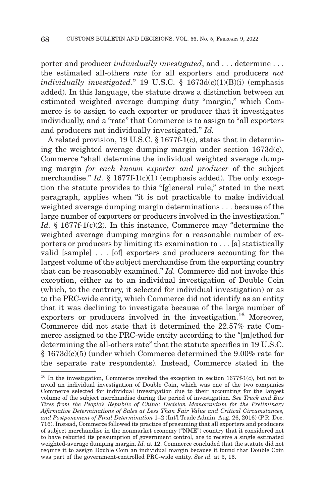porter and producer *individually investigated*, and . . . determine . . . the estimated all-others *rate* for all exporters and producers *not individually investigated*." 19 U.S.C. § 1673d(c)(1)(B)(i) (emphasis added). In this language, the statute draws a distinction between an estimated weighted average dumping duty "margin," which Commerce is to assign to each exporter or producer that it investigates individually, and a "rate" that Commerce is to assign to "all exporters and producers not individually investigated." *Id.*

A related provision, 19 U.S.C. § 1677f-1(c), states that in determining the weighted average dumping margin under section 1673d(c), Commerce "shall determine the individual weighted average dumping margin *for each known exporter and producer* of the subject merchandise." *Id.* § 1677f-1(c)(1) (emphasis added). The only exception the statute provides to this "[g]eneral rule," stated in the next paragraph, applies when "it is not practicable to make individual weighted average dumping margin determinations . . . because of the large number of exporters or producers involved in the investigation." *Id.* § 1677f-1(c)(2). In this instance, Commerce may "determine the weighted average dumping margins for a reasonable number of exporters or producers by limiting its examination to . . . [a] statistically valid [sample] . . . [of] exporters and producers accounting for the largest volume of the subject merchandise from the exporting country that can be reasonably examined." *Id.* Commerce did not invoke this exception, either as to an individual investigation of Double Coin (which, to the contrary, it selected for individual investigation) or as to the PRC-wide entity, which Commerce did not identify as an entity that it was declining to investigate because of the large number of exporters or producers involved in the investigation.<sup>16</sup> Moreover, Commerce did not state that it determined the 22.57% rate Commerce assigned to the PRC-wide entity according to the "[m]ethod for determining the all-others rate" that the statute specifies in 19 U.S.C. § 1673d(c)(5) (under which Commerce determined the 9.00% rate for the separate rate respondents). Instead, Commerce stated in the

<sup>16</sup> In the investigation, Commerce invoked the exception in section 1677f-1(c), but not to avoid an individual investigation of Double Coin, which was one of the two companies Commerce selected for individual investigation due to their accounting for the largest volume of the subject merchandise during the period of investigation. *See Truck and Bus Tires from the People's Republic of China: Decision Memorandum for the Preliminary Affirmative Determinations of Sales at Less Than Fair Value and Critical Circumstances, and Postponement of Final Determination* 1–2 (Int'l Trade Admin. Aug. 26, 2016) (P.R. Doc. 716). Instead, Commerce followed its practice of presuming that all exporters and producers of subject merchandise in the nonmarket economy ("NME") country that it considered not to have rebutted its presumption of government control, are to receive a single estimated weighted-average dumping margin. *Id.* at 12. Commerce concluded that the statute did not require it to assign Double Coin an individual margin because it found that Double Coin was part of the government-controlled PRC-wide entity. *See id.* at 3, 16.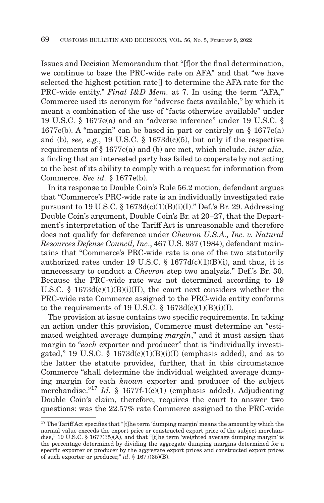Issues and Decision Memorandum that "[f]or the final determination, we continue to base the PRC-wide rate on AFA" and that "we have selected the highest petition ratell to determine the AFA rate for the PRC-wide entity." *Final I&D Mem.* at 7. In using the term "AFA," Commerce used its acronym for "adverse facts available," by which it meant a combination of the use of "facts otherwise available" under 19 U.S.C. § 1677e(a) and an "adverse inference" under 19 U.S.C. § 1677e(b). A "margin" can be based in part or entirely on § 1677e(a) and (b), *see, e.g.*, 19 U.S.C. § 1673d(c)(5), but only if the respective requirements of § 1677e(a) and (b) are met, which include, *inter alia*, a finding that an interested party has failed to cooperate by not acting to the best of its ability to comply with a request for information from Commerce. *See id.* § 1677e(b).

In its response to Double Coin's Rule 56.2 motion, defendant argues that "Commerce's PRC-wide rate is an individually investigated rate pursuant to 19 U.S.C.  $\S 1673d(c)(1)(B)(i)(I)$ ." Def.'s Br. 29. Addressing Double Coin's argument, Double Coin's Br. at 20–27, that the Department's interpretation of the Tariff Act is unreasonable and therefore does not qualify for deference under *Chevron U.S.A., Inc. v. Natural Resources Defense Council, Inc*., 467 U.S. 837 (1984), defendant maintains that "Commerce's PRC-wide rate is one of the two statutorily authorized rates under 19 U.S.C. §  $1677d(c)(1)(B)(i)$ , and thus, it is unnecessary to conduct a *Chevron* step two analysis." Def.'s Br. 30. Because the PRC-wide rate was not determined according to 19 U.S.C.  $\frac{8}{1673d(c)(1)(B)(i)(II)}$ , the court next considers whether the PRC-wide rate Commerce assigned to the PRC-wide entity conforms to the requirements of 19 U.S.C.  $\S$  1673d(c)(1)(B)(i)(I).

The provision at issue contains two specific requirements. In taking an action under this provision, Commerce must determine an "estimated weighted average dumping *margin*," and it must assign that margin to "*each* exporter and producer" that is "individually investigated," 19 U.S.C. §  $1673d(c)(1)(B)(i)(I)$  (emphasis added), and as to the latter the statute provides, further, that in this circumstance Commerce "shall determine the individual weighted average dumping margin for each *known* exporter and producer of the subject merchandise."17 *Id.* § 1677f-1(c)(1) (emphasis added). Adjudicating Double Coin's claim, therefore, requires the court to answer two questions: was the 22.57% rate Commerce assigned to the PRC-wide

<sup>&</sup>lt;sup>17</sup> The Tariff Act specifies that "[t]he term 'dumping margin' means the amount by which the normal value exceeds the export price or constructed export price of the subject merchandise," 19 U.S.C. § 1677(35)(A), and that "[t]he term 'weighted average dumping margin' is the percentage determined by dividing the aggregate dumping margins determined for a specific exporter or producer by the aggregate export prices and constructed export prices of such exporter or producer," *id*. § 1677(35)(B).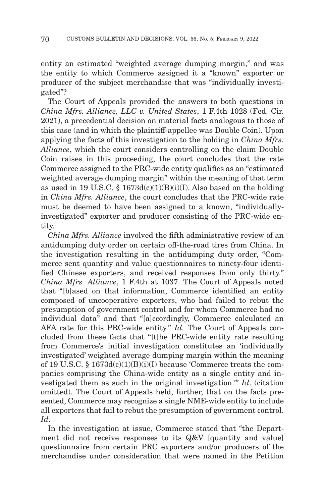entity an estimated "weighted average dumping margin," and was the entity to which Commerce assigned it a "known" exporter or producer of the subject merchandise that was "individually investigated"?

The Court of Appeals provided the answers to both questions in *China Mfrs. Alliance, LLC v. United States*, 1 F.4th 1028 (Fed. Cir. 2021), a precedential decision on material facts analogous to those of this case (and in which the plaintiff-appellee was Double Coin). Upon applying the facts of this investigation to the holding in *China Mfrs. Alliance*, which the court considers controlling on the claim Double Coin raises in this proceeding, the court concludes that the rate Commerce assigned to the PRC-wide entity qualifies as an "estimated weighted average dumping margin" within the meaning of that term as used in 19 U.S.C. § 1673d(c)(1)(B)(i)(I). Also based on the holding in *China Mfrs. Alliance*, the court concludes that the PRC-wide rate must be deemed to have been assigned to a known, "individuallyinvestigated" exporter and producer consisting of the PRC-wide entity.

*China Mfrs. Alliance* involved the fifth administrative review of an antidumping duty order on certain off-the-road tires from China. In the investigation resulting in the antidumping duty order, "Commerce sent quantity and value questionnaires to ninety-four identified Chinese exporters, and received responses from only thirty." *China Mfrs. Alliance*, 1 F.4th at 1037. The Court of Appeals noted that "[b]ased on that information, Commerce identified an entity composed of uncooperative exporters, who had failed to rebut the presumption of government control and for whom Commerce had no individual data" and that "[a]ccordingly, Commerce calculated an AFA rate for this PRC-wide entity." *Id.* The Court of Appeals concluded from these facts that "[t]he PRC-wide entity rate resulting from Commerce's initial investigation constitutes an 'individually investigated' weighted average dumping margin within the meaning of 19 U.S.C. § 1673d(c)(1)(B)(i)(I) because 'Commerce treats the companies comprising the China-wide entity as a single entity and investigated them as such in the original investigation.'" *Id*. (citation omitted). The Court of Appeals held, further, that on the facts presented, Commerce may recognize a single NME-wide entity to include all exporters that fail to rebut the presumption of government control. *Id*.

In the investigation at issue, Commerce stated that "the Department did not receive responses to its Q&V [quantity and value] questionnaire from certain PRC exporters and/or producers of the merchandise under consideration that were named in the Petition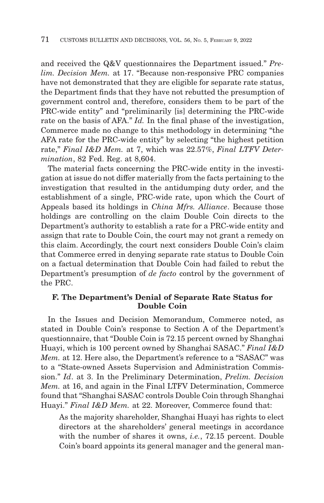and received the Q&V questionnaires the Department issued." *Prelim. Decision Mem.* at 17. "Because non-responsive PRC companies have not demonstrated that they are eligible for separate rate status, the Department finds that they have not rebutted the presumption of government control and, therefore, considers them to be part of the PRC-wide entity" and "preliminarily [is] determining the PRC-wide rate on the basis of AFA." *Id.* In the final phase of the investigation, Commerce made no change to this methodology in determining "the AFA rate for the PRC-wide entity" by selecting "the highest petition rate," *Final I&D Mem.* at 7, which was 22.57%, *Final LTFV Determination*, 82 Fed. Reg. at 8,604.

The material facts concerning the PRC-wide entity in the investigation at issue do not differ materially from the facts pertaining to the investigation that resulted in the antidumping duty order, and the establishment of a single, PRC-wide rate, upon which the Court of Appeals based its holdings in *China Mfrs. Alliance*. Because those holdings are controlling on the claim Double Coin directs to the Department's authority to establish a rate for a PRC-wide entity and assign that rate to Double Coin, the court may not grant a remedy on this claim. Accordingly, the court next considers Double Coin's claim that Commerce erred in denying separate rate status to Double Coin on a factual determination that Double Coin had failed to rebut the Department's presumption of *de facto* control by the government of the PRC.

# **F. The Department's Denial of Separate Rate Status for Double Coin**

In the Issues and Decision Memorandum, Commerce noted, as stated in Double Coin's response to Section A of the Department's questionnaire, that "Double Coin is 72.15 percent owned by Shanghai Huayi, which is 100 percent owned by Shanghai SASAC." *Final I&D Mem.* at 12. Here also, the Department's reference to a "SASAC" was to a "State-owned Assets Supervision and Administration Commission." *Id*. at 3. In the Preliminary Determination, *Prelim. Decision Mem.* at 16, and again in the Final LTFV Determination, Commerce found that "Shanghai SASAC controls Double Coin through Shanghai Huayi." *Final I&D Mem.* at 22. Moreover, Commerce found that:

As the majority shareholder, Shanghai Huayi has rights to elect directors at the shareholders' general meetings in accordance with the number of shares it owns, *i.e.*, 72.15 percent. Double Coin's board appoints its general manager and the general man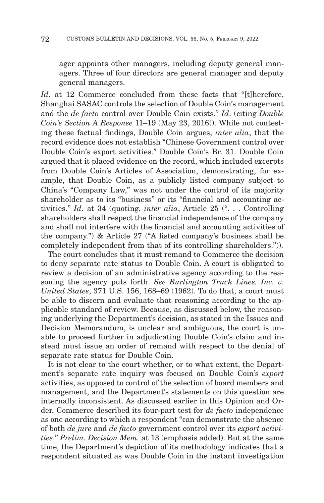ager appoints other managers, including deputy general managers. Three of four directors are general manager and deputy general managers.

*Id*. at 12 Commerce concluded from these facts that "[t]herefore, Shanghai SASAC controls the selection of Double Coin's management and the *de facto* control over Double Coin exists." *Id*. (citing *Double Coin's Section A Response* 11–19 (May 23, 2016)). While not contesting these factual findings, Double Coin argues, *inter alia*, that the record evidence does not establish "Chinese Government control over Double Coin's export activities." Double Coin's Br. 31. Double Coin argued that it placed evidence on the record, which included excerpts from Double Coin's Articles of Association, demonstrating, for example, that Double Coin, as a publicly listed company subject to China's "Company Law," was not under the control of its majority shareholder as to its "business" or its "financial and accounting activities." *Id*. at 34 (quoting, *inter alia*, Article 25 (". . . Controlling shareholders shall respect the financial independence of the company and shall not interfere with the financial and accounting activities of the company.") & Article 27 ("A listed company's business shall be completely independent from that of its controlling shareholders.")).

The court concludes that it must remand to Commerce the decision to deny separate rate status to Double Coin. A court is obligated to review a decision of an administrative agency according to the reasoning the agency puts forth. *See Burlington Truck Lines, Inc. v. United States*, 371 U.S. 156, 168–69 (1962). To do that, a court must be able to discern and evaluate that reasoning according to the applicable standard of review. Because, as discussed below, the reasoning underlying the Department's decision, as stated in the Issues and Decision Memorandum, is unclear and ambiguous, the court is unable to proceed further in adjudicating Double Coin's claim and instead must issue an order of remand with respect to the denial of separate rate status for Double Coin.

It is not clear to the court whether, or to what extent, the Department's separate rate inquiry was focused on Double Coin's *export* activities, as opposed to control of the selection of board members and management, and the Department's statements on this question are internally inconsistent. As discussed earlier in this Opinion and Order, Commerce described its four-part test for *de facto* independence as one according to which a respondent "can demonstrate the absence of both *de jure* and *de facto* government control over its *export activities*." *Prelim. Decision Mem.* at 13 (emphasis added). But at the same time, the Department's depiction of its methodology indicates that a respondent situated as was Double Coin in the instant investigation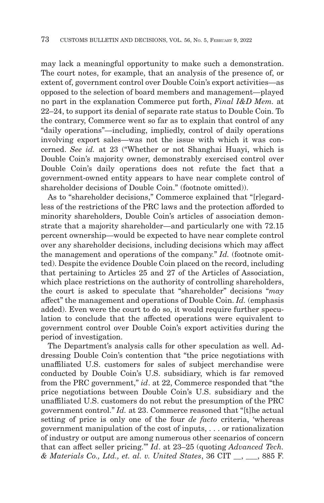may lack a meaningful opportunity to make such a demonstration. The court notes, for example, that an analysis of the presence of, or extent of, government control over Double Coin's export activities—as opposed to the selection of board members and management—played no part in the explanation Commerce put forth, *Final I&D Mem.* at 22–24, to support its denial of separate rate status to Double Coin. To the contrary, Commerce went so far as to explain that control of any "daily operations"—including, impliedly, control of daily operations involving export sales—was not the issue with which it was concerned. *See id.* at 23 ("Whether or not Shanghai Huayi, which is Double Coin's majority owner, demonstrably exercised control over Double Coin's daily operations does not refute the fact that a government-owned entity appears to have near complete control of shareholder decisions of Double Coin." (footnote omitted)).

As to "shareholder decisions," Commerce explained that "[r]egardless of the restrictions of the PRC laws and the protection afforded to minority shareholders, Double Coin's articles of association demonstrate that a majority shareholder—and particularly one with 72.15 percent ownership—would be expected to have near complete control over any shareholder decisions, including decisions which may affect the management and operations of the company." *Id.* (footnote omitted). Despite the evidence Double Coin placed on the record, including that pertaining to Articles 25 and 27 of the Articles of Association, which place restrictions on the authority of controlling shareholders, the court is asked to speculate that "shareholder" decisions "*may* affect" the management and operations of Double Coin. *Id.* (emphasis added). Even were the court to do so, it would require further speculation to conclude that the affected operations were equivalent to government control over Double Coin's export activities during the period of investigation.

The Department's analysis calls for other speculation as well. Addressing Double Coin's contention that "the price negotiations with unaffiliated U.S. customers for sales of subject merchandise were conducted by Double Coin's U.S. subsidiary, which is far removed from the PRC government," *id*. at 22, Commerce responded that "the price negotiations between Double Coin's U.S. subsidiary and the unaffiliated U.S. customers do not rebut the presumption of the PRC government control." *Id.* at 23. Commerce reasoned that "[t]he actual setting of price is only one of the four *de facto* criteria, 'whereas government manipulation of the cost of inputs, . . . or rationalization of industry or output are among numerous other scenarios of concern that can affect seller pricing.'" *Id*. at 23–25 (quoting *Advanced Tech. & Materials Co., Ltd., et. al. v. United States*, 36 CIT \_\_, \_\_\_, 885 F.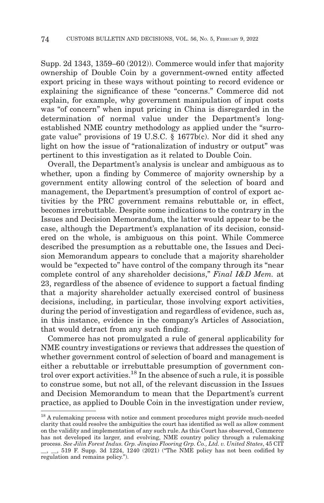Supp. 2d 1343, 1359–60 (2012)). Commerce would infer that majority ownership of Double Coin by a government-owned entity affected export pricing in these ways without pointing to record evidence or explaining the significance of these "concerns." Commerce did not explain, for example, why government manipulation of input costs was "of concern" when input pricing in China is disregarded in the determination of normal value under the Department's longestablished NME country methodology as applied under the "surrogate value" provisions of 19 U.S.C. § 1677b(c). Nor did it shed any light on how the issue of "rationalization of industry or output" was pertinent to this investigation as it related to Double Coin.

Overall, the Department's analysis is unclear and ambiguous as to whether, upon a finding by Commerce of majority ownership by a government entity allowing control of the selection of board and management, the Department's presumption of control of export activities by the PRC government remains rebuttable or, in effect, becomes irrebuttable. Despite some indications to the contrary in the Issues and Decision Memorandum, the latter would appear to be the case, although the Department's explanation of its decision, considered on the whole, is ambiguous on this point. While Commerce described the presumption as a rebuttable one, the Issues and Decision Memorandum appears to conclude that a majority shareholder would be "expected to" have control of the company through its "near complete control of any shareholder decisions," *Final I&D Mem.* at 23, regardless of the absence of evidence to support a factual finding that a majority shareholder actually exercised control of business decisions, including, in particular, those involving export activities, during the period of investigation and regardless of evidence, such as, in this instance, evidence in the company's Articles of Association, that would detract from any such finding.

Commerce has not promulgated a rule of general applicability for NME country investigations or reviews that addresses the question of whether government control of selection of board and management is either a rebuttable or irrebuttable presumption of government control over export activities.<sup>18</sup> In the absence of such a rule, it is possible to construe some, but not all, of the relevant discussion in the Issues and Decision Memorandum to mean that the Department's current practice, as applied to Double Coin in the investigation under review,

 $^{\rm 18}$  A rulemaking process with notice and comment procedures might provide much-needed clarity that could resolve the ambiguities the court has identified as well as allow comment on the validity and implementation of any such rule. As this Court has observed, Commerce has not developed its larger, and evolving, NME country policy through a rulemaking process. *See Jilin Forest Indus. Grp. Jinqiao Flooring Grp. Co., Ltd. v. United States*, 45 CIT

 $\_, \_$ , 519 F. Supp. 3d 1224, 1240 (2021) ("The NME policy has not been codified by regulation and remains policy.").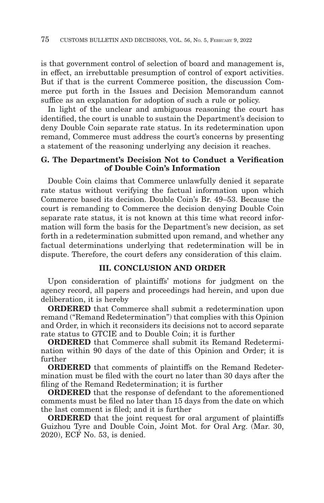is that government control of selection of board and management is, in effect, an irrebuttable presumption of control of export activities. But if that is the current Commerce position, the discussion Commerce put forth in the Issues and Decision Memorandum cannot suffice as an explanation for adoption of such a rule or policy.

In light of the unclear and ambiguous reasoning the court has identified, the court is unable to sustain the Department's decision to deny Double Coin separate rate status. In its redetermination upon remand, Commerce must address the court's concerns by presenting a statement of the reasoning underlying any decision it reaches.

#### **G. The Department's Decision Not to Conduct a Verification of Double Coin's Information**

Double Coin claims that Commerce unlawfully denied it separate rate status without verifying the factual information upon which Commerce based its decision. Double Coin's Br. 49–53. Because the court is remanding to Commerce the decision denying Double Coin separate rate status, it is not known at this time what record information will form the basis for the Department's new decision, as set forth in a redetermination submitted upon remand, and whether any factual determinations underlying that redetermination will be in dispute. Therefore, the court defers any consideration of this claim.

#### **III. CONCLUSION AND ORDER**

Upon consideration of plaintiffs' motions for judgment on the agency record, all papers and proceedings had herein, and upon due deliberation, it is hereby

**ORDERED** that Commerce shall submit a redetermination upon remand ("Remand Redetermination") that complies with this Opinion and Order, in which it reconsiders its decisions not to accord separate rate status to GTCIE and to Double Coin; it is further

**ORDERED** that Commerce shall submit its Remand Redetermination within 90 days of the date of this Opinion and Order; it is further

**ORDERED** that comments of plaintiffs on the Remand Redetermination must be filed with the court no later than 30 days after the filing of the Remand Redetermination; it is further

**ORDERED** that the response of defendant to the aforementioned comments must be filed no later than 15 days from the date on which the last comment is filed; and it is further

**ORDERED** that the joint request for oral argument of plaintiffs Guizhou Tyre and Double Coin, Joint Mot. for Oral Arg. (Mar. 30, 2020), ECF No. 53, is denied.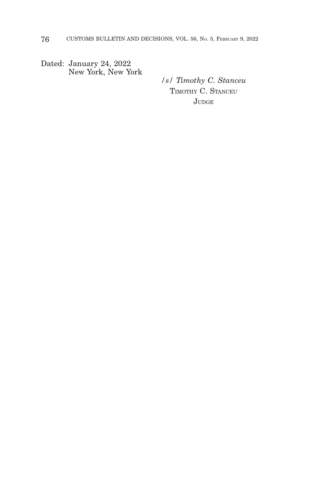Dated: January 24, 2022 New York, New York

*/s/ Timothy C. Stanceu* TIMOTHY C. STANCEU JUDGE